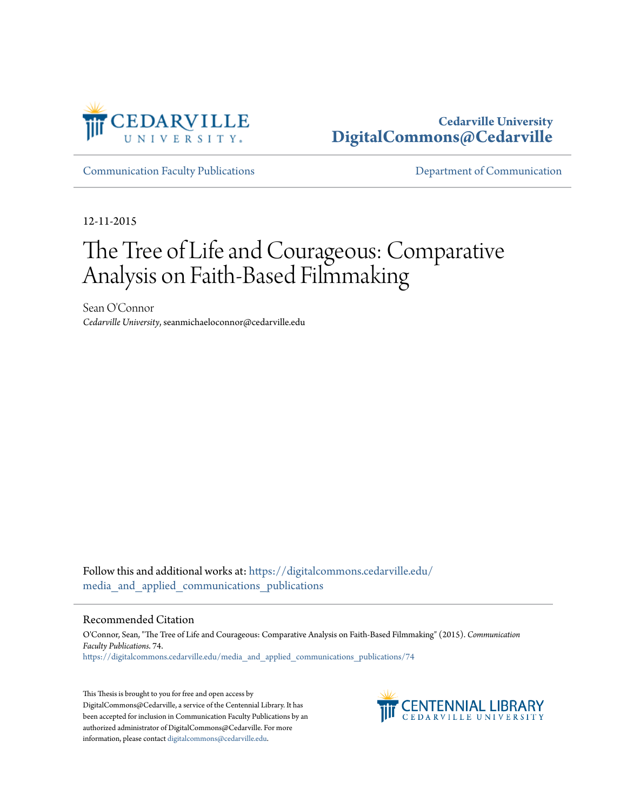

## **Cedarville University [DigitalCommons@Cedarville](https://digitalcommons.cedarville.edu?utm_source=digitalcommons.cedarville.edu%2Fmedia_and_applied_communications_publications%2F74&utm_medium=PDF&utm_campaign=PDFCoverPages)**

[Communication Faculty Publications](https://digitalcommons.cedarville.edu/media_and_applied_communications_publications?utm_source=digitalcommons.cedarville.edu%2Fmedia_and_applied_communications_publications%2F74&utm_medium=PDF&utm_campaign=PDFCoverPages) [Department of Communication](https://digitalcommons.cedarville.edu/media_and_applied_communications?utm_source=digitalcommons.cedarville.edu%2Fmedia_and_applied_communications_publications%2F74&utm_medium=PDF&utm_campaign=PDFCoverPages)

12-11-2015

# The Tree of Life and Courageous: Comparative Analysis on Faith-Based Filmmaking

Sean O'Connor *Cedarville University*, seanmichaeloconnor@cedarville.edu

Follow this and additional works at: [https://digitalcommons.cedarville.edu/](https://digitalcommons.cedarville.edu/media_and_applied_communications_publications?utm_source=digitalcommons.cedarville.edu%2Fmedia_and_applied_communications_publications%2F74&utm_medium=PDF&utm_campaign=PDFCoverPages) media and applied communications publications

#### Recommended Citation

O'Connor, Sean, "The Tree of Life and Courageous: Comparative Analysis on Faith-Based Filmmaking" (2015). *Communication Faculty Publications*. 74. [https://digitalcommons.cedarville.edu/media\\_and\\_applied\\_communications\\_publications/74](https://digitalcommons.cedarville.edu/media_and_applied_communications_publications/74?utm_source=digitalcommons.cedarville.edu%2Fmedia_and_applied_communications_publications%2F74&utm_medium=PDF&utm_campaign=PDFCoverPages)

This Thesis is brought to you for free and open access by DigitalCommons@Cedarville, a service of the Centennial Library. It has been accepted for inclusion in Communication Faculty Publications by an authorized administrator of DigitalCommons@Cedarville. For more information, please contact [digitalcommons@cedarville.edu.](mailto:digitalcommons@cedarville.edu)

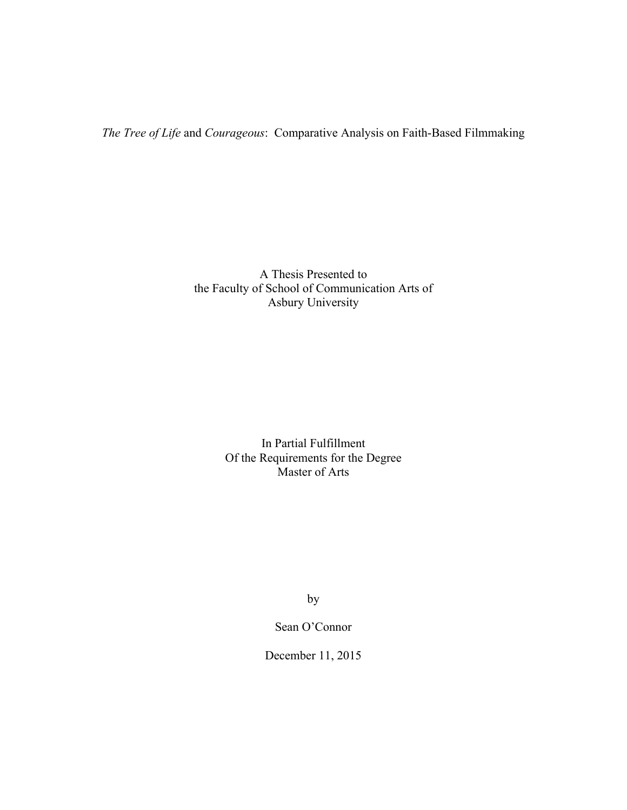*The Tree of Life* and *Courageous*: Comparative Analysis on Faith-Based Filmmaking

A Thesis Presented to the Faculty of School of Communication Arts of Asbury University

> In Partial Fulfillment Of the Requirements for the Degree Master of Arts

> > by

Sean O'Connor

December 11, 2015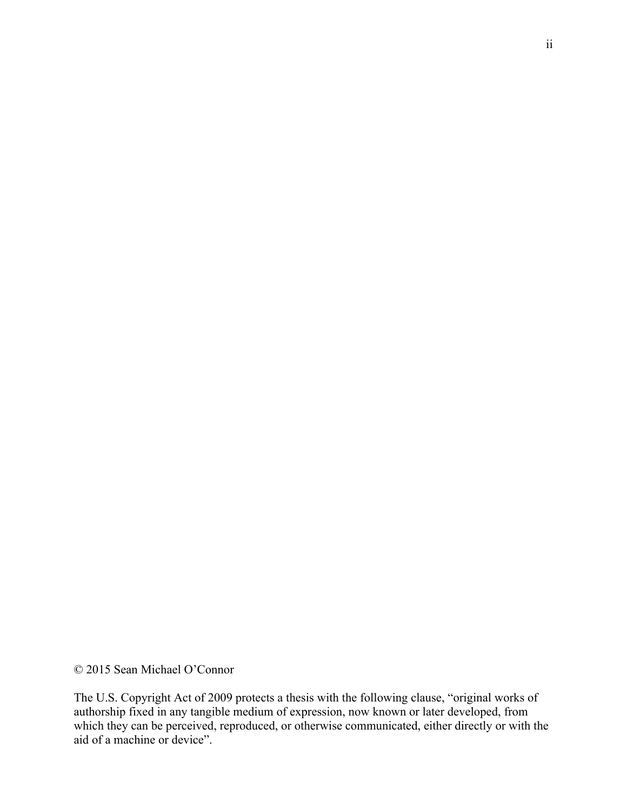© 2015 Sean Michael O'Connor

The U.S. Copyright Act of 2009 protects a thesis with the following clause, "original works of authorship fixed in any tangible medium of expression, now known or later developed, from which they can be perceived, reproduced, or otherwise communicated, either directly or with the aid of a machine or device".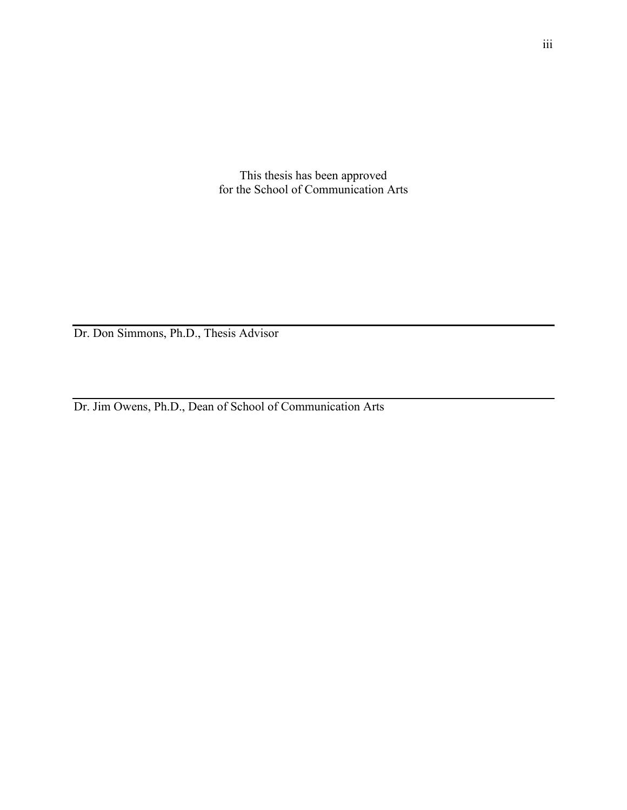This thesis has been approved for the School of Communication Arts

Dr. Don Simmons, Ph.D., Thesis Advisor

Dr. Jim Owens, Ph.D., Dean of School of Communication Arts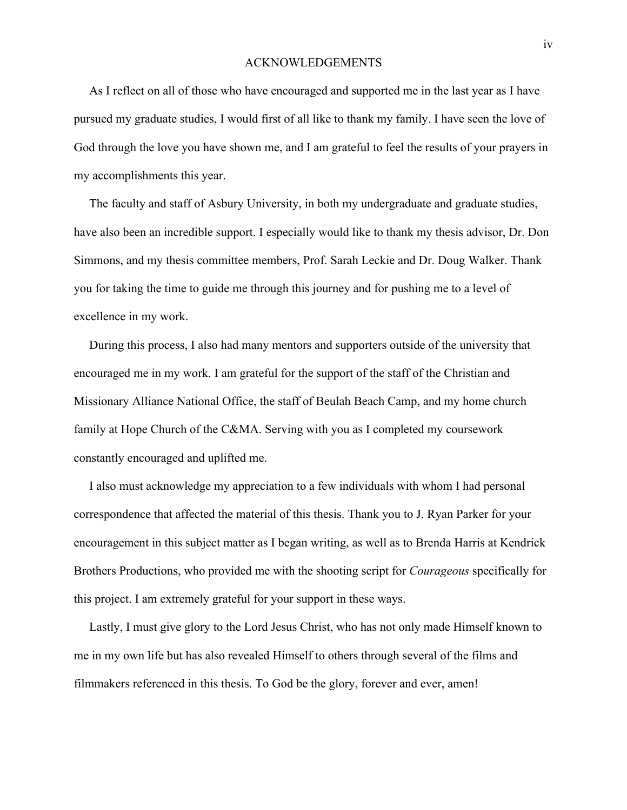#### ACKNOWLEDGEMENTS

 As I reflect on all of those who have encouraged and supported me in the last year as I have pursued my graduate studies, I would first of all like to thank my family. I have seen the love of God through the love you have shown me, and I am grateful to feel the results of your prayers in my accomplishments this year.

 The faculty and staff of Asbury University, in both my undergraduate and graduate studies, have also been an incredible support. I especially would like to thank my thesis advisor, Dr. Don Simmons, and my thesis committee members, Prof. Sarah Leckie and Dr. Doug Walker. Thank you for taking the time to guide me through this journey and for pushing me to a level of excellence in my work.

 During this process, I also had many mentors and supporters outside of the university that encouraged me in my work. I am grateful for the support of the staff of the Christian and Missionary Alliance National Office, the staff of Beulah Beach Camp, and my home church family at Hope Church of the C&MA. Serving with you as I completed my coursework constantly encouraged and uplifted me.

 I also must acknowledge my appreciation to a few individuals with whom I had personal correspondence that affected the material of this thesis. Thank you to J. Ryan Parker for your encouragement in this subject matter as I began writing, as well as to Brenda Harris at Kendrick Brothers Productions, who provided me with the shooting script for *Courageous* specifically for this project. I am extremely grateful for your support in these ways.

 Lastly, I must give glory to the Lord Jesus Christ, who has not only made Himself known to me in my own life but has also revealed Himself to others through several of the films and filmmakers referenced in this thesis. To God be the glory, forever and ever, amen!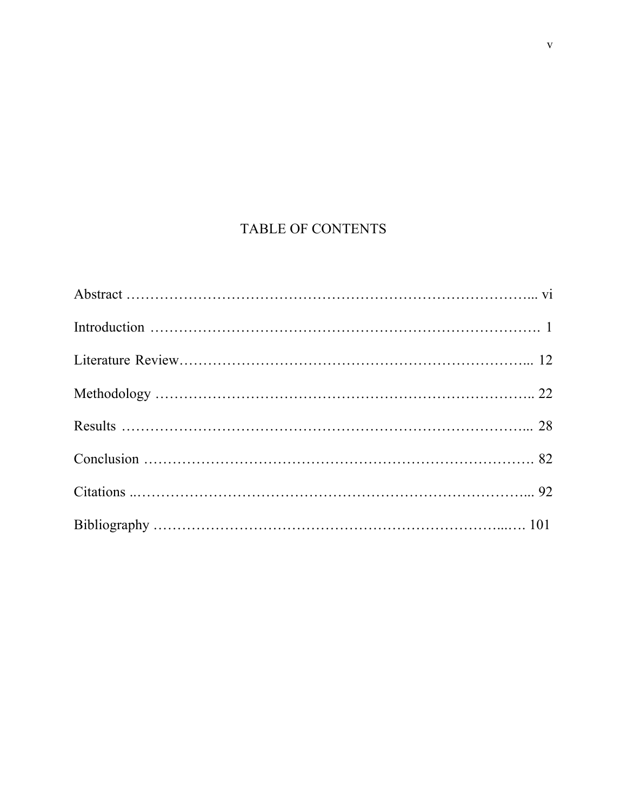## TABLE OF CONTENTS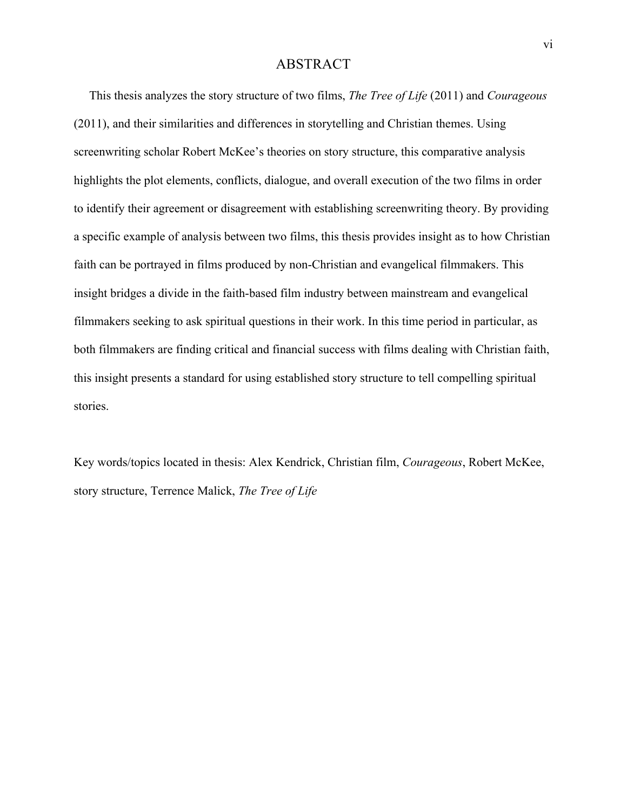## ABSTRACT

 This thesis analyzes the story structure of two films, *The Tree of Life* (2011) and *Courageous* (2011), and their similarities and differences in storytelling and Christian themes. Using screenwriting scholar Robert McKee's theories on story structure, this comparative analysis highlights the plot elements, conflicts, dialogue, and overall execution of the two films in order to identify their agreement or disagreement with establishing screenwriting theory. By providing a specific example of analysis between two films, this thesis provides insight as to how Christian faith can be portrayed in films produced by non-Christian and evangelical filmmakers. This insight bridges a divide in the faith-based film industry between mainstream and evangelical filmmakers seeking to ask spiritual questions in their work. In this time period in particular, as both filmmakers are finding critical and financial success with films dealing with Christian faith, this insight presents a standard for using established story structure to tell compelling spiritual stories.

Key words/topics located in thesis: Alex Kendrick, Christian film, *Courageous*, Robert McKee, story structure, Terrence Malick, *The Tree of Life*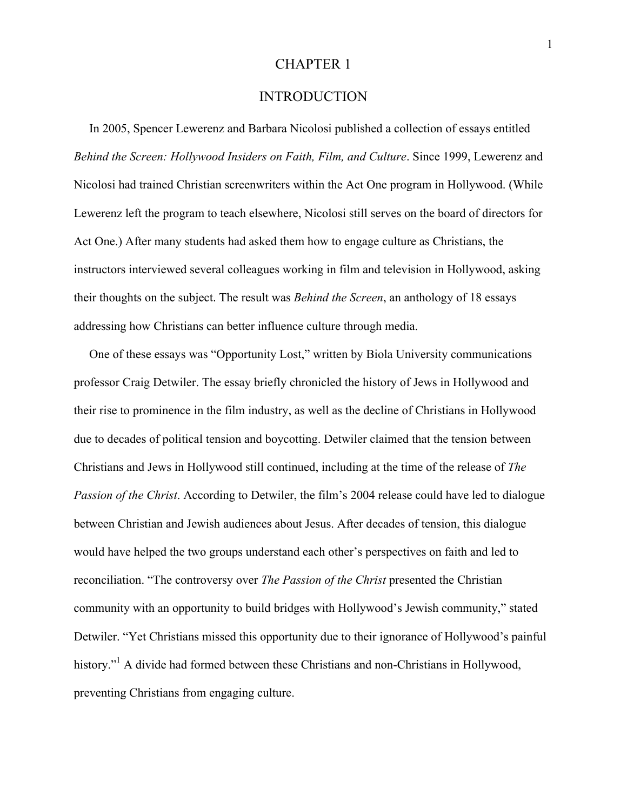## CHAPTER 1

## INTRODUCTION

 In 2005, Spencer Lewerenz and Barbara Nicolosi published a collection of essays entitled *Behind the Screen: Hollywood Insiders on Faith, Film, and Culture*. Since 1999, Lewerenz and Nicolosi had trained Christian screenwriters within the Act One program in Hollywood. (While Lewerenz left the program to teach elsewhere, Nicolosi still serves on the board of directors for Act One.) After many students had asked them how to engage culture as Christians, the instructors interviewed several colleagues working in film and television in Hollywood, asking their thoughts on the subject. The result was *Behind the Screen*, an anthology of 18 essays addressing how Christians can better influence culture through media.

 One of these essays was "Opportunity Lost," written by Biola University communications professor Craig Detwiler. The essay briefly chronicled the history of Jews in Hollywood and their rise to prominence in the film industry, as well as the decline of Christians in Hollywood due to decades of political tension and boycotting. Detwiler claimed that the tension between Christians and Jews in Hollywood still continued, including at the time of the release of *The Passion of the Christ*. According to Detwiler, the film's 2004 release could have led to dialogue between Christian and Jewish audiences about Jesus. After decades of tension, this dialogue would have helped the two groups understand each other's perspectives on faith and led to reconciliation. "The controversy over *The Passion of the Christ* presented the Christian community with an opportunity to build bridges with Hollywood's Jewish community," stated Detwiler. "Yet Christians missed this opportunity due to their ignorance of Hollywood's painful history."<sup>1</sup> A divide had formed between these Christians and non-Christians in Hollywood, preventing Christians from engaging culture.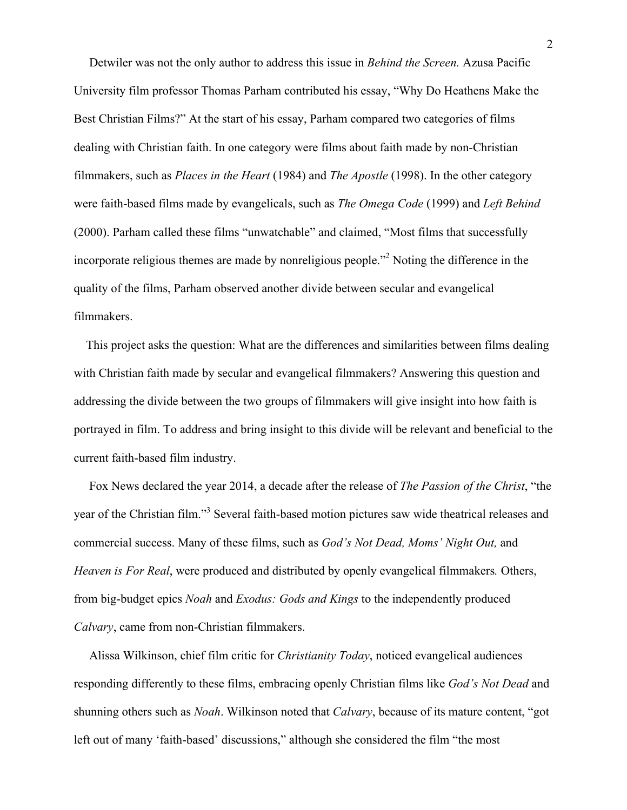Detwiler was not the only author to address this issue in *Behind the Screen.* Azusa Pacific University film professor Thomas Parham contributed his essay, "Why Do Heathens Make the Best Christian Films?" At the start of his essay, Parham compared two categories of films dealing with Christian faith. In one category were films about faith made by non-Christian filmmakers, such as *Places in the Heart* (1984) and *The Apostle* (1998). In the other category were faith-based films made by evangelicals, such as *The Omega Code* (1999) and *Left Behind* (2000). Parham called these films "unwatchable" and claimed, "Most films that successfully incorporate religious themes are made by nonreligious people.<sup>22</sup> Noting the difference in the quality of the films, Parham observed another divide between secular and evangelical filmmakers.

 This project asks the question: What are the differences and similarities between films dealing with Christian faith made by secular and evangelical filmmakers? Answering this question and addressing the divide between the two groups of filmmakers will give insight into how faith is portrayed in film. To address and bring insight to this divide will be relevant and beneficial to the current faith-based film industry.

 Fox News declared the year 2014, a decade after the release of *The Passion of the Christ*, "the year of the Christian film."<sup>3</sup> Several faith-based motion pictures saw wide theatrical releases and commercial success. Many of these films, such as *God's Not Dead, Moms' Night Out,* and *Heaven is For Real*, were produced and distributed by openly evangelical filmmakers*.* Others, from big-budget epics *Noah* and *Exodus: Gods and Kings* to the independently produced *Calvary*, came from non-Christian filmmakers.

 Alissa Wilkinson, chief film critic for *Christianity Today*, noticed evangelical audiences responding differently to these films, embracing openly Christian films like *God's Not Dead* and shunning others such as *Noah*. Wilkinson noted that *Calvary*, because of its mature content, "got left out of many 'faith-based' discussions," although she considered the film "the most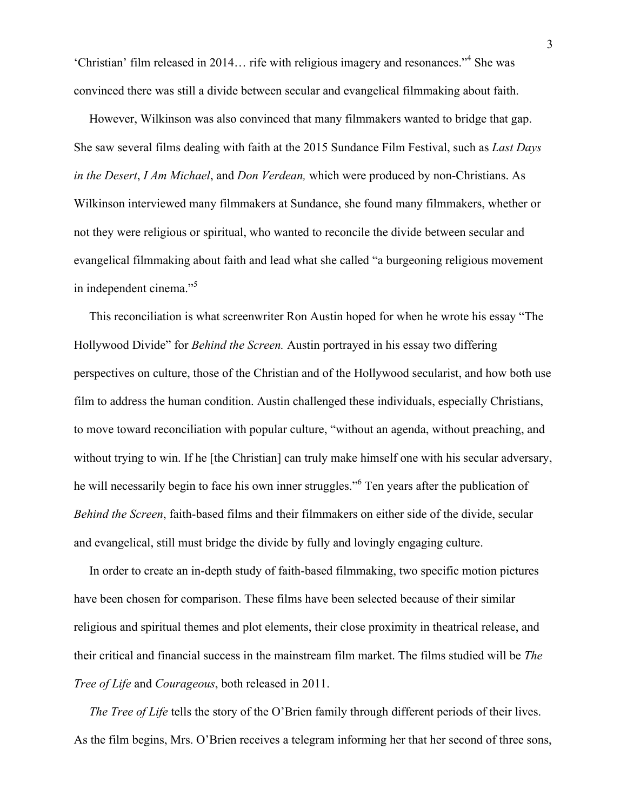'Christian' film released in 2014… rife with religious imagery and resonances."<sup>4</sup> She was convinced there was still a divide between secular and evangelical filmmaking about faith.

 However, Wilkinson was also convinced that many filmmakers wanted to bridge that gap. She saw several films dealing with faith at the 2015 Sundance Film Festival, such as *Last Days in the Desert*, *I Am Michael*, and *Don Verdean,* which were produced by non-Christians. As Wilkinson interviewed many filmmakers at Sundance, she found many filmmakers, whether or not they were religious or spiritual, who wanted to reconcile the divide between secular and evangelical filmmaking about faith and lead what she called "a burgeoning religious movement in independent cinema."<sup>5</sup>

 This reconciliation is what screenwriter Ron Austin hoped for when he wrote his essay "The Hollywood Divide" for *Behind the Screen.* Austin portrayed in his essay two differing perspectives on culture, those of the Christian and of the Hollywood secularist, and how both use film to address the human condition. Austin challenged these individuals, especially Christians, to move toward reconciliation with popular culture, "without an agenda, without preaching, and without trying to win. If he [the Christian] can truly make himself one with his secular adversary, he will necessarily begin to face his own inner struggles."<sup>6</sup> Ten years after the publication of *Behind the Screen*, faith-based films and their filmmakers on either side of the divide, secular and evangelical, still must bridge the divide by fully and lovingly engaging culture.

 In order to create an in-depth study of faith-based filmmaking, two specific motion pictures have been chosen for comparison. These films have been selected because of their similar religious and spiritual themes and plot elements, their close proximity in theatrical release, and their critical and financial success in the mainstream film market. The films studied will be *The Tree of Life* and *Courageous*, both released in 2011.

 *The Tree of Life* tells the story of the O'Brien family through different periods of their lives. As the film begins, Mrs. O'Brien receives a telegram informing her that her second of three sons,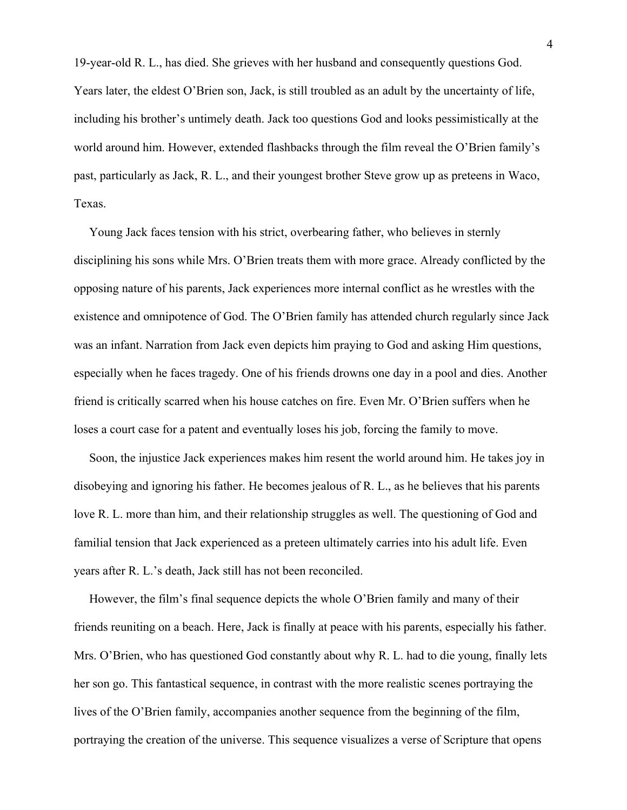19-year-old R. L., has died. She grieves with her husband and consequently questions God. Years later, the eldest O'Brien son, Jack, is still troubled as an adult by the uncertainty of life, including his brother's untimely death. Jack too questions God and looks pessimistically at the world around him. However, extended flashbacks through the film reveal the O'Brien family's past, particularly as Jack, R. L., and their youngest brother Steve grow up as preteens in Waco, Texas.

 Young Jack faces tension with his strict, overbearing father, who believes in sternly disciplining his sons while Mrs. O'Brien treats them with more grace. Already conflicted by the opposing nature of his parents, Jack experiences more internal conflict as he wrestles with the existence and omnipotence of God. The O'Brien family has attended church regularly since Jack was an infant. Narration from Jack even depicts him praying to God and asking Him questions, especially when he faces tragedy. One of his friends drowns one day in a pool and dies. Another friend is critically scarred when his house catches on fire. Even Mr. O'Brien suffers when he loses a court case for a patent and eventually loses his job, forcing the family to move.

 Soon, the injustice Jack experiences makes him resent the world around him. He takes joy in disobeying and ignoring his father. He becomes jealous of R. L., as he believes that his parents love R. L. more than him, and their relationship struggles as well. The questioning of God and familial tension that Jack experienced as a preteen ultimately carries into his adult life. Even years after R. L.'s death, Jack still has not been reconciled.

 However, the film's final sequence depicts the whole O'Brien family and many of their friends reuniting on a beach. Here, Jack is finally at peace with his parents, especially his father. Mrs. O'Brien, who has questioned God constantly about why R. L. had to die young, finally lets her son go. This fantastical sequence, in contrast with the more realistic scenes portraying the lives of the O'Brien family, accompanies another sequence from the beginning of the film, portraying the creation of the universe. This sequence visualizes a verse of Scripture that opens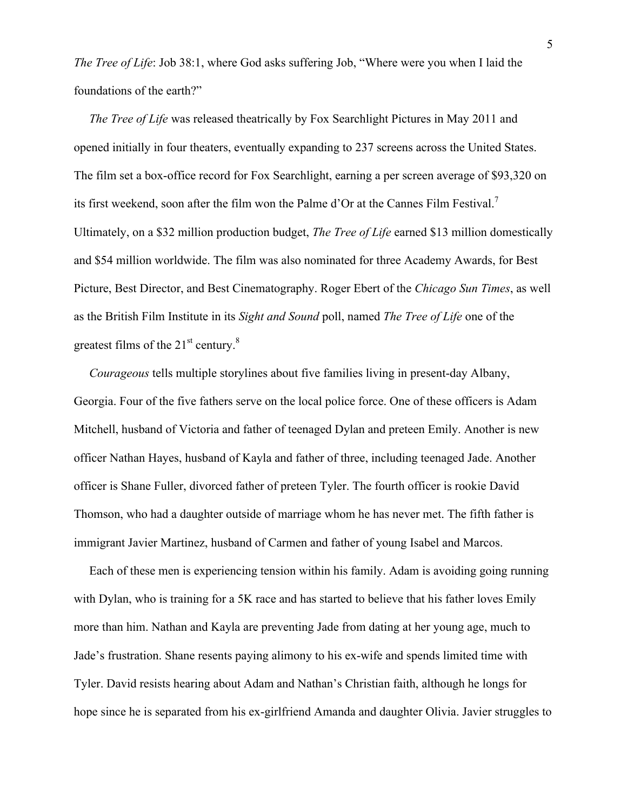*The Tree of Life*: Job 38:1, where God asks suffering Job, "Where were you when I laid the foundations of the earth?"

 *The Tree of Life* was released theatrically by Fox Searchlight Pictures in May 2011 and opened initially in four theaters, eventually expanding to 237 screens across the United States. The film set a box-office record for Fox Searchlight, earning a per screen average of \$93,320 on its first weekend, soon after the film won the Palme d'Or at the Cannes Film Festival.<sup>7</sup> Ultimately, on a \$32 million production budget, *The Tree of Life* earned \$13 million domestically and \$54 million worldwide. The film was also nominated for three Academy Awards, for Best Picture, Best Director, and Best Cinematography. Roger Ebert of the *Chicago Sun Times*, as well as the British Film Institute in its *Sight and Sound* poll, named *The Tree of Life* one of the greatest films of the  $21<sup>st</sup>$  century.<sup>8</sup>

 *Courageous* tells multiple storylines about five families living in present-day Albany, Georgia. Four of the five fathers serve on the local police force. One of these officers is Adam Mitchell, husband of Victoria and father of teenaged Dylan and preteen Emily. Another is new officer Nathan Hayes, husband of Kayla and father of three, including teenaged Jade. Another officer is Shane Fuller, divorced father of preteen Tyler. The fourth officer is rookie David Thomson, who had a daughter outside of marriage whom he has never met. The fifth father is immigrant Javier Martinez, husband of Carmen and father of young Isabel and Marcos.

 Each of these men is experiencing tension within his family. Adam is avoiding going running with Dylan, who is training for a 5K race and has started to believe that his father loves Emily more than him. Nathan and Kayla are preventing Jade from dating at her young age, much to Jade's frustration. Shane resents paying alimony to his ex-wife and spends limited time with Tyler. David resists hearing about Adam and Nathan's Christian faith, although he longs for hope since he is separated from his ex-girlfriend Amanda and daughter Olivia. Javier struggles to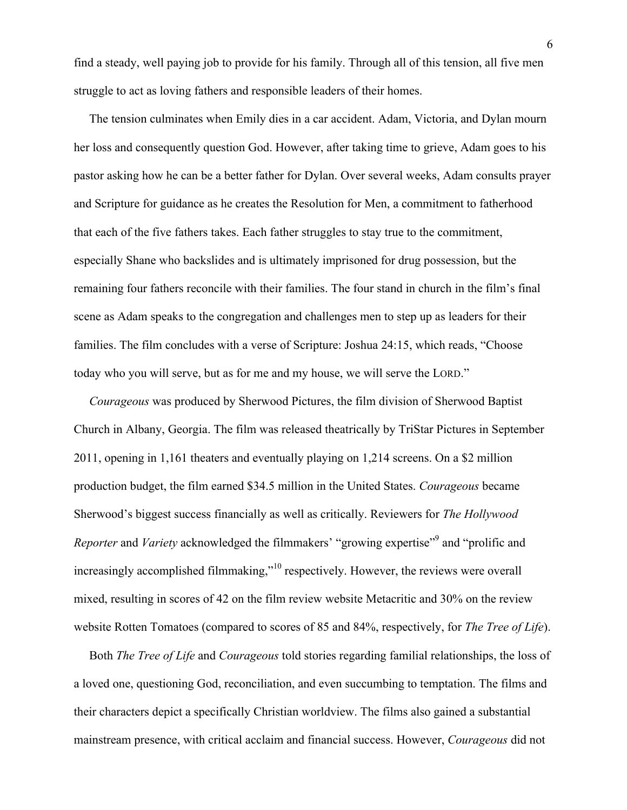find a steady, well paying job to provide for his family. Through all of this tension, all five men struggle to act as loving fathers and responsible leaders of their homes.

 The tension culminates when Emily dies in a car accident. Adam, Victoria, and Dylan mourn her loss and consequently question God. However, after taking time to grieve, Adam goes to his pastor asking how he can be a better father for Dylan. Over several weeks, Adam consults prayer and Scripture for guidance as he creates the Resolution for Men, a commitment to fatherhood that each of the five fathers takes. Each father struggles to stay true to the commitment, especially Shane who backslides and is ultimately imprisoned for drug possession, but the remaining four fathers reconcile with their families. The four stand in church in the film's final scene as Adam speaks to the congregation and challenges men to step up as leaders for their families. The film concludes with a verse of Scripture: Joshua 24:15, which reads, "Choose today who you will serve, but as for me and my house, we will serve the LORD."

 *Courageous* was produced by Sherwood Pictures, the film division of Sherwood Baptist Church in Albany, Georgia. The film was released theatrically by TriStar Pictures in September 2011, opening in 1,161 theaters and eventually playing on 1,214 screens. On a \$2 million production budget, the film earned \$34.5 million in the United States. *Courageous* became Sherwood's biggest success financially as well as critically. Reviewers for *The Hollywood Reporter* and *Variety* acknowledged the filmmakers' "growing expertise"<sup>9</sup> and "prolific and increasingly accomplished filmmaking,"10 respectively. However, the reviews were overall mixed, resulting in scores of 42 on the film review website Metacritic and 30% on the review website Rotten Tomatoes (compared to scores of 85 and 84%, respectively, for *The Tree of Life*).

 Both *The Tree of Life* and *Courageous* told stories regarding familial relationships, the loss of a loved one, questioning God, reconciliation, and even succumbing to temptation. The films and their characters depict a specifically Christian worldview. The films also gained a substantial mainstream presence, with critical acclaim and financial success. However, *Courageous* did not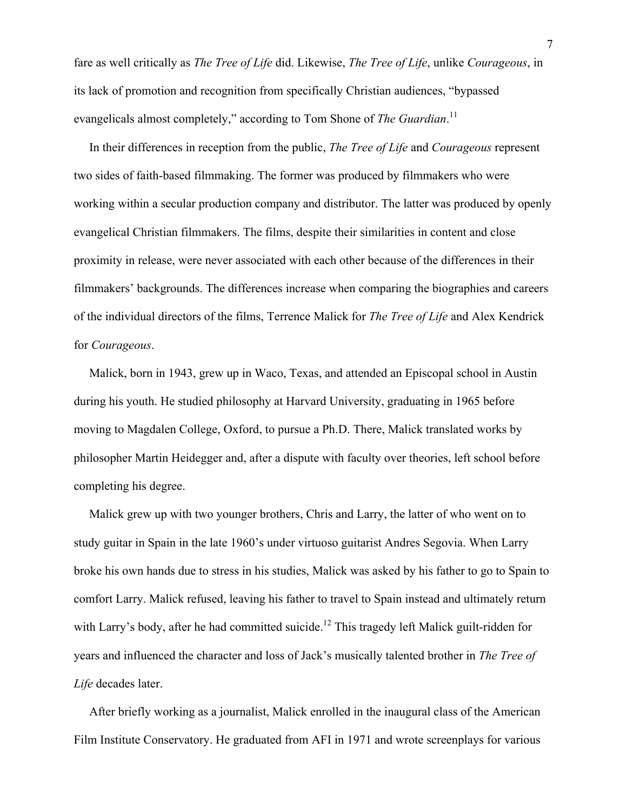fare as well critically as *The Tree of Life* did. Likewise, *The Tree of Life*, unlike *Courageous*, in its lack of promotion and recognition from specifically Christian audiences, "bypassed evangelicals almost completely," according to Tom Shone of *The Guardian*. 11

 In their differences in reception from the public, *The Tree of Life* and *Courageous* represent two sides of faith-based filmmaking. The former was produced by filmmakers who were working within a secular production company and distributor. The latter was produced by openly evangelical Christian filmmakers. The films, despite their similarities in content and close proximity in release, were never associated with each other because of the differences in their filmmakers' backgrounds. The differences increase when comparing the biographies and careers of the individual directors of the films, Terrence Malick for *The Tree of Life* and Alex Kendrick for *Courageous*.

 Malick, born in 1943, grew up in Waco, Texas, and attended an Episcopal school in Austin during his youth. He studied philosophy at Harvard University, graduating in 1965 before moving to Magdalen College, Oxford, to pursue a Ph.D. There, Malick translated works by philosopher Martin Heidegger and, after a dispute with faculty over theories, left school before completing his degree.

 Malick grew up with two younger brothers, Chris and Larry, the latter of who went on to study guitar in Spain in the late 1960's under virtuoso guitarist Andres Segovia. When Larry broke his own hands due to stress in his studies, Malick was asked by his father to go to Spain to comfort Larry. Malick refused, leaving his father to travel to Spain instead and ultimately return with Larry's body, after he had committed suicide.<sup>12</sup> This tragedy left Malick guilt-ridden for years and influenced the character and loss of Jack's musically talented brother in *The Tree of Life* decades later.

 After briefly working as a journalist, Malick enrolled in the inaugural class of the American Film Institute Conservatory. He graduated from AFI in 1971 and wrote screenplays for various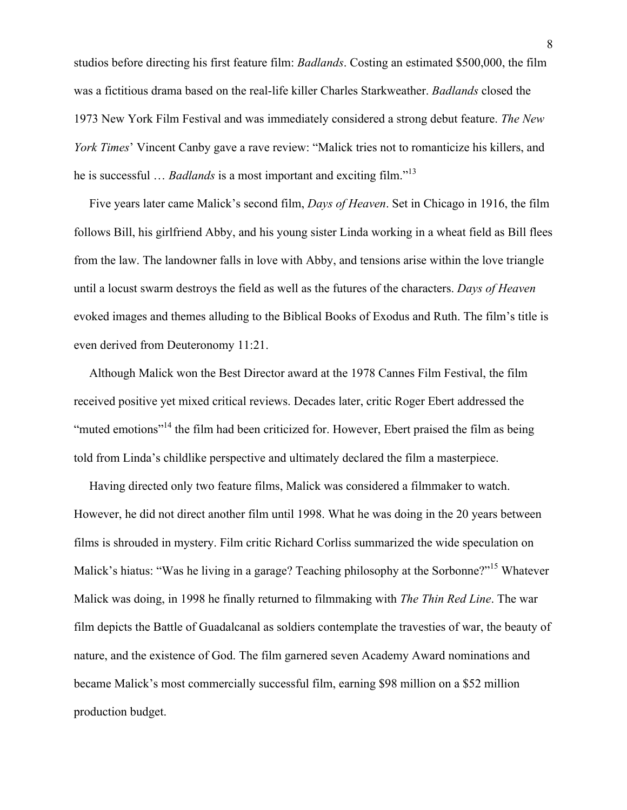studios before directing his first feature film: *Badlands*. Costing an estimated \$500,000, the film was a fictitious drama based on the real-life killer Charles Starkweather. *Badlands* closed the 1973 New York Film Festival and was immediately considered a strong debut feature. *The New York Times*' Vincent Canby gave a rave review: "Malick tries not to romanticize his killers, and he is successful … *Badlands* is a most important and exciting film."<sup>13</sup>

 Five years later came Malick's second film, *Days of Heaven*. Set in Chicago in 1916, the film follows Bill, his girlfriend Abby, and his young sister Linda working in a wheat field as Bill flees from the law. The landowner falls in love with Abby, and tensions arise within the love triangle until a locust swarm destroys the field as well as the futures of the characters. *Days of Heaven* evoked images and themes alluding to the Biblical Books of Exodus and Ruth. The film's title is even derived from Deuteronomy 11:21.

 Although Malick won the Best Director award at the 1978 Cannes Film Festival, the film received positive yet mixed critical reviews. Decades later, critic Roger Ebert addressed the "muted emotions"<sup>14</sup> the film had been criticized for. However, Ebert praised the film as being told from Linda's childlike perspective and ultimately declared the film a masterpiece.

 Having directed only two feature films, Malick was considered a filmmaker to watch. However, he did not direct another film until 1998. What he was doing in the 20 years between films is shrouded in mystery. Film critic Richard Corliss summarized the wide speculation on Malick's hiatus: "Was he living in a garage? Teaching philosophy at the Sorbonne?"15 Whatever Malick was doing, in 1998 he finally returned to filmmaking with *The Thin Red Line*. The war film depicts the Battle of Guadalcanal as soldiers contemplate the travesties of war, the beauty of nature, and the existence of God. The film garnered seven Academy Award nominations and became Malick's most commercially successful film, earning \$98 million on a \$52 million production budget.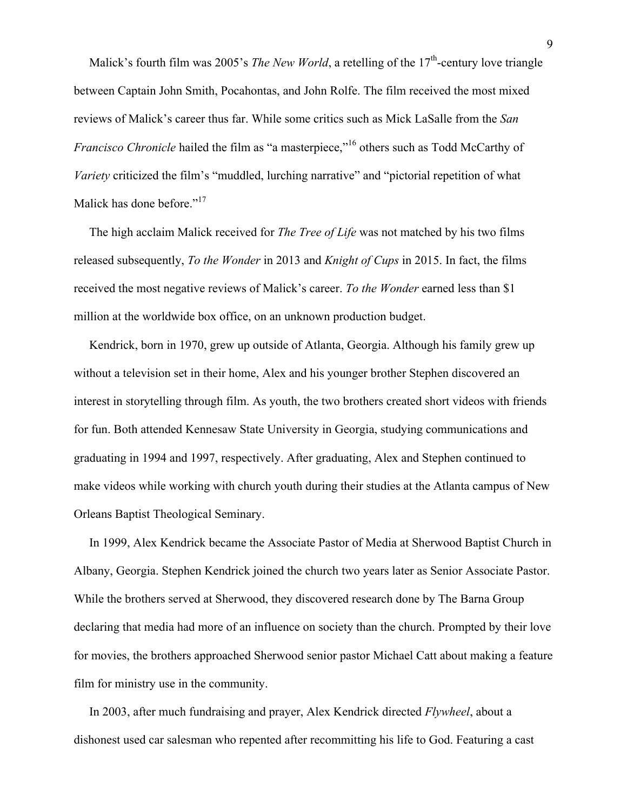Malick's fourth film was 2005's *The New World*, a retelling of the  $17<sup>th</sup>$ -century love triangle between Captain John Smith, Pocahontas, and John Rolfe. The film received the most mixed reviews of Malick's career thus far. While some critics such as Mick LaSalle from the *San Francisco Chronicle* hailed the film as "a masterpiece,"<sup>16</sup> others such as Todd McCarthy of *Variety* criticized the film's "muddled, lurching narrative" and "pictorial repetition of what Malick has done before."<sup>17</sup>

 The high acclaim Malick received for *The Tree of Life* was not matched by his two films released subsequently, *To the Wonder* in 2013 and *Knight of Cups* in 2015. In fact, the films received the most negative reviews of Malick's career. *To the Wonder* earned less than \$1 million at the worldwide box office, on an unknown production budget.

 Kendrick, born in 1970, grew up outside of Atlanta, Georgia. Although his family grew up without a television set in their home, Alex and his younger brother Stephen discovered an interest in storytelling through film. As youth, the two brothers created short videos with friends for fun. Both attended Kennesaw State University in Georgia, studying communications and graduating in 1994 and 1997, respectively. After graduating, Alex and Stephen continued to make videos while working with church youth during their studies at the Atlanta campus of New Orleans Baptist Theological Seminary.

 In 1999, Alex Kendrick became the Associate Pastor of Media at Sherwood Baptist Church in Albany, Georgia. Stephen Kendrick joined the church two years later as Senior Associate Pastor. While the brothers served at Sherwood, they discovered research done by The Barna Group declaring that media had more of an influence on society than the church. Prompted by their love for movies, the brothers approached Sherwood senior pastor Michael Catt about making a feature film for ministry use in the community.

 In 2003, after much fundraising and prayer, Alex Kendrick directed *Flywheel*, about a dishonest used car salesman who repented after recommitting his life to God. Featuring a cast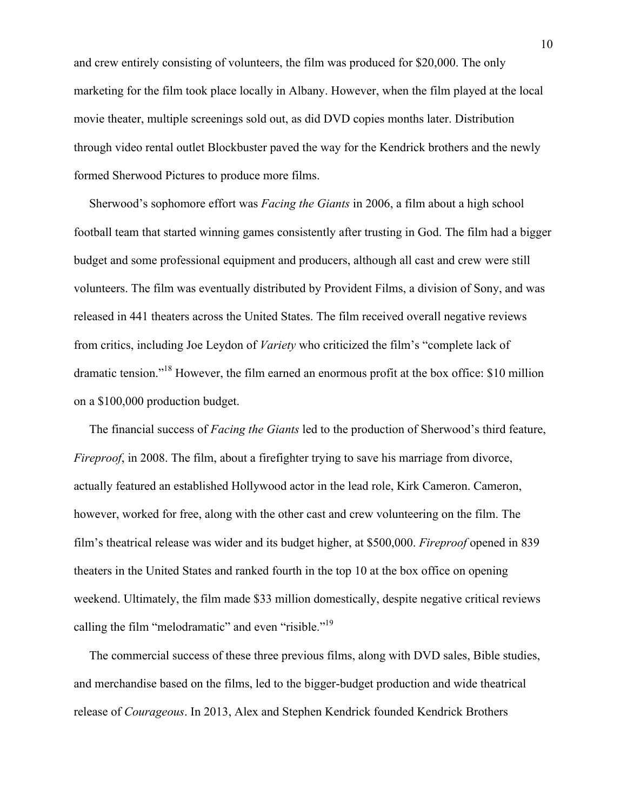and crew entirely consisting of volunteers, the film was produced for \$20,000. The only marketing for the film took place locally in Albany. However, when the film played at the local movie theater, multiple screenings sold out, as did DVD copies months later. Distribution through video rental outlet Blockbuster paved the way for the Kendrick brothers and the newly formed Sherwood Pictures to produce more films.

 Sherwood's sophomore effort was *Facing the Giants* in 2006, a film about a high school football team that started winning games consistently after trusting in God. The film had a bigger budget and some professional equipment and producers, although all cast and crew were still volunteers. The film was eventually distributed by Provident Films, a division of Sony, and was released in 441 theaters across the United States. The film received overall negative reviews from critics, including Joe Leydon of *Variety* who criticized the film's "complete lack of dramatic tension."18 However, the film earned an enormous profit at the box office: \$10 million on a \$100,000 production budget.

 The financial success of *Facing the Giants* led to the production of Sherwood's third feature, *Fireproof*, in 2008. The film, about a firefighter trying to save his marriage from divorce, actually featured an established Hollywood actor in the lead role, Kirk Cameron. Cameron, however, worked for free, along with the other cast and crew volunteering on the film. The film's theatrical release was wider and its budget higher, at \$500,000. *Fireproof* opened in 839 theaters in the United States and ranked fourth in the top 10 at the box office on opening weekend. Ultimately, the film made \$33 million domestically, despite negative critical reviews calling the film "melodramatic" and even "risible."<sup>19</sup>

 The commercial success of these three previous films, along with DVD sales, Bible studies, and merchandise based on the films, led to the bigger-budget production and wide theatrical release of *Courageous*. In 2013, Alex and Stephen Kendrick founded Kendrick Brothers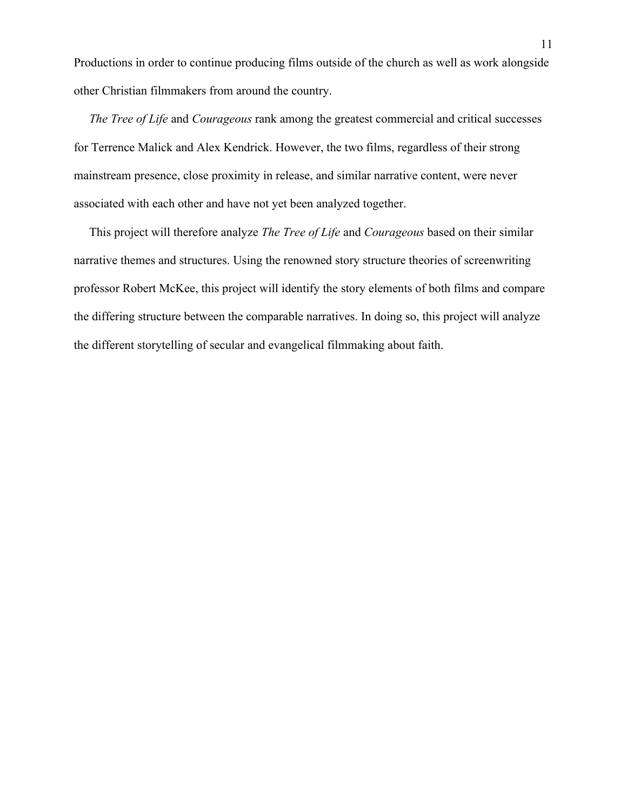Productions in order to continue producing films outside of the church as well as work alongside other Christian filmmakers from around the country.

 *The Tree of Life* and *Courageous* rank among the greatest commercial and critical successes for Terrence Malick and Alex Kendrick. However, the two films, regardless of their strong mainstream presence, close proximity in release, and similar narrative content, were never associated with each other and have not yet been analyzed together.

 This project will therefore analyze *The Tree of Life* and *Courageous* based on their similar narrative themes and structures. Using the renowned story structure theories of screenwriting professor Robert McKee, this project will identify the story elements of both films and compare the differing structure between the comparable narratives. In doing so, this project will analyze the different storytelling of secular and evangelical filmmaking about faith.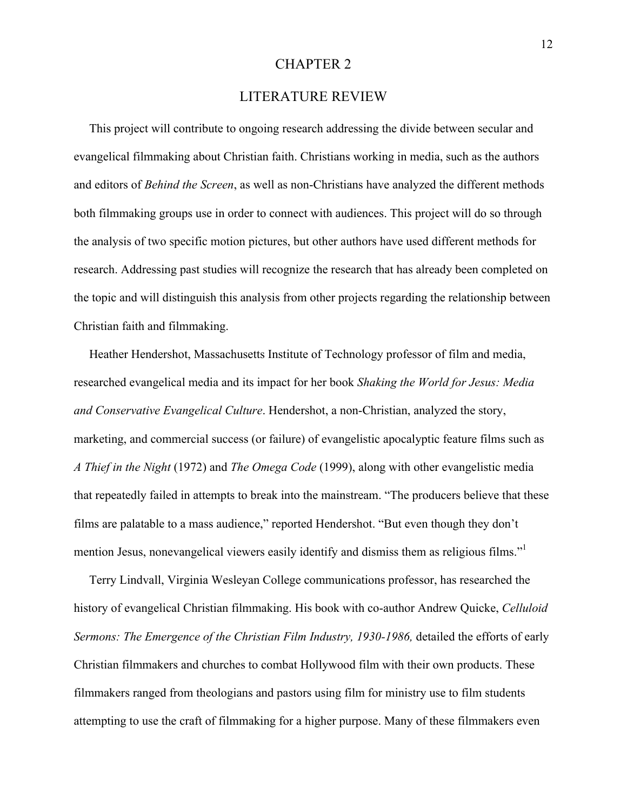## CHAPTER 2

## LITERATURE REVIEW

 This project will contribute to ongoing research addressing the divide between secular and evangelical filmmaking about Christian faith. Christians working in media, such as the authors and editors of *Behind the Screen*, as well as non-Christians have analyzed the different methods both filmmaking groups use in order to connect with audiences. This project will do so through the analysis of two specific motion pictures, but other authors have used different methods for research. Addressing past studies will recognize the research that has already been completed on the topic and will distinguish this analysis from other projects regarding the relationship between Christian faith and filmmaking.

 Heather Hendershot, Massachusetts Institute of Technology professor of film and media, researched evangelical media and its impact for her book *Shaking the World for Jesus: Media and Conservative Evangelical Culture*. Hendershot, a non-Christian, analyzed the story, marketing, and commercial success (or failure) of evangelistic apocalyptic feature films such as *A Thief in the Night* (1972) and *The Omega Code* (1999), along with other evangelistic media that repeatedly failed in attempts to break into the mainstream. "The producers believe that these films are palatable to a mass audience," reported Hendershot. "But even though they don't mention Jesus, nonevangelical viewers easily identify and dismiss them as religious films."<sup>1</sup>

 Terry Lindvall, Virginia Wesleyan College communications professor, has researched the history of evangelical Christian filmmaking. His book with co-author Andrew Quicke, *Celluloid Sermons: The Emergence of the Christian Film Industry, 1930-1986,* detailed the efforts of early Christian filmmakers and churches to combat Hollywood film with their own products. These filmmakers ranged from theologians and pastors using film for ministry use to film students attempting to use the craft of filmmaking for a higher purpose. Many of these filmmakers even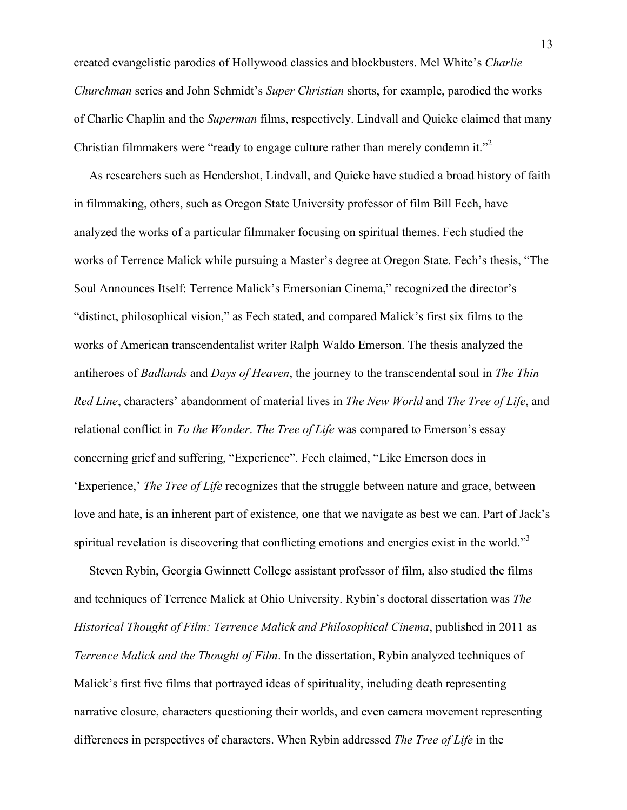created evangelistic parodies of Hollywood classics and blockbusters. Mel White's *Charlie Churchman* series and John Schmidt's *Super Christian* shorts, for example, parodied the works of Charlie Chaplin and the *Superman* films, respectively. Lindvall and Quicke claimed that many Christian filmmakers were "ready to engage culture rather than merely condemn it."<sup>2</sup>

 As researchers such as Hendershot, Lindvall, and Quicke have studied a broad history of faith in filmmaking, others, such as Oregon State University professor of film Bill Fech, have analyzed the works of a particular filmmaker focusing on spiritual themes. Fech studied the works of Terrence Malick while pursuing a Master's degree at Oregon State. Fech's thesis, "The Soul Announces Itself: Terrence Malick's Emersonian Cinema," recognized the director's "distinct, philosophical vision," as Fech stated, and compared Malick's first six films to the works of American transcendentalist writer Ralph Waldo Emerson. The thesis analyzed the antiheroes of *Badlands* and *Days of Heaven*, the journey to the transcendental soul in *The Thin Red Line*, characters' abandonment of material lives in *The New World* and *The Tree of Life*, and relational conflict in *To the Wonder*. *The Tree of Life* was compared to Emerson's essay concerning grief and suffering, "Experience". Fech claimed, "Like Emerson does in 'Experience,' *The Tree of Life* recognizes that the struggle between nature and grace, between love and hate, is an inherent part of existence, one that we navigate as best we can. Part of Jack's spiritual revelation is discovering that conflicting emotions and energies exist in the world."<sup>3</sup>

 Steven Rybin, Georgia Gwinnett College assistant professor of film, also studied the films and techniques of Terrence Malick at Ohio University. Rybin's doctoral dissertation was *The Historical Thought of Film: Terrence Malick and Philosophical Cinema*, published in 2011 as *Terrence Malick and the Thought of Film*. In the dissertation, Rybin analyzed techniques of Malick's first five films that portrayed ideas of spirituality, including death representing narrative closure, characters questioning their worlds, and even camera movement representing differences in perspectives of characters. When Rybin addressed *The Tree of Life* in the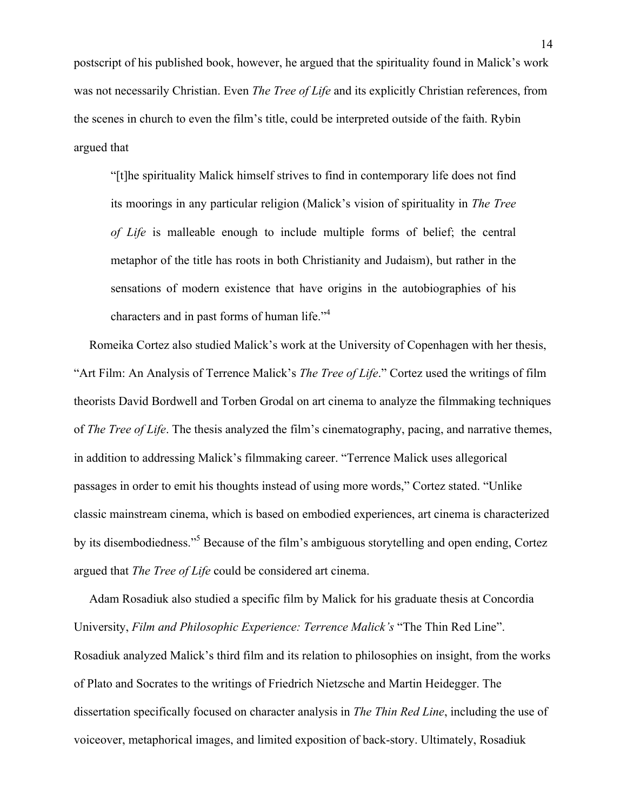postscript of his published book, however, he argued that the spirituality found in Malick's work was not necessarily Christian. Even *The Tree of Life* and its explicitly Christian references, from the scenes in church to even the film's title, could be interpreted outside of the faith. Rybin argued that

"[t]he spirituality Malick himself strives to find in contemporary life does not find its moorings in any particular religion (Malick's vision of spirituality in *The Tree of Life* is malleable enough to include multiple forms of belief; the central metaphor of the title has roots in both Christianity and Judaism), but rather in the sensations of modern existence that have origins in the autobiographies of his characters and in past forms of human life."<sup>4</sup>

 Romeika Cortez also studied Malick's work at the University of Copenhagen with her thesis, "Art Film: An Analysis of Terrence Malick's *The Tree of Life*." Cortez used the writings of film theorists David Bordwell and Torben Grodal on art cinema to analyze the filmmaking techniques of *The Tree of Life*. The thesis analyzed the film's cinematography, pacing, and narrative themes, in addition to addressing Malick's filmmaking career. "Terrence Malick uses allegorical passages in order to emit his thoughts instead of using more words," Cortez stated. "Unlike classic mainstream cinema, which is based on embodied experiences, art cinema is characterized by its disembodiedness."<sup>5</sup> Because of the film's ambiguous storytelling and open ending, Cortez argued that *The Tree of Life* could be considered art cinema.

 Adam Rosadiuk also studied a specific film by Malick for his graduate thesis at Concordia University, *Film and Philosophic Experience: Terrence Malick's* "The Thin Red Line". Rosadiuk analyzed Malick's third film and its relation to philosophies on insight, from the works of Plato and Socrates to the writings of Friedrich Nietzsche and Martin Heidegger. The dissertation specifically focused on character analysis in *The Thin Red Line*, including the use of voiceover, metaphorical images, and limited exposition of back-story. Ultimately, Rosadiuk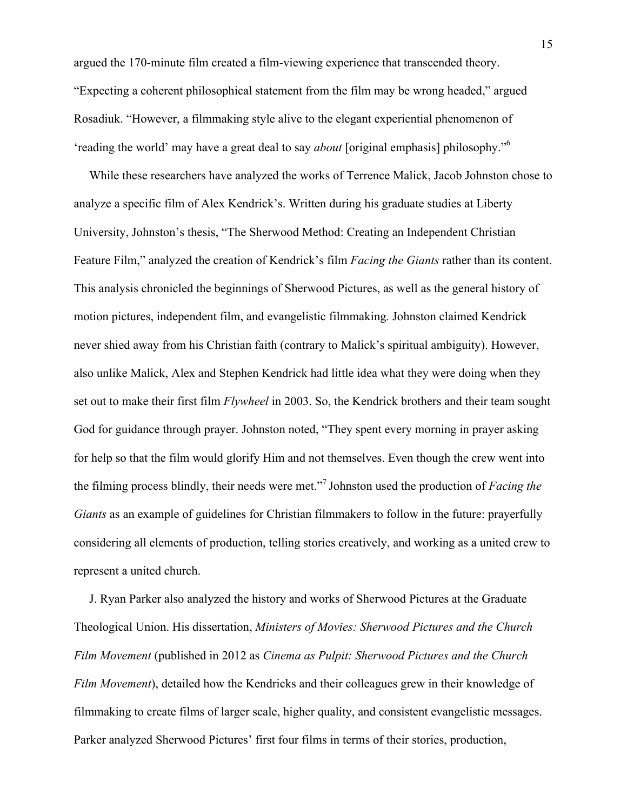argued the 170-minute film created a film-viewing experience that transcended theory. "Expecting a coherent philosophical statement from the film may be wrong headed," argued Rosadiuk. "However, a filmmaking style alive to the elegant experiential phenomenon of 'reading the world' may have a great deal to say *about* [original emphasis] philosophy."<sup>6</sup>

 While these researchers have analyzed the works of Terrence Malick, Jacob Johnston chose to analyze a specific film of Alex Kendrick's. Written during his graduate studies at Liberty University, Johnston's thesis, "The Sherwood Method: Creating an Independent Christian Feature Film," analyzed the creation of Kendrick's film *Facing the Giants* rather than its content. This analysis chronicled the beginnings of Sherwood Pictures, as well as the general history of motion pictures, independent film, and evangelistic filmmaking*.* Johnston claimed Kendrick never shied away from his Christian faith (contrary to Malick's spiritual ambiguity). However, also unlike Malick, Alex and Stephen Kendrick had little idea what they were doing when they set out to make their first film *Flywheel* in 2003. So, the Kendrick brothers and their team sought God for guidance through prayer. Johnston noted, "They spent every morning in prayer asking for help so that the film would glorify Him and not themselves. Even though the crew went into the filming process blindly, their needs were met."7 Johnston used the production of *Facing the Giants* as an example of guidelines for Christian filmmakers to follow in the future: prayerfully considering all elements of production, telling stories creatively, and working as a united crew to represent a united church.

 J. Ryan Parker also analyzed the history and works of Sherwood Pictures at the Graduate Theological Union. His dissertation, *Ministers of Movies: Sherwood Pictures and the Church Film Movement* (published in 2012 as *Cinema as Pulpit: Sherwood Pictures and the Church Film Movement*), detailed how the Kendricks and their colleagues grew in their knowledge of filmmaking to create films of larger scale, higher quality, and consistent evangelistic messages. Parker analyzed Sherwood Pictures' first four films in terms of their stories, production,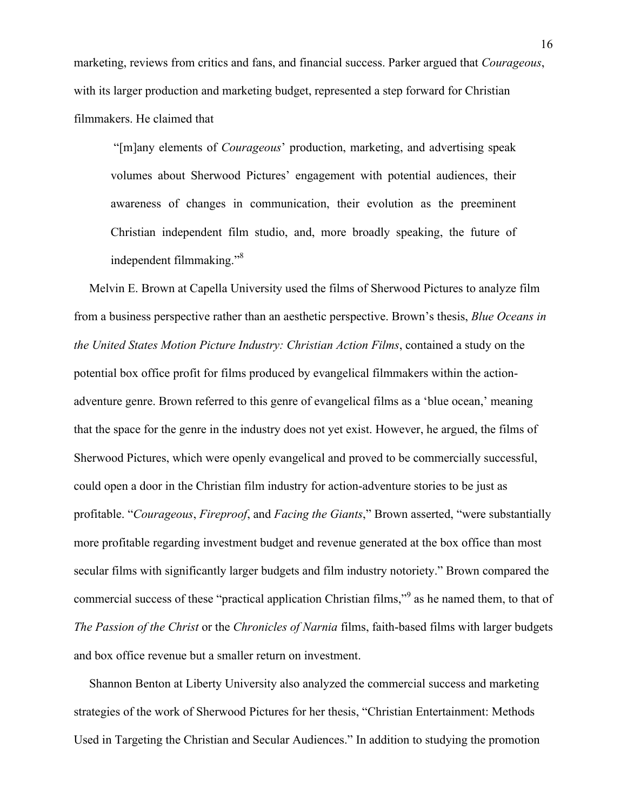marketing, reviews from critics and fans, and financial success. Parker argued that *Courageous*, with its larger production and marketing budget, represented a step forward for Christian filmmakers. He claimed that

 "[m]any elements of *Courageous*' production, marketing, and advertising speak volumes about Sherwood Pictures' engagement with potential audiences, their awareness of changes in communication, their evolution as the preeminent Christian independent film studio, and, more broadly speaking, the future of independent filmmaking."<sup>8</sup>

 Melvin E. Brown at Capella University used the films of Sherwood Pictures to analyze film from a business perspective rather than an aesthetic perspective. Brown's thesis, *Blue Oceans in the United States Motion Picture Industry: Christian Action Films*, contained a study on the potential box office profit for films produced by evangelical filmmakers within the actionadventure genre. Brown referred to this genre of evangelical films as a 'blue ocean,' meaning that the space for the genre in the industry does not yet exist. However, he argued, the films of Sherwood Pictures, which were openly evangelical and proved to be commercially successful, could open a door in the Christian film industry for action-adventure stories to be just as profitable. "*Courageous*, *Fireproof*, and *Facing the Giants*," Brown asserted, "were substantially more profitable regarding investment budget and revenue generated at the box office than most secular films with significantly larger budgets and film industry notoriety." Brown compared the commercial success of these "practical application Christian films,"<sup>9</sup> as he named them, to that of *The Passion of the Christ* or the *Chronicles of Narnia* films, faith-based films with larger budgets and box office revenue but a smaller return on investment.

 Shannon Benton at Liberty University also analyzed the commercial success and marketing strategies of the work of Sherwood Pictures for her thesis, "Christian Entertainment: Methods Used in Targeting the Christian and Secular Audiences." In addition to studying the promotion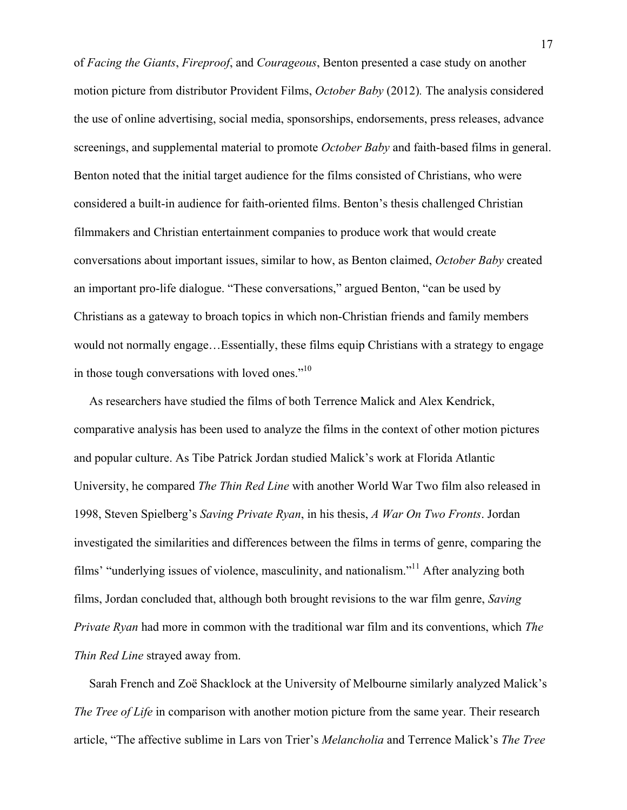of *Facing the Giants*, *Fireproof*, and *Courageous*, Benton presented a case study on another motion picture from distributor Provident Films, *October Baby* (2012)*.* The analysis considered the use of online advertising, social media, sponsorships, endorsements, press releases, advance screenings, and supplemental material to promote *October Baby* and faith-based films in general. Benton noted that the initial target audience for the films consisted of Christians, who were considered a built-in audience for faith-oriented films. Benton's thesis challenged Christian filmmakers and Christian entertainment companies to produce work that would create conversations about important issues, similar to how, as Benton claimed, *October Baby* created an important pro-life dialogue. "These conversations," argued Benton, "can be used by Christians as a gateway to broach topics in which non-Christian friends and family members would not normally engage…Essentially, these films equip Christians with a strategy to engage in those tough conversations with loved ones."<sup>10</sup>

 As researchers have studied the films of both Terrence Malick and Alex Kendrick, comparative analysis has been used to analyze the films in the context of other motion pictures and popular culture. As Tibe Patrick Jordan studied Malick's work at Florida Atlantic University, he compared *The Thin Red Line* with another World War Two film also released in 1998, Steven Spielberg's *Saving Private Ryan*, in his thesis, *A War On Two Fronts*. Jordan investigated the similarities and differences between the films in terms of genre, comparing the films' "underlying issues of violence, masculinity, and nationalism."11 After analyzing both films, Jordan concluded that, although both brought revisions to the war film genre, *Saving Private Ryan* had more in common with the traditional war film and its conventions, which *The Thin Red Line* strayed away from.

 Sarah French and Zoë Shacklock at the University of Melbourne similarly analyzed Malick's *The Tree of Life* in comparison with another motion picture from the same year. Their research article, "The affective sublime in Lars von Trier's *Melancholia* and Terrence Malick's *The Tree*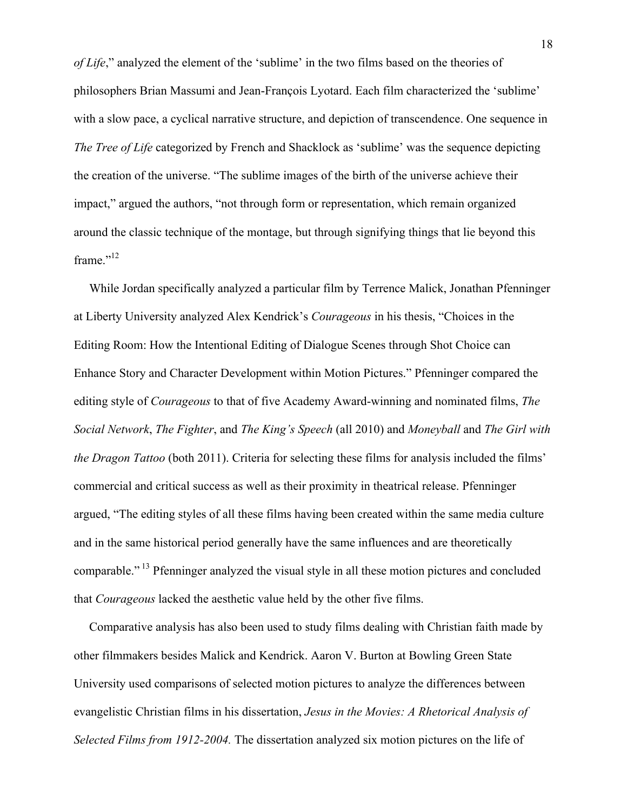*of Life*," analyzed the element of the 'sublime' in the two films based on the theories of philosophers Brian Massumi and Jean-François Lyotard. Each film characterized the 'sublime' with a slow pace, a cyclical narrative structure, and depiction of transcendence. One sequence in *The Tree of Life* categorized by French and Shacklock as 'sublime' was the sequence depicting the creation of the universe. "The sublime images of the birth of the universe achieve their impact," argued the authors, "not through form or representation, which remain organized around the classic technique of the montage, but through signifying things that lie beyond this frame."<sup>12</sup>

 While Jordan specifically analyzed a particular film by Terrence Malick, Jonathan Pfenninger at Liberty University analyzed Alex Kendrick's *Courageous* in his thesis, "Choices in the Editing Room: How the Intentional Editing of Dialogue Scenes through Shot Choice can Enhance Story and Character Development within Motion Pictures." Pfenninger compared the editing style of *Courageous* to that of five Academy Award-winning and nominated films, *The Social Network*, *The Fighter*, and *The King's Speech* (all 2010) and *Moneyball* and *The Girl with the Dragon Tattoo* (both 2011). Criteria for selecting these films for analysis included the films' commercial and critical success as well as their proximity in theatrical release. Pfenninger argued, "The editing styles of all these films having been created within the same media culture and in the same historical period generally have the same influences and are theoretically comparable." 13 Pfenninger analyzed the visual style in all these motion pictures and concluded that *Courageous* lacked the aesthetic value held by the other five films.

 Comparative analysis has also been used to study films dealing with Christian faith made by other filmmakers besides Malick and Kendrick. Aaron V. Burton at Bowling Green State University used comparisons of selected motion pictures to analyze the differences between evangelistic Christian films in his dissertation, *Jesus in the Movies: A Rhetorical Analysis of Selected Films from 1912-2004.* The dissertation analyzed six motion pictures on the life of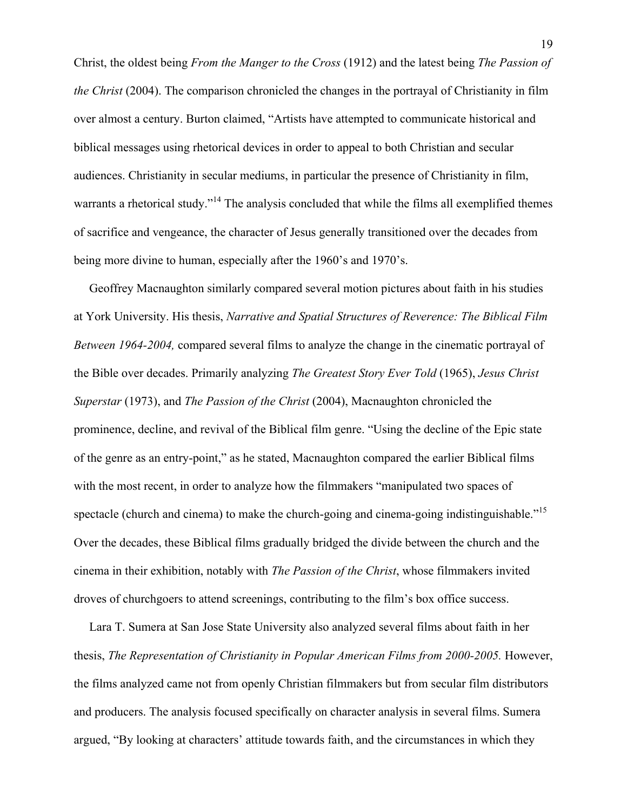Christ, the oldest being *From the Manger to the Cross* (1912) and the latest being *The Passion of the Christ* (2004). The comparison chronicled the changes in the portrayal of Christianity in film over almost a century. Burton claimed, "Artists have attempted to communicate historical and biblical messages using rhetorical devices in order to appeal to both Christian and secular audiences. Christianity in secular mediums, in particular the presence of Christianity in film, warrants a rhetorical study."<sup>14</sup> The analysis concluded that while the films all exemplified themes of sacrifice and vengeance, the character of Jesus generally transitioned over the decades from being more divine to human, especially after the 1960's and 1970's.

 Geoffrey Macnaughton similarly compared several motion pictures about faith in his studies at York University. His thesis, *Narrative and Spatial Structures of Reverence: The Biblical Film Between 1964-2004,* compared several films to analyze the change in the cinematic portrayal of the Bible over decades. Primarily analyzing *The Greatest Story Ever Told* (1965), *Jesus Christ Superstar* (1973), and *The Passion of the Christ* (2004), Macnaughton chronicled the prominence, decline, and revival of the Biblical film genre. "Using the decline of the Epic state of the genre as an entry-point," as he stated, Macnaughton compared the earlier Biblical films with the most recent, in order to analyze how the filmmakers "manipulated two spaces of spectacle (church and cinema) to make the church-going and cinema-going indistinguishable."<sup>15</sup> Over the decades, these Biblical films gradually bridged the divide between the church and the cinema in their exhibition, notably with *The Passion of the Christ*, whose filmmakers invited droves of churchgoers to attend screenings, contributing to the film's box office success.

 Lara T. Sumera at San Jose State University also analyzed several films about faith in her thesis, *The Representation of Christianity in Popular American Films from 2000-2005.* However, the films analyzed came not from openly Christian filmmakers but from secular film distributors and producers. The analysis focused specifically on character analysis in several films. Sumera argued, "By looking at characters' attitude towards faith, and the circumstances in which they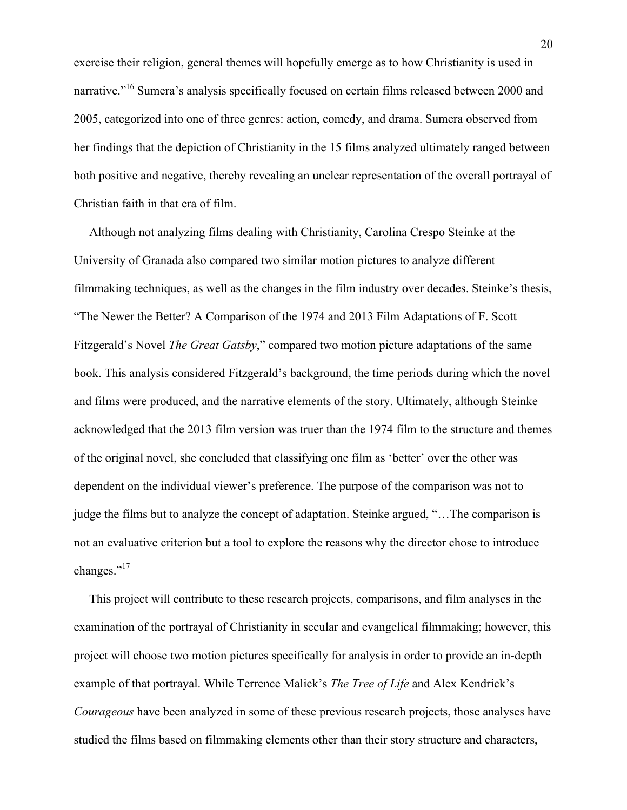exercise their religion, general themes will hopefully emerge as to how Christianity is used in narrative."<sup>16</sup> Sumera's analysis specifically focused on certain films released between 2000 and 2005, categorized into one of three genres: action, comedy, and drama. Sumera observed from her findings that the depiction of Christianity in the 15 films analyzed ultimately ranged between both positive and negative, thereby revealing an unclear representation of the overall portrayal of Christian faith in that era of film.

 Although not analyzing films dealing with Christianity, Carolina Crespo Steinke at the University of Granada also compared two similar motion pictures to analyze different filmmaking techniques, as well as the changes in the film industry over decades. Steinke's thesis, "The Newer the Better? A Comparison of the 1974 and 2013 Film Adaptations of F. Scott Fitzgerald's Novel *The Great Gatsby*," compared two motion picture adaptations of the same book. This analysis considered Fitzgerald's background, the time periods during which the novel and films were produced, and the narrative elements of the story. Ultimately, although Steinke acknowledged that the 2013 film version was truer than the 1974 film to the structure and themes of the original novel, she concluded that classifying one film as 'better' over the other was dependent on the individual viewer's preference. The purpose of the comparison was not to judge the films but to analyze the concept of adaptation. Steinke argued, "…The comparison is not an evaluative criterion but a tool to explore the reasons why the director chose to introduce changes."<sup>17</sup>

 This project will contribute to these research projects, comparisons, and film analyses in the examination of the portrayal of Christianity in secular and evangelical filmmaking; however, this project will choose two motion pictures specifically for analysis in order to provide an in-depth example of that portrayal. While Terrence Malick's *The Tree of Life* and Alex Kendrick's *Courageous* have been analyzed in some of these previous research projects, those analyses have studied the films based on filmmaking elements other than their story structure and characters,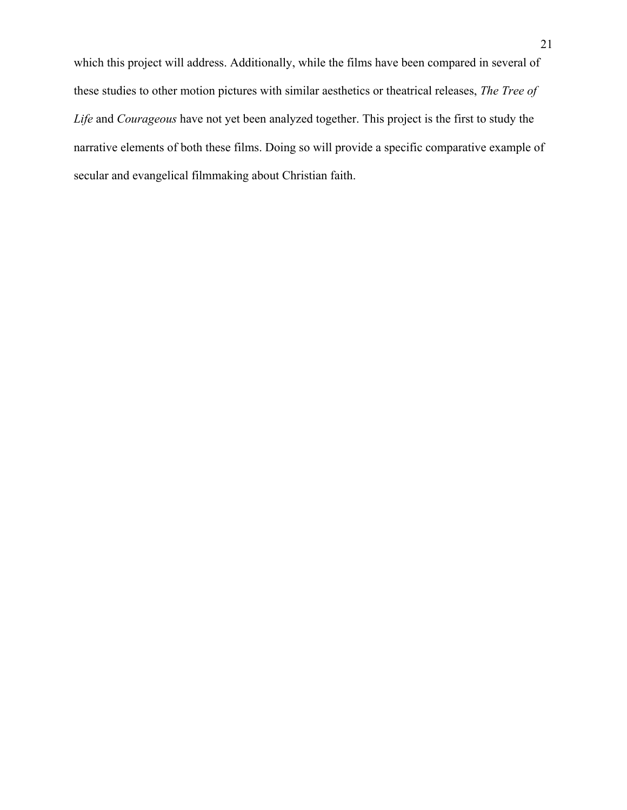which this project will address. Additionally, while the films have been compared in several of these studies to other motion pictures with similar aesthetics or theatrical releases, *The Tree of Life* and *Courageous* have not yet been analyzed together. This project is the first to study the narrative elements of both these films. Doing so will provide a specific comparative example of secular and evangelical filmmaking about Christian faith.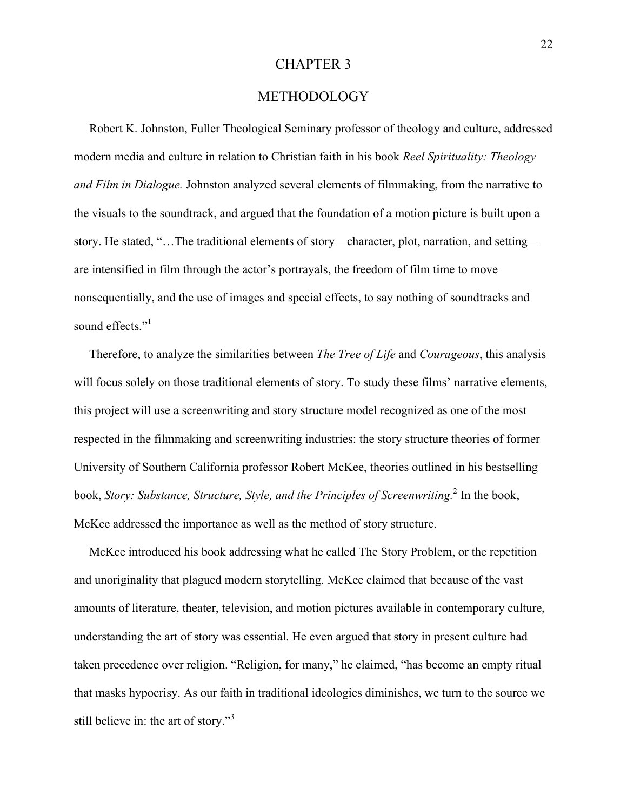## CHAPTER 3

## **METHODOLOGY**

 Robert K. Johnston, Fuller Theological Seminary professor of theology and culture, addressed modern media and culture in relation to Christian faith in his book *Reel Spirituality: Theology and Film in Dialogue.* Johnston analyzed several elements of filmmaking, from the narrative to the visuals to the soundtrack, and argued that the foundation of a motion picture is built upon a story. He stated, "…The traditional elements of story—character, plot, narration, and setting are intensified in film through the actor's portrayals, the freedom of film time to move nonsequentially, and the use of images and special effects, to say nothing of soundtracks and sound effects."

 Therefore, to analyze the similarities between *The Tree of Life* and *Courageous*, this analysis will focus solely on those traditional elements of story. To study these films' narrative elements, this project will use a screenwriting and story structure model recognized as one of the most respected in the filmmaking and screenwriting industries: the story structure theories of former University of Southern California professor Robert McKee, theories outlined in his bestselling book, *Story: Substance, Structure, Style, and the Principles of Screenwriting.*<sup>2</sup> In the book, McKee addressed the importance as well as the method of story structure.

 McKee introduced his book addressing what he called The Story Problem, or the repetition and unoriginality that plagued modern storytelling. McKee claimed that because of the vast amounts of literature, theater, television, and motion pictures available in contemporary culture, understanding the art of story was essential. He even argued that story in present culture had taken precedence over religion. "Religion, for many," he claimed, "has become an empty ritual that masks hypocrisy. As our faith in traditional ideologies diminishes, we turn to the source we still believe in: the art of story."<sup>3</sup>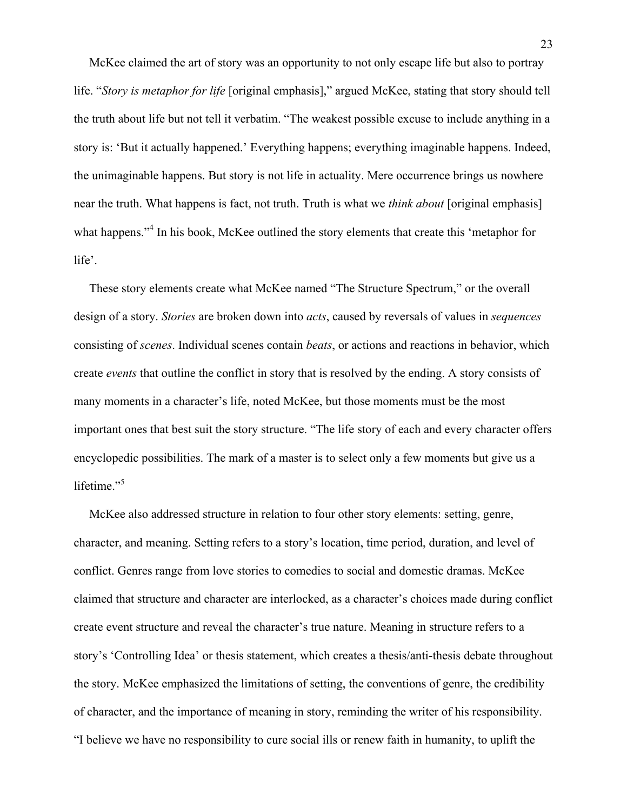McKee claimed the art of story was an opportunity to not only escape life but also to portray life. "*Story is metaphor for life* [original emphasis]," argued McKee, stating that story should tell the truth about life but not tell it verbatim. "The weakest possible excuse to include anything in a story is: 'But it actually happened.' Everything happens; everything imaginable happens. Indeed, the unimaginable happens. But story is not life in actuality. Mere occurrence brings us nowhere near the truth. What happens is fact, not truth. Truth is what we *think about* [original emphasis] what happens."<sup>4</sup> In his book, McKee outlined the story elements that create this 'metaphor for life'.

 These story elements create what McKee named "The Structure Spectrum," or the overall design of a story. *Stories* are broken down into *acts*, caused by reversals of values in *sequences* consisting of *scenes*. Individual scenes contain *beats*, or actions and reactions in behavior, which create *events* that outline the conflict in story that is resolved by the ending. A story consists of many moments in a character's life, noted McKee, but those moments must be the most important ones that best suit the story structure. "The life story of each and every character offers encyclopedic possibilities. The mark of a master is to select only a few moments but give us a lifetime."<sup>5</sup>

 McKee also addressed structure in relation to four other story elements: setting, genre, character, and meaning. Setting refers to a story's location, time period, duration, and level of conflict. Genres range from love stories to comedies to social and domestic dramas. McKee claimed that structure and character are interlocked, as a character's choices made during conflict create event structure and reveal the character's true nature. Meaning in structure refers to a story's 'Controlling Idea' or thesis statement, which creates a thesis/anti-thesis debate throughout the story. McKee emphasized the limitations of setting, the conventions of genre, the credibility of character, and the importance of meaning in story, reminding the writer of his responsibility. "I believe we have no responsibility to cure social ills or renew faith in humanity, to uplift the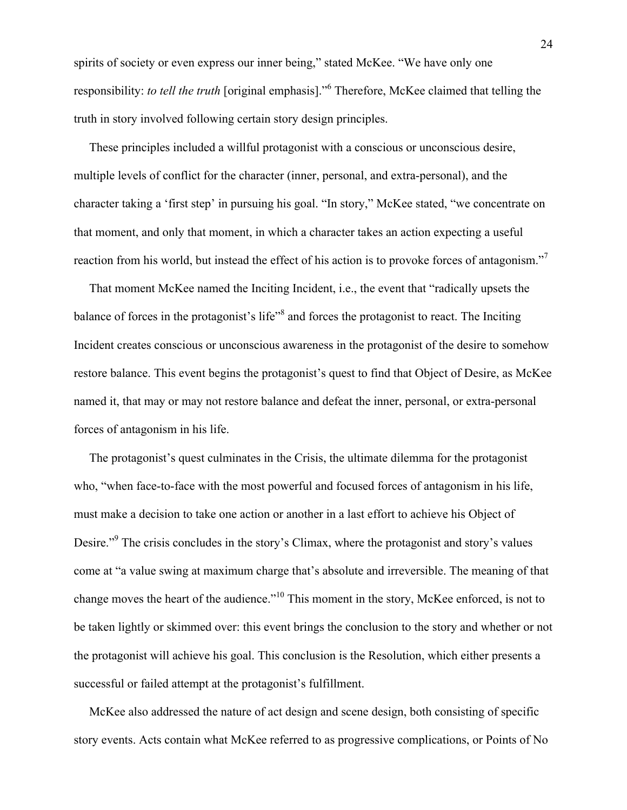spirits of society or even express our inner being," stated McKee. "We have only one responsibility: *to tell the truth* [original emphasis]."<sup>6</sup> Therefore, McKee claimed that telling the truth in story involved following certain story design principles.

 These principles included a willful protagonist with a conscious or unconscious desire, multiple levels of conflict for the character (inner, personal, and extra-personal), and the character taking a 'first step' in pursuing his goal. "In story," McKee stated, "we concentrate on that moment, and only that moment, in which a character takes an action expecting a useful reaction from his world, but instead the effect of his action is to provoke forces of antagonism."<sup>7</sup>

 That moment McKee named the Inciting Incident, i.e., the event that "radically upsets the balance of forces in the protagonist's life<sup>38</sup> and forces the protagonist to react. The Inciting Incident creates conscious or unconscious awareness in the protagonist of the desire to somehow restore balance. This event begins the protagonist's quest to find that Object of Desire, as McKee named it, that may or may not restore balance and defeat the inner, personal, or extra-personal forces of antagonism in his life.

 The protagonist's quest culminates in the Crisis, the ultimate dilemma for the protagonist who, "when face-to-face with the most powerful and focused forces of antagonism in his life, must make a decision to take one action or another in a last effort to achieve his Object of Desire."<sup>9</sup> The crisis concludes in the story's Climax, where the protagonist and story's values come at "a value swing at maximum charge that's absolute and irreversible. The meaning of that change moves the heart of the audience."10 This moment in the story, McKee enforced, is not to be taken lightly or skimmed over: this event brings the conclusion to the story and whether or not the protagonist will achieve his goal. This conclusion is the Resolution, which either presents a successful or failed attempt at the protagonist's fulfillment.

 McKee also addressed the nature of act design and scene design, both consisting of specific story events. Acts contain what McKee referred to as progressive complications, or Points of No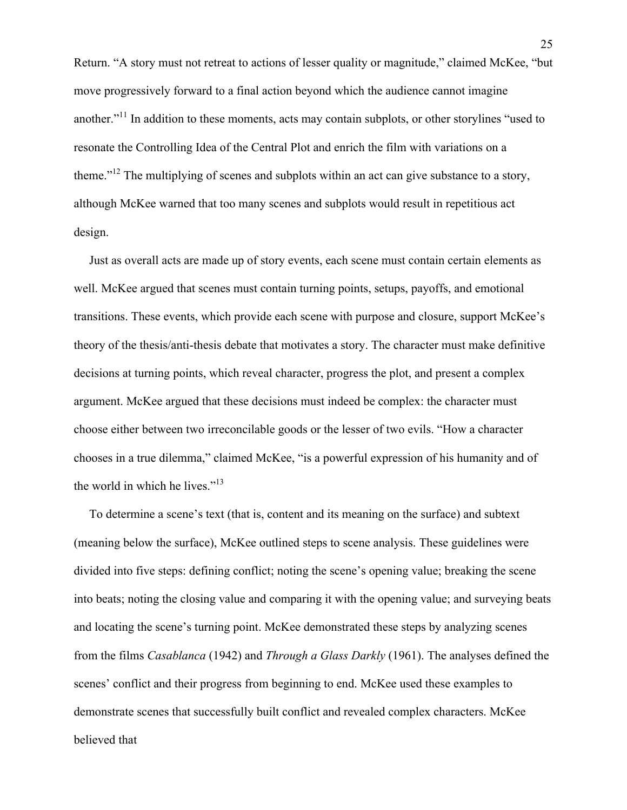Return. "A story must not retreat to actions of lesser quality or magnitude," claimed McKee, "but move progressively forward to a final action beyond which the audience cannot imagine another."<sup>11</sup> In addition to these moments, acts may contain subplots, or other storylines "used to resonate the Controlling Idea of the Central Plot and enrich the film with variations on a theme."<sup>12</sup> The multiplying of scenes and subplots within an act can give substance to a story, although McKee warned that too many scenes and subplots would result in repetitious act design.

 Just as overall acts are made up of story events, each scene must contain certain elements as well. McKee argued that scenes must contain turning points, setups, payoffs, and emotional transitions. These events, which provide each scene with purpose and closure, support McKee's theory of the thesis/anti-thesis debate that motivates a story. The character must make definitive decisions at turning points, which reveal character, progress the plot, and present a complex argument. McKee argued that these decisions must indeed be complex: the character must choose either between two irreconcilable goods or the lesser of two evils. "How a character chooses in a true dilemma," claimed McKee, "is a powerful expression of his humanity and of the world in which he lives." $13$ 

 To determine a scene's text (that is, content and its meaning on the surface) and subtext (meaning below the surface), McKee outlined steps to scene analysis. These guidelines were divided into five steps: defining conflict; noting the scene's opening value; breaking the scene into beats; noting the closing value and comparing it with the opening value; and surveying beats and locating the scene's turning point. McKee demonstrated these steps by analyzing scenes from the films *Casablanca* (1942) and *Through a Glass Darkly* (1961). The analyses defined the scenes' conflict and their progress from beginning to end. McKee used these examples to demonstrate scenes that successfully built conflict and revealed complex characters. McKee believed that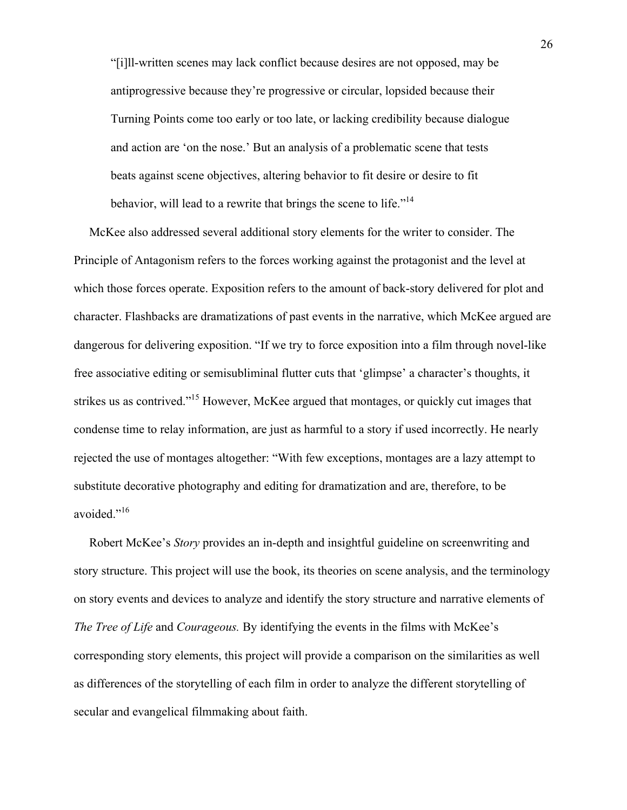"[i]ll-written scenes may lack conflict because desires are not opposed, may be antiprogressive because they're progressive or circular, lopsided because their Turning Points come too early or too late, or lacking credibility because dialogue and action are 'on the nose.' But an analysis of a problematic scene that tests beats against scene objectives, altering behavior to fit desire or desire to fit behavior, will lead to a rewrite that brings the scene to life.<sup> $14$ </sup>

 McKee also addressed several additional story elements for the writer to consider. The Principle of Antagonism refers to the forces working against the protagonist and the level at which those forces operate. Exposition refers to the amount of back-story delivered for plot and character. Flashbacks are dramatizations of past events in the narrative, which McKee argued are dangerous for delivering exposition. "If we try to force exposition into a film through novel-like free associative editing or semisubliminal flutter cuts that 'glimpse' a character's thoughts, it strikes us as contrived."15 However, McKee argued that montages, or quickly cut images that condense time to relay information, are just as harmful to a story if used incorrectly. He nearly rejected the use of montages altogether: "With few exceptions, montages are a lazy attempt to substitute decorative photography and editing for dramatization and are, therefore, to be avoided."16

 Robert McKee's *Story* provides an in-depth and insightful guideline on screenwriting and story structure. This project will use the book, its theories on scene analysis, and the terminology on story events and devices to analyze and identify the story structure and narrative elements of *The Tree of Life* and *Courageous.* By identifying the events in the films with McKee's corresponding story elements, this project will provide a comparison on the similarities as well as differences of the storytelling of each film in order to analyze the different storytelling of secular and evangelical filmmaking about faith.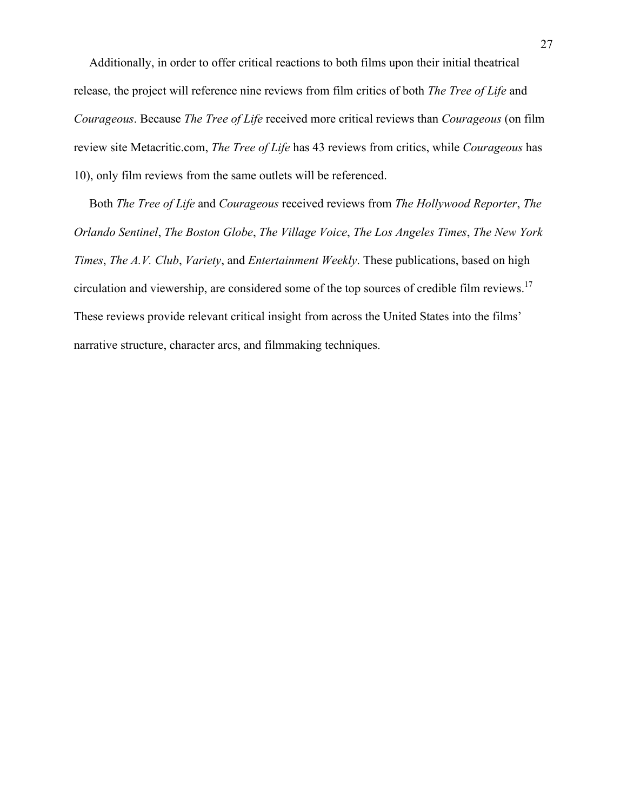Additionally, in order to offer critical reactions to both films upon their initial theatrical release, the project will reference nine reviews from film critics of both *The Tree of Life* and *Courageous*. Because *The Tree of Life* received more critical reviews than *Courageous* (on film review site Metacritic.com, *The Tree of Life* has 43 reviews from critics, while *Courageous* has 10), only film reviews from the same outlets will be referenced.

 Both *The Tree of Life* and *Courageous* received reviews from *The Hollywood Reporter*, *The Orlando Sentinel*, *The Boston Globe*, *The Village Voice*, *The Los Angeles Times*, *The New York Times*, *The A.V. Club*, *Variety*, and *Entertainment Weekly*. These publications, based on high circulation and viewership, are considered some of the top sources of credible film reviews.<sup>17</sup> These reviews provide relevant critical insight from across the United States into the films' narrative structure, character arcs, and filmmaking techniques.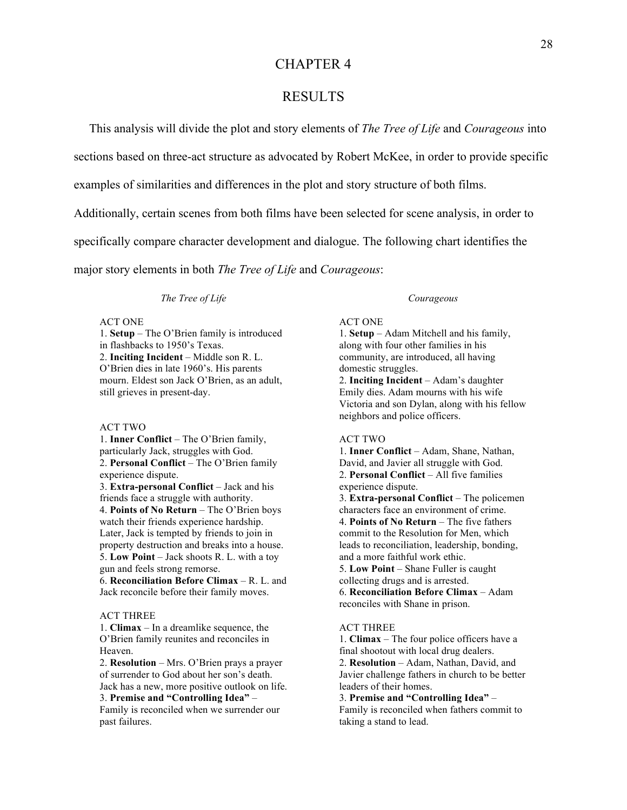#### CHAPTER 4

## **RESULTS**

This analysis will divide the plot and story elements of *The Tree of Life* and *Courageous* into

sections based on three-act structure as advocated by Robert McKee, in order to provide specific

examples of similarities and differences in the plot and story structure of both films.

Additionally, certain scenes from both films have been selected for scene analysis, in order to

specifically compare character development and dialogue. The following chart identifies the

major story elements in both *The Tree of Life* and *Courageous*:

#### *The Tree of Life*

#### ACT ONE

1. **Setup** – The O'Brien family is introduced in flashbacks to 1950's Texas. 2. **Inciting Incident** – Middle son R. L. O'Brien dies in late 1960's. His parents mourn. Eldest son Jack O'Brien, as an adult, still grieves in present-day.

#### ACT TWO

1. **Inner Conflict** – The O'Brien family, particularly Jack, struggles with God. 2. **Personal Conflict** – The O'Brien family experience dispute.

3. **Extra-personal Conflict** – Jack and his friends face a struggle with authority. 4. **Points of No Return** – The O'Brien boys watch their friends experience hardship. Later, Jack is tempted by friends to join in property destruction and breaks into a house. 5. **Low Point** – Jack shoots R. L. with a toy gun and feels strong remorse.

6. **Reconciliation Before Climax** – R. L. and Jack reconcile before their family moves.

#### ACT THREE

1. **Climax** – In a dreamlike sequence, the O'Brien family reunites and reconciles in Heaven.

2. **Resolution** – Mrs. O'Brien prays a prayer of surrender to God about her son's death. Jack has a new, more positive outlook on life.

## 3. **Premise and "Controlling Idea"** –

Family is reconciled when we surrender our past failures.

#### *Courageous*

#### ACT ONE

1. **Setup** – Adam Mitchell and his family, along with four other families in his community, are introduced, all having domestic struggles.

2. **Inciting Incident** – Adam's daughter Emily dies. Adam mourns with his wife Victoria and son Dylan, along with his fellow neighbors and police officers.

#### ACT TWO

1. **Inner Conflict** – Adam, Shane, Nathan, David, and Javier all struggle with God. 2. **Personal Conflict** – All five families experience dispute.

3. **Extra-personal Conflict** – The policemen characters face an environment of crime. 4. **Points of No Return** – The five fathers commit to the Resolution for Men, which leads to reconciliation, leadership, bonding, and a more faithful work ethic.

5. **Low Point** – Shane Fuller is caught collecting drugs and is arrested. 6. **Reconciliation Before Climax** – Adam

reconciles with Shane in prison.

#### ACT THREE

taking a stand to lead.

1. **Climax** – The four police officers have a final shootout with local drug dealers.

2. **Resolution** – Adam, Nathan, David, and Javier challenge fathers in church to be better leaders of their homes.

3. **Premise and "Controlling Idea"** – Family is reconciled when fathers commit to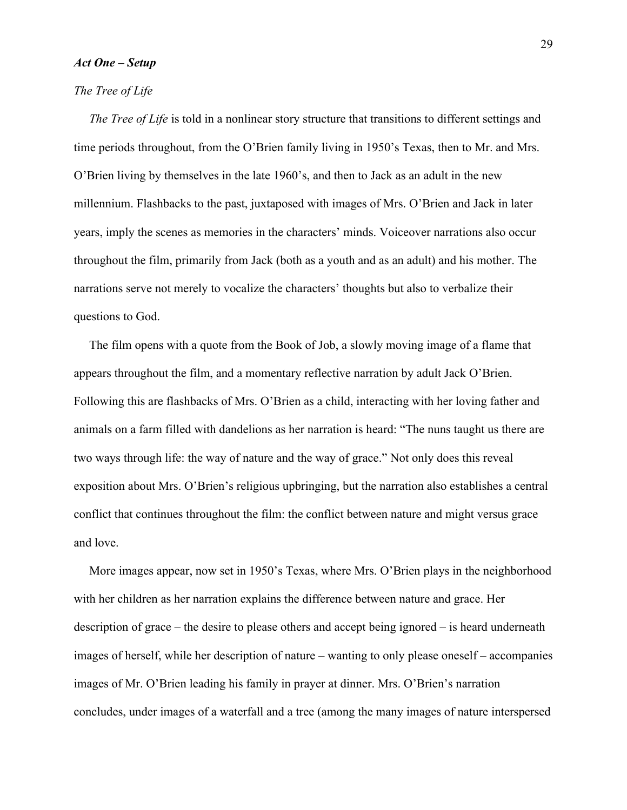#### *Act One – Setup*

#### *The Tree of Life*

 *The Tree of Life* is told in a nonlinear story structure that transitions to different settings and time periods throughout, from the O'Brien family living in 1950's Texas, then to Mr. and Mrs. O'Brien living by themselves in the late 1960's, and then to Jack as an adult in the new millennium. Flashbacks to the past, juxtaposed with images of Mrs. O'Brien and Jack in later years, imply the scenes as memories in the characters' minds. Voiceover narrations also occur throughout the film, primarily from Jack (both as a youth and as an adult) and his mother. The narrations serve not merely to vocalize the characters' thoughts but also to verbalize their questions to God.

 The film opens with a quote from the Book of Job, a slowly moving image of a flame that appears throughout the film, and a momentary reflective narration by adult Jack O'Brien. Following this are flashbacks of Mrs. O'Brien as a child, interacting with her loving father and animals on a farm filled with dandelions as her narration is heard: "The nuns taught us there are two ways through life: the way of nature and the way of grace." Not only does this reveal exposition about Mrs. O'Brien's religious upbringing, but the narration also establishes a central conflict that continues throughout the film: the conflict between nature and might versus grace and love.

 More images appear, now set in 1950's Texas, where Mrs. O'Brien plays in the neighborhood with her children as her narration explains the difference between nature and grace. Her description of grace – the desire to please others and accept being ignored – is heard underneath images of herself, while her description of nature – wanting to only please oneself – accompanies images of Mr. O'Brien leading his family in prayer at dinner. Mrs. O'Brien's narration concludes, under images of a waterfall and a tree (among the many images of nature interspersed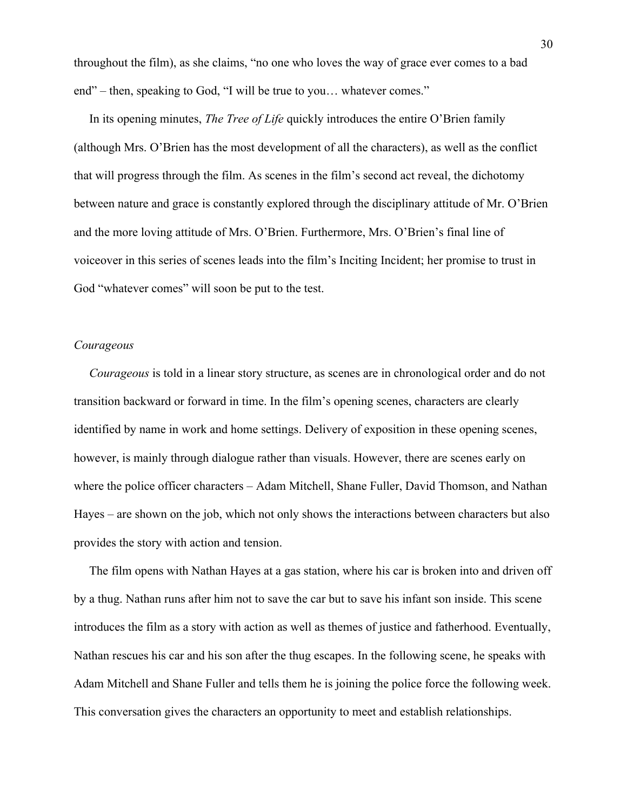throughout the film), as she claims, "no one who loves the way of grace ever comes to a bad end" – then, speaking to God, "I will be true to you… whatever comes."

 In its opening minutes, *The Tree of Life* quickly introduces the entire O'Brien family (although Mrs. O'Brien has the most development of all the characters), as well as the conflict that will progress through the film. As scenes in the film's second act reveal, the dichotomy between nature and grace is constantly explored through the disciplinary attitude of Mr. O'Brien and the more loving attitude of Mrs. O'Brien. Furthermore, Mrs. O'Brien's final line of voiceover in this series of scenes leads into the film's Inciting Incident; her promise to trust in God "whatever comes" will soon be put to the test.

# *Courageous*

 *Courageous* is told in a linear story structure, as scenes are in chronological order and do not transition backward or forward in time. In the film's opening scenes, characters are clearly identified by name in work and home settings. Delivery of exposition in these opening scenes, however, is mainly through dialogue rather than visuals. However, there are scenes early on where the police officer characters – Adam Mitchell, Shane Fuller, David Thomson, and Nathan Hayes – are shown on the job, which not only shows the interactions between characters but also provides the story with action and tension.

 The film opens with Nathan Hayes at a gas station, where his car is broken into and driven off by a thug. Nathan runs after him not to save the car but to save his infant son inside. This scene introduces the film as a story with action as well as themes of justice and fatherhood. Eventually, Nathan rescues his car and his son after the thug escapes. In the following scene, he speaks with Adam Mitchell and Shane Fuller and tells them he is joining the police force the following week. This conversation gives the characters an opportunity to meet and establish relationships.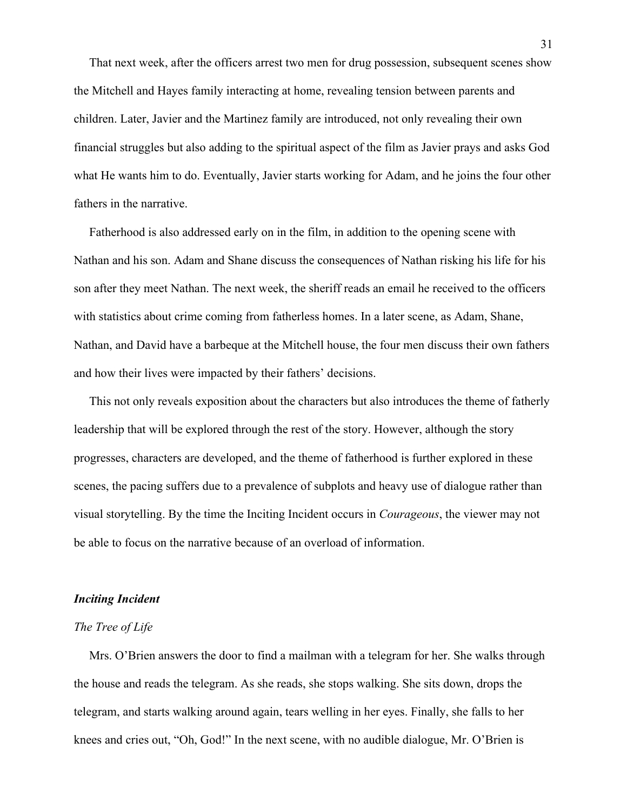That next week, after the officers arrest two men for drug possession, subsequent scenes show the Mitchell and Hayes family interacting at home, revealing tension between parents and children. Later, Javier and the Martinez family are introduced, not only revealing their own financial struggles but also adding to the spiritual aspect of the film as Javier prays and asks God what He wants him to do. Eventually, Javier starts working for Adam, and he joins the four other fathers in the narrative.

 Fatherhood is also addressed early on in the film, in addition to the opening scene with Nathan and his son. Adam and Shane discuss the consequences of Nathan risking his life for his son after they meet Nathan. The next week, the sheriff reads an email he received to the officers with statistics about crime coming from fatherless homes. In a later scene, as Adam, Shane, Nathan, and David have a barbeque at the Mitchell house, the four men discuss their own fathers and how their lives were impacted by their fathers' decisions.

 This not only reveals exposition about the characters but also introduces the theme of fatherly leadership that will be explored through the rest of the story. However, although the story progresses, characters are developed, and the theme of fatherhood is further explored in these scenes, the pacing suffers due to a prevalence of subplots and heavy use of dialogue rather than visual storytelling. By the time the Inciting Incident occurs in *Courageous*, the viewer may not be able to focus on the narrative because of an overload of information.

# *Inciting Incident*

## *The Tree of Life*

 Mrs. O'Brien answers the door to find a mailman with a telegram for her. She walks through the house and reads the telegram. As she reads, she stops walking. She sits down, drops the telegram, and starts walking around again, tears welling in her eyes. Finally, she falls to her knees and cries out, "Oh, God!" In the next scene, with no audible dialogue, Mr. O'Brien is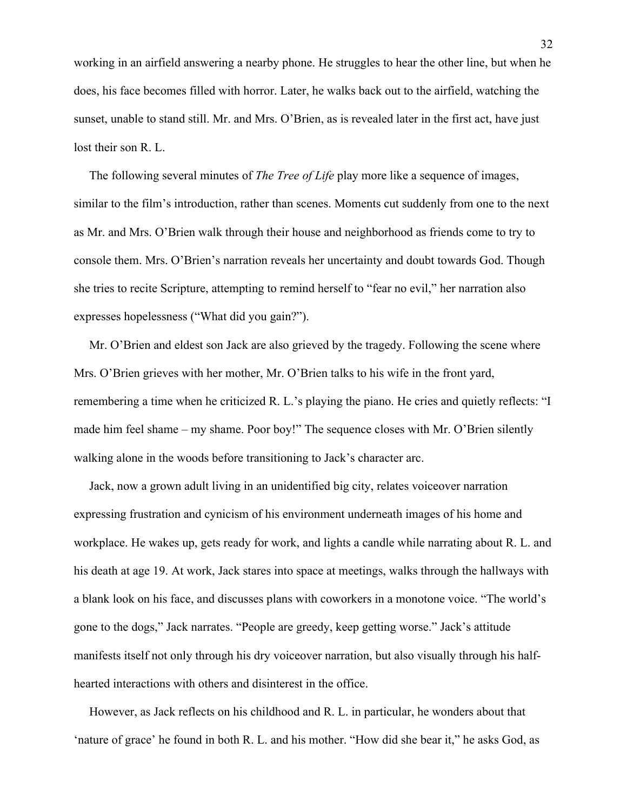working in an airfield answering a nearby phone. He struggles to hear the other line, but when he does, his face becomes filled with horror. Later, he walks back out to the airfield, watching the sunset, unable to stand still. Mr. and Mrs. O'Brien, as is revealed later in the first act, have just lost their son R. L.

 The following several minutes of *The Tree of Life* play more like a sequence of images, similar to the film's introduction, rather than scenes. Moments cut suddenly from one to the next as Mr. and Mrs. O'Brien walk through their house and neighborhood as friends come to try to console them. Mrs. O'Brien's narration reveals her uncertainty and doubt towards God. Though she tries to recite Scripture, attempting to remind herself to "fear no evil," her narration also expresses hopelessness ("What did you gain?").

 Mr. O'Brien and eldest son Jack are also grieved by the tragedy. Following the scene where Mrs. O'Brien grieves with her mother, Mr. O'Brien talks to his wife in the front yard, remembering a time when he criticized R. L.'s playing the piano. He cries and quietly reflects: "I made him feel shame – my shame. Poor boy!" The sequence closes with Mr. O'Brien silently walking alone in the woods before transitioning to Jack's character arc.

 Jack, now a grown adult living in an unidentified big city, relates voiceover narration expressing frustration and cynicism of his environment underneath images of his home and workplace. He wakes up, gets ready for work, and lights a candle while narrating about R. L. and his death at age 19. At work, Jack stares into space at meetings, walks through the hallways with a blank look on his face, and discusses plans with coworkers in a monotone voice. "The world's gone to the dogs," Jack narrates. "People are greedy, keep getting worse." Jack's attitude manifests itself not only through his dry voiceover narration, but also visually through his halfhearted interactions with others and disinterest in the office.

 However, as Jack reflects on his childhood and R. L. in particular, he wonders about that 'nature of grace' he found in both R. L. and his mother. "How did she bear it," he asks God, as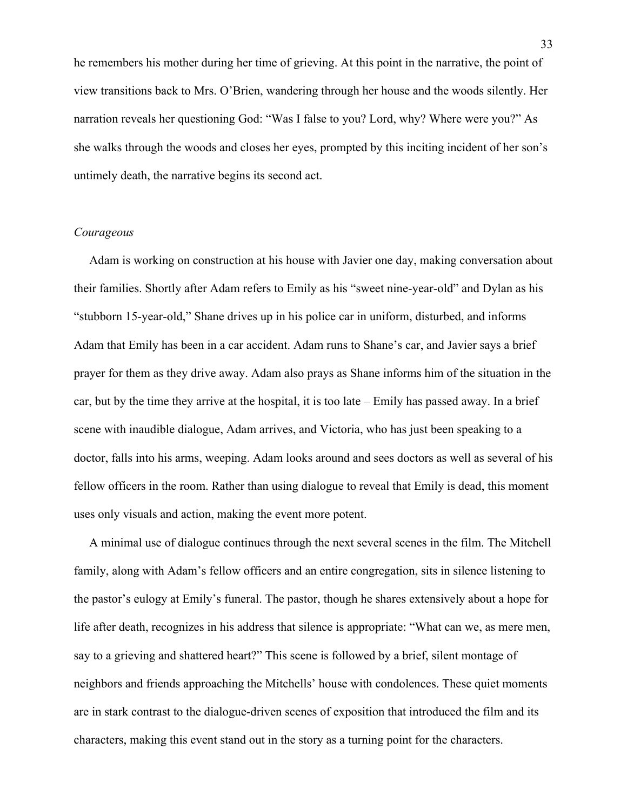he remembers his mother during her time of grieving. At this point in the narrative, the point of view transitions back to Mrs. O'Brien, wandering through her house and the woods silently. Her narration reveals her questioning God: "Was I false to you? Lord, why? Where were you?" As she walks through the woods and closes her eyes, prompted by this inciting incident of her son's untimely death, the narrative begins its second act.

# *Courageous*

 Adam is working on construction at his house with Javier one day, making conversation about their families. Shortly after Adam refers to Emily as his "sweet nine-year-old" and Dylan as his "stubborn 15-year-old," Shane drives up in his police car in uniform, disturbed, and informs Adam that Emily has been in a car accident. Adam runs to Shane's car, and Javier says a brief prayer for them as they drive away. Adam also prays as Shane informs him of the situation in the car, but by the time they arrive at the hospital, it is too late – Emily has passed away. In a brief scene with inaudible dialogue, Adam arrives, and Victoria, who has just been speaking to a doctor, falls into his arms, weeping. Adam looks around and sees doctors as well as several of his fellow officers in the room. Rather than using dialogue to reveal that Emily is dead, this moment uses only visuals and action, making the event more potent.

 A minimal use of dialogue continues through the next several scenes in the film. The Mitchell family, along with Adam's fellow officers and an entire congregation, sits in silence listening to the pastor's eulogy at Emily's funeral. The pastor, though he shares extensively about a hope for life after death, recognizes in his address that silence is appropriate: "What can we, as mere men, say to a grieving and shattered heart?" This scene is followed by a brief, silent montage of neighbors and friends approaching the Mitchells' house with condolences. These quiet moments are in stark contrast to the dialogue-driven scenes of exposition that introduced the film and its characters, making this event stand out in the story as a turning point for the characters.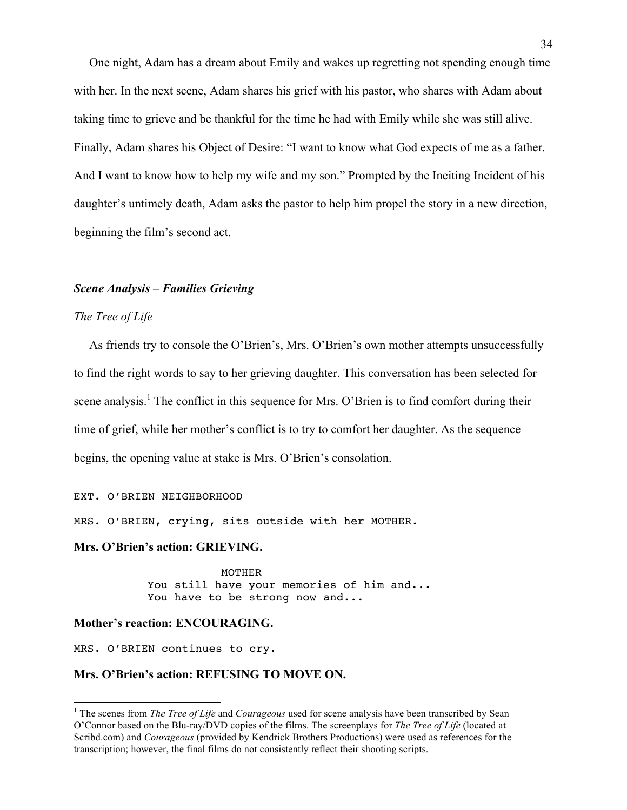One night, Adam has a dream about Emily and wakes up regretting not spending enough time with her. In the next scene, Adam shares his grief with his pastor, who shares with Adam about taking time to grieve and be thankful for the time he had with Emily while she was still alive. Finally, Adam shares his Object of Desire: "I want to know what God expects of me as a father. And I want to know how to help my wife and my son." Prompted by the Inciting Incident of his daughter's untimely death, Adam asks the pastor to help him propel the story in a new direction, beginning the film's second act.

# *Scene Analysis – Families Grieving*

# *The Tree of Life*

 As friends try to console the O'Brien's, Mrs. O'Brien's own mother attempts unsuccessfully to find the right words to say to her grieving daughter. This conversation has been selected for scene analysis.<sup>1</sup> The conflict in this sequence for Mrs. O'Brien is to find comfort during their time of grief, while her mother's conflict is to try to comfort her daughter. As the sequence begins, the opening value at stake is Mrs. O'Brien's consolation.

### EXT. O'BRIEN NEIGHBORHOOD

MRS. O'BRIEN, crying, sits outside with her MOTHER.

# **Mrs. O'Brien's action: GRIEVING.**

MOTHER You still have your memories of him and... You have to be strong now and...

# **Mother's reaction: ENCOURAGING.**

MRS. O'BRIEN continues to cry.

# **Mrs. O'Brien's action: REFUSING TO MOVE ON.**

 <sup>1</sup> The scenes from *The Tree of Life* and *Courageous* used for scene analysis have been transcribed by Sean O'Connor based on the Blu-ray/DVD copies of the films. The screenplays for *The Tree of Life* (located at Scribd.com) and *Courageous* (provided by Kendrick Brothers Productions) were used as references for the transcription; however, the final films do not consistently reflect their shooting scripts.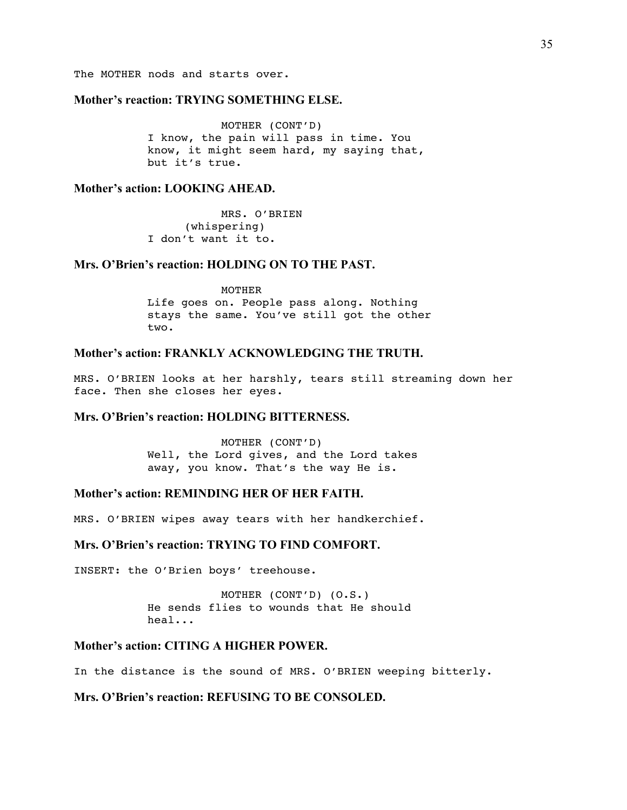The MOTHER nods and starts over.

### **Mother's reaction: TRYING SOMETHING ELSE.**

MOTHER (CONT'D) I know, the pain will pass in time. You know, it might seem hard, my saying that, but it's true.

# **Mother's action: LOOKING AHEAD.**

MRS. O'BRIEN (whispering) I don't want it to.

# **Mrs. O'Brien's reaction: HOLDING ON TO THE PAST.**

MOTHER Life goes on. People pass along. Nothing stays the same. You've still got the other two.

## **Mother's action: FRANKLY ACKNOWLEDGING THE TRUTH.**

MRS. O'BRIEN looks at her harshly, tears still streaming down her face. Then she closes her eyes.

# **Mrs. O'Brien's reaction: HOLDING BITTERNESS.**

MOTHER (CONT'D) Well, the Lord gives, and the Lord takes away, you know. That's the way He is.

### **Mother's action: REMINDING HER OF HER FAITH.**

MRS. O'BRIEN wipes away tears with her handkerchief.

#### **Mrs. O'Brien's reaction: TRYING TO FIND COMFORT.**

INSERT: the O'Brien boys' treehouse.

MOTHER (CONT'D) (O.S.) He sends flies to wounds that He should heal...

### **Mother's action: CITING A HIGHER POWER.**

In the distance is the sound of MRS. O'BRIEN weeping bitterly.

### **Mrs. O'Brien's reaction: REFUSING TO BE CONSOLED.**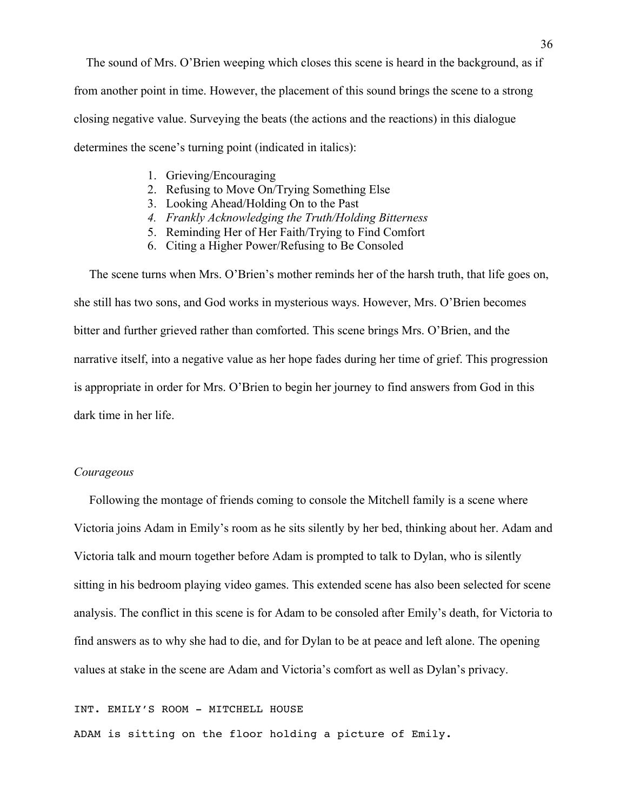The sound of Mrs. O'Brien weeping which closes this scene is heard in the background, as if from another point in time. However, the placement of this sound brings the scene to a strong closing negative value. Surveying the beats (the actions and the reactions) in this dialogue determines the scene's turning point (indicated in italics):

- 1. Grieving/Encouraging
- 2. Refusing to Move On/Trying Something Else
- 3. Looking Ahead/Holding On to the Past
- *4. Frankly Acknowledging the Truth/Holding Bitterness*
- 5. Reminding Her of Her Faith/Trying to Find Comfort
- 6. Citing a Higher Power/Refusing to Be Consoled

 The scene turns when Mrs. O'Brien's mother reminds her of the harsh truth, that life goes on, she still has two sons, and God works in mysterious ways. However, Mrs. O'Brien becomes bitter and further grieved rather than comforted. This scene brings Mrs. O'Brien, and the narrative itself, into a negative value as her hope fades during her time of grief. This progression is appropriate in order for Mrs. O'Brien to begin her journey to find answers from God in this dark time in her life.

# *Courageous*

 Following the montage of friends coming to console the Mitchell family is a scene where Victoria joins Adam in Emily's room as he sits silently by her bed, thinking about her. Adam and Victoria talk and mourn together before Adam is prompted to talk to Dylan, who is silently sitting in his bedroom playing video games. This extended scene has also been selected for scene analysis. The conflict in this scene is for Adam to be consoled after Emily's death, for Victoria to find answers as to why she had to die, and for Dylan to be at peace and left alone. The opening values at stake in the scene are Adam and Victoria's comfort as well as Dylan's privacy.

INT. EMILY'S ROOM - MITCHELL HOUSE ADAM is sitting on the floor holding a picture of Emily.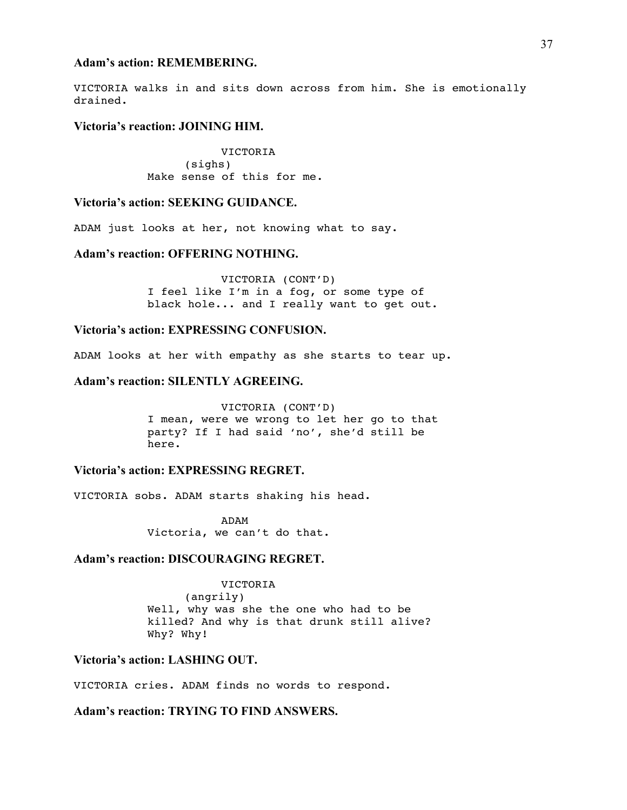### **Adam's action: REMEMBERING.**

VICTORIA walks in and sits down across from him. She is emotionally drained.

## **Victoria's reaction: JOINING HIM.**

VICTORIA (sighs) Make sense of this for me.

# **Victoria's action: SEEKING GUIDANCE.**

ADAM just looks at her, not knowing what to say.

# **Adam's reaction: OFFERING NOTHING.**

VICTORIA (CONT'D) I feel like I'm in a fog, or some type of black hole... and I really want to get out.

### **Victoria's action: EXPRESSING CONFUSION.**

ADAM looks at her with empathy as she starts to tear up.

### **Adam's reaction: SILENTLY AGREEING.**

VICTORIA (CONT'D) I mean, were we wrong to let her go to that party? If I had said 'no', she'd still be here.

### **Victoria's action: EXPRESSING REGRET.**

VICTORIA sobs. ADAM starts shaking his head.

ADAM Victoria, we can't do that.

### **Adam's reaction: DISCOURAGING REGRET.**

VICTORIA (angrily) Well, why was she the one who had to be killed? And why is that drunk still alive? Why? Why!

### **Victoria's action: LASHING OUT.**

VICTORIA cries. ADAM finds no words to respond.

# **Adam's reaction: TRYING TO FIND ANSWERS.**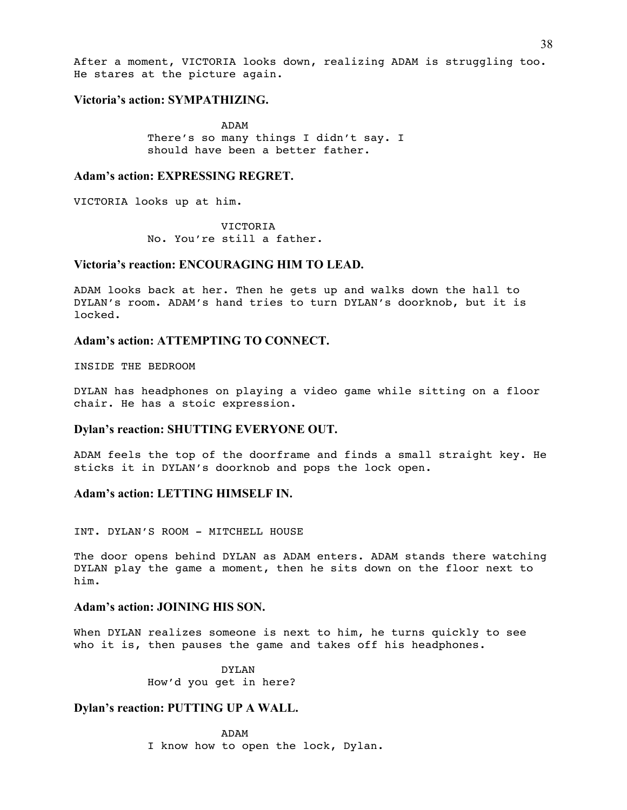After a moment, VICTORIA looks down, realizing ADAM is struggling too. He stares at the picture again.

### **Victoria's action: SYMPATHIZING.**

ADAM There's so many things I didn't say. I should have been a better father.

### **Adam's action: EXPRESSING REGRET.**

VICTORIA looks up at him.

VICTORIA No. You're still a father.

### **Victoria's reaction: ENCOURAGING HIM TO LEAD.**

ADAM looks back at her. Then he gets up and walks down the hall to DYLAN's room. ADAM's hand tries to turn DYLAN's doorknob, but it is locked.

#### **Adam's action: ATTEMPTING TO CONNECT.**

INSIDE THE BEDROOM

DYLAN has headphones on playing a video game while sitting on a floor chair. He has a stoic expression.

#### **Dylan's reaction: SHUTTING EVERYONE OUT.**

ADAM feels the top of the doorframe and finds a small straight key. He sticks it in DYLAN's doorknob and pops the lock open.

### **Adam's action: LETTING HIMSELF IN.**

INT. DYLAN'S ROOM - MITCHELL HOUSE

The door opens behind DYLAN as ADAM enters. ADAM stands there watching DYLAN play the game a moment, then he sits down on the floor next to him.

#### **Adam's action: JOINING HIS SON.**

When DYLAN realizes someone is next to him, he turns quickly to see who it is, then pauses the game and takes off his headphones.

> DYLAN How'd you get in here?

# **Dylan's reaction: PUTTING UP A WALL.**

ADAM I know how to open the lock, Dylan.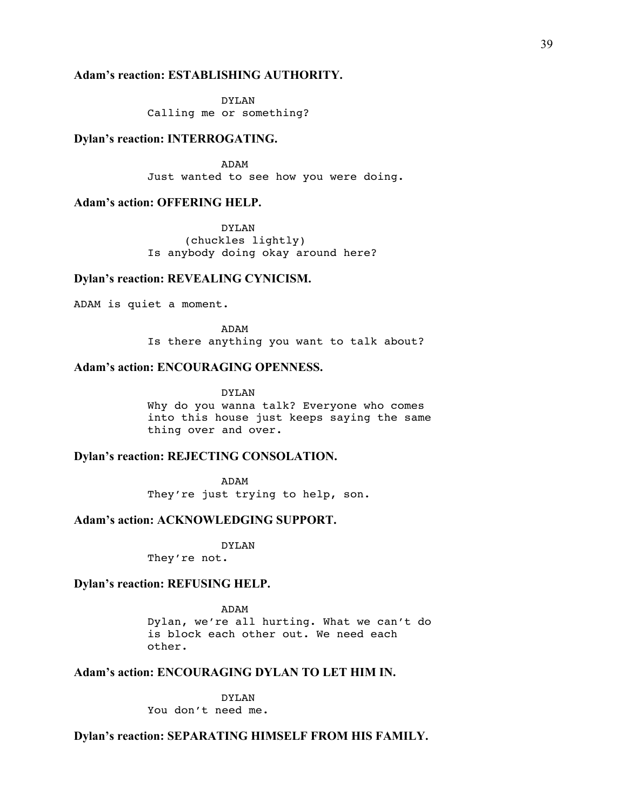# **Adam's reaction: ESTABLISHING AUTHORITY.**

DYLAN Calling me or something?

### **Dylan's reaction: INTERROGATING.**

ADAM Just wanted to see how you were doing.

### **Adam's action: OFFERING HELP.**

DYLAN (chuckles lightly) Is anybody doing okay around here?

#### **Dylan's reaction: REVEALING CYNICISM.**

ADAM is quiet a moment.

ADAM Is there anything you want to talk about?

### **Adam's action: ENCOURAGING OPENNESS.**

DYLAN Why do you wanna talk? Everyone who comes into this house just keeps saying the same thing over and over.

### **Dylan's reaction: REJECTING CONSOLATION.**

ADAM They're just trying to help, son.

### **Adam's action: ACKNOWLEDGING SUPPORT.**

DYLAN

They're not.

#### **Dylan's reaction: REFUSING HELP.**

ADAM Dylan, we're all hurting. What we can't do is block each other out. We need each other.

### **Adam's action: ENCOURAGING DYLAN TO LET HIM IN.**

DYLAN You don't need me.

# **Dylan's reaction: SEPARATING HIMSELF FROM HIS FAMILY.**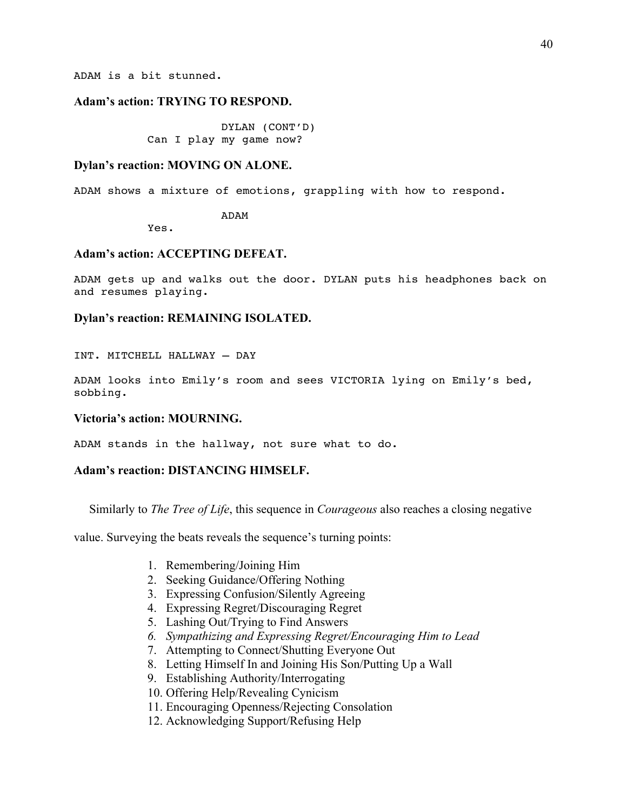ADAM is a bit stunned.

# **Adam's action: TRYING TO RESPOND.**

DYLAN (CONT'D) Can I play my game now?

# **Dylan's reaction: MOVING ON ALONE.**

ADAM shows a mixture of emotions, grappling with how to respond.

ADAM

Yes.

# **Adam's action: ACCEPTING DEFEAT.**

ADAM gets up and walks out the door. DYLAN puts his headphones back on and resumes playing.

#### **Dylan's reaction: REMAINING ISOLATED.**

INT. MITCHELL HALLWAY – DAY

ADAM looks into Emily's room and sees VICTORIA lying on Emily's bed, sobbing.

### **Victoria's action: MOURNING.**

ADAM stands in the hallway, not sure what to do.

### **Adam's reaction: DISTANCING HIMSELF.**

Similarly to *The Tree of Life*, this sequence in *Courageous* also reaches a closing negative

value. Surveying the beats reveals the sequence's turning points:

- 1. Remembering/Joining Him
- 2. Seeking Guidance/Offering Nothing
- 3. Expressing Confusion/Silently Agreeing
- 4. Expressing Regret/Discouraging Regret
- 5. Lashing Out/Trying to Find Answers
- *6. Sympathizing and Expressing Regret/Encouraging Him to Lead*
- 7. Attempting to Connect/Shutting Everyone Out
- 8. Letting Himself In and Joining His Son/Putting Up a Wall
- 9. Establishing Authority/Interrogating
- 10. Offering Help/Revealing Cynicism
- 11. Encouraging Openness/Rejecting Consolation
- 12. Acknowledging Support/Refusing Help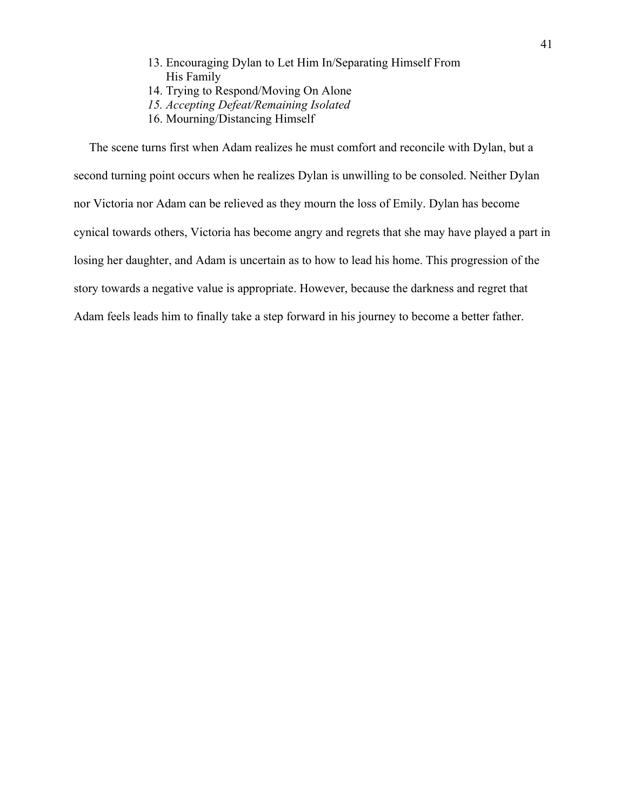- 13. Encouraging Dylan to Let Him In/Separating Himself From His Family
- 14. Trying to Respond/Moving On Alone
- *15. Accepting Defeat/Remaining Isolated*
- 16. Mourning/Distancing Himself

 The scene turns first when Adam realizes he must comfort and reconcile with Dylan, but a second turning point occurs when he realizes Dylan is unwilling to be consoled. Neither Dylan nor Victoria nor Adam can be relieved as they mourn the loss of Emily. Dylan has become cynical towards others, Victoria has become angry and regrets that she may have played a part in losing her daughter, and Adam is uncertain as to how to lead his home. This progression of the story towards a negative value is appropriate. However, because the darkness and regret that Adam feels leads him to finally take a step forward in his journey to become a better father.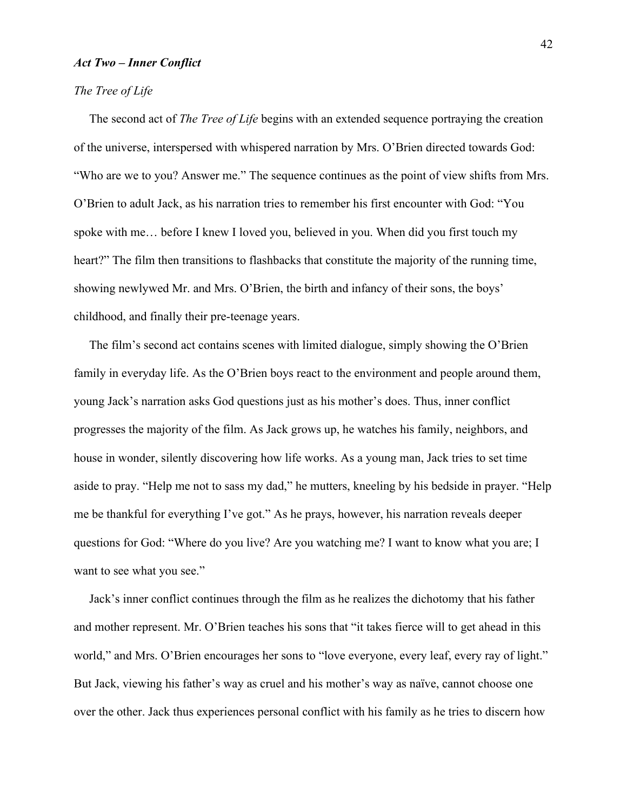## *Act Two – Inner Conflict*

# *The Tree of Life*

 The second act of *The Tree of Life* begins with an extended sequence portraying the creation of the universe, interspersed with whispered narration by Mrs. O'Brien directed towards God: "Who are we to you? Answer me." The sequence continues as the point of view shifts from Mrs. O'Brien to adult Jack, as his narration tries to remember his first encounter with God: "You spoke with me… before I knew I loved you, believed in you. When did you first touch my heart?" The film then transitions to flashbacks that constitute the majority of the running time, showing newlywed Mr. and Mrs. O'Brien, the birth and infancy of their sons, the boys' childhood, and finally their pre-teenage years.

 The film's second act contains scenes with limited dialogue, simply showing the O'Brien family in everyday life. As the O'Brien boys react to the environment and people around them, young Jack's narration asks God questions just as his mother's does. Thus, inner conflict progresses the majority of the film. As Jack grows up, he watches his family, neighbors, and house in wonder, silently discovering how life works. As a young man, Jack tries to set time aside to pray. "Help me not to sass my dad," he mutters, kneeling by his bedside in prayer. "Help me be thankful for everything I've got." As he prays, however, his narration reveals deeper questions for God: "Where do you live? Are you watching me? I want to know what you are; I want to see what you see."

 Jack's inner conflict continues through the film as he realizes the dichotomy that his father and mother represent. Mr. O'Brien teaches his sons that "it takes fierce will to get ahead in this world," and Mrs. O'Brien encourages her sons to "love everyone, every leaf, every ray of light." But Jack, viewing his father's way as cruel and his mother's way as naïve, cannot choose one over the other. Jack thus experiences personal conflict with his family as he tries to discern how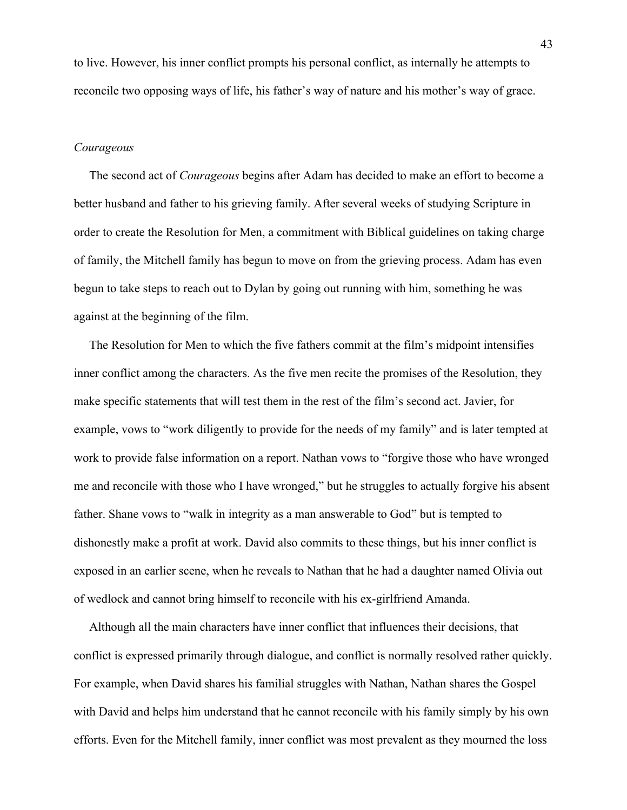to live. However, his inner conflict prompts his personal conflict, as internally he attempts to reconcile two opposing ways of life, his father's way of nature and his mother's way of grace.

## *Courageous*

 The second act of *Courageous* begins after Adam has decided to make an effort to become a better husband and father to his grieving family. After several weeks of studying Scripture in order to create the Resolution for Men, a commitment with Biblical guidelines on taking charge of family, the Mitchell family has begun to move on from the grieving process. Adam has even begun to take steps to reach out to Dylan by going out running with him, something he was against at the beginning of the film.

 The Resolution for Men to which the five fathers commit at the film's midpoint intensifies inner conflict among the characters. As the five men recite the promises of the Resolution, they make specific statements that will test them in the rest of the film's second act. Javier, for example, vows to "work diligently to provide for the needs of my family" and is later tempted at work to provide false information on a report. Nathan vows to "forgive those who have wronged me and reconcile with those who I have wronged," but he struggles to actually forgive his absent father. Shane vows to "walk in integrity as a man answerable to God" but is tempted to dishonestly make a profit at work. David also commits to these things, but his inner conflict is exposed in an earlier scene, when he reveals to Nathan that he had a daughter named Olivia out of wedlock and cannot bring himself to reconcile with his ex-girlfriend Amanda.

 Although all the main characters have inner conflict that influences their decisions, that conflict is expressed primarily through dialogue, and conflict is normally resolved rather quickly. For example, when David shares his familial struggles with Nathan, Nathan shares the Gospel with David and helps him understand that he cannot reconcile with his family simply by his own efforts. Even for the Mitchell family, inner conflict was most prevalent as they mourned the loss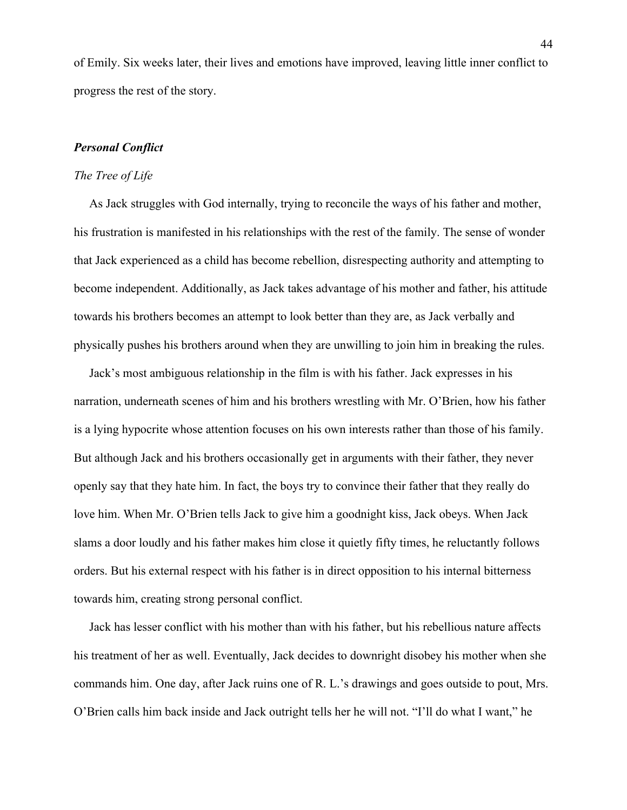of Emily. Six weeks later, their lives and emotions have improved, leaving little inner conflict to progress the rest of the story.

# *Personal Conflict*

# *The Tree of Life*

 As Jack struggles with God internally, trying to reconcile the ways of his father and mother, his frustration is manifested in his relationships with the rest of the family. The sense of wonder that Jack experienced as a child has become rebellion, disrespecting authority and attempting to become independent. Additionally, as Jack takes advantage of his mother and father, his attitude towards his brothers becomes an attempt to look better than they are, as Jack verbally and physically pushes his brothers around when they are unwilling to join him in breaking the rules.

 Jack's most ambiguous relationship in the film is with his father. Jack expresses in his narration, underneath scenes of him and his brothers wrestling with Mr. O'Brien, how his father is a lying hypocrite whose attention focuses on his own interests rather than those of his family. But although Jack and his brothers occasionally get in arguments with their father, they never openly say that they hate him. In fact, the boys try to convince their father that they really do love him. When Mr. O'Brien tells Jack to give him a goodnight kiss, Jack obeys. When Jack slams a door loudly and his father makes him close it quietly fifty times, he reluctantly follows orders. But his external respect with his father is in direct opposition to his internal bitterness towards him, creating strong personal conflict.

 Jack has lesser conflict with his mother than with his father, but his rebellious nature affects his treatment of her as well. Eventually, Jack decides to downright disobey his mother when she commands him. One day, after Jack ruins one of R. L.'s drawings and goes outside to pout, Mrs. O'Brien calls him back inside and Jack outright tells her he will not. "I'll do what I want," he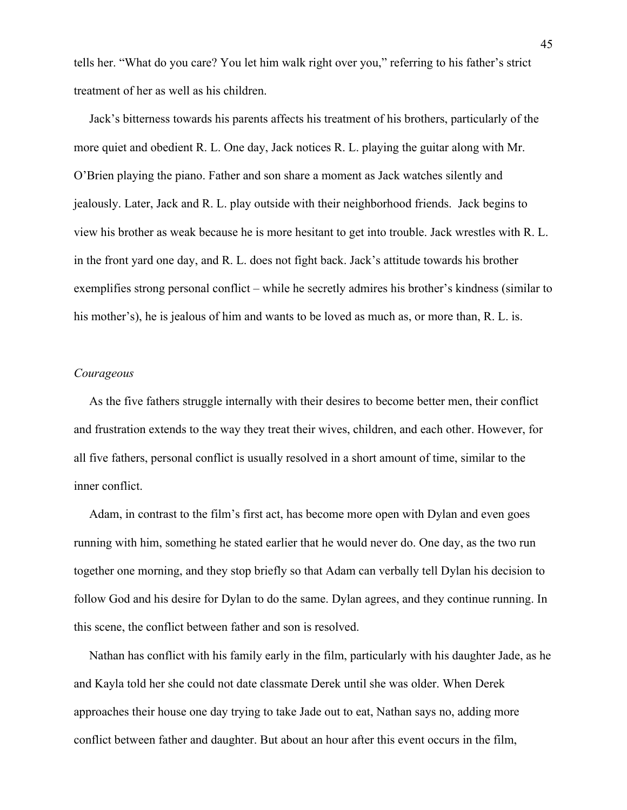tells her. "What do you care? You let him walk right over you," referring to his father's strict treatment of her as well as his children.

 Jack's bitterness towards his parents affects his treatment of his brothers, particularly of the more quiet and obedient R. L. One day, Jack notices R. L. playing the guitar along with Mr. O'Brien playing the piano. Father and son share a moment as Jack watches silently and jealously. Later, Jack and R. L. play outside with their neighborhood friends. Jack begins to view his brother as weak because he is more hesitant to get into trouble. Jack wrestles with R. L. in the front yard one day, and R. L. does not fight back. Jack's attitude towards his brother exemplifies strong personal conflict – while he secretly admires his brother's kindness (similar to his mother's), he is jealous of him and wants to be loved as much as, or more than, R. L. is.

# *Courageous*

 As the five fathers struggle internally with their desires to become better men, their conflict and frustration extends to the way they treat their wives, children, and each other. However, for all five fathers, personal conflict is usually resolved in a short amount of time, similar to the inner conflict.

 Adam, in contrast to the film's first act, has become more open with Dylan and even goes running with him, something he stated earlier that he would never do. One day, as the two run together one morning, and they stop briefly so that Adam can verbally tell Dylan his decision to follow God and his desire for Dylan to do the same. Dylan agrees, and they continue running. In this scene, the conflict between father and son is resolved.

 Nathan has conflict with his family early in the film, particularly with his daughter Jade, as he and Kayla told her she could not date classmate Derek until she was older. When Derek approaches their house one day trying to take Jade out to eat, Nathan says no, adding more conflict between father and daughter. But about an hour after this event occurs in the film,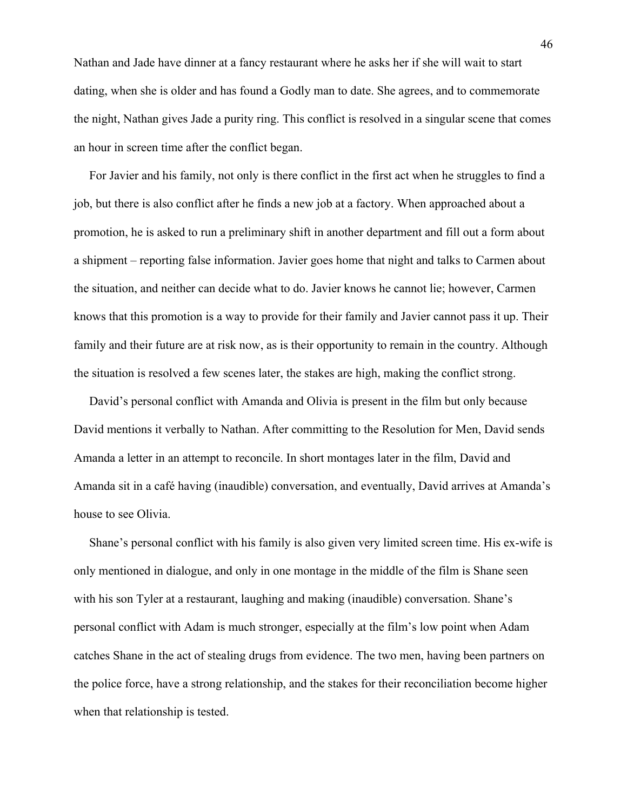Nathan and Jade have dinner at a fancy restaurant where he asks her if she will wait to start dating, when she is older and has found a Godly man to date. She agrees, and to commemorate the night, Nathan gives Jade a purity ring. This conflict is resolved in a singular scene that comes an hour in screen time after the conflict began.

 For Javier and his family, not only is there conflict in the first act when he struggles to find a job, but there is also conflict after he finds a new job at a factory. When approached about a promotion, he is asked to run a preliminary shift in another department and fill out a form about a shipment – reporting false information. Javier goes home that night and talks to Carmen about the situation, and neither can decide what to do. Javier knows he cannot lie; however, Carmen knows that this promotion is a way to provide for their family and Javier cannot pass it up. Their family and their future are at risk now, as is their opportunity to remain in the country. Although the situation is resolved a few scenes later, the stakes are high, making the conflict strong.

 David's personal conflict with Amanda and Olivia is present in the film but only because David mentions it verbally to Nathan. After committing to the Resolution for Men, David sends Amanda a letter in an attempt to reconcile. In short montages later in the film, David and Amanda sit in a café having (inaudible) conversation, and eventually, David arrives at Amanda's house to see Olivia.

 Shane's personal conflict with his family is also given very limited screen time. His ex-wife is only mentioned in dialogue, and only in one montage in the middle of the film is Shane seen with his son Tyler at a restaurant, laughing and making (inaudible) conversation. Shane's personal conflict with Adam is much stronger, especially at the film's low point when Adam catches Shane in the act of stealing drugs from evidence. The two men, having been partners on the police force, have a strong relationship, and the stakes for their reconciliation become higher when that relationship is tested.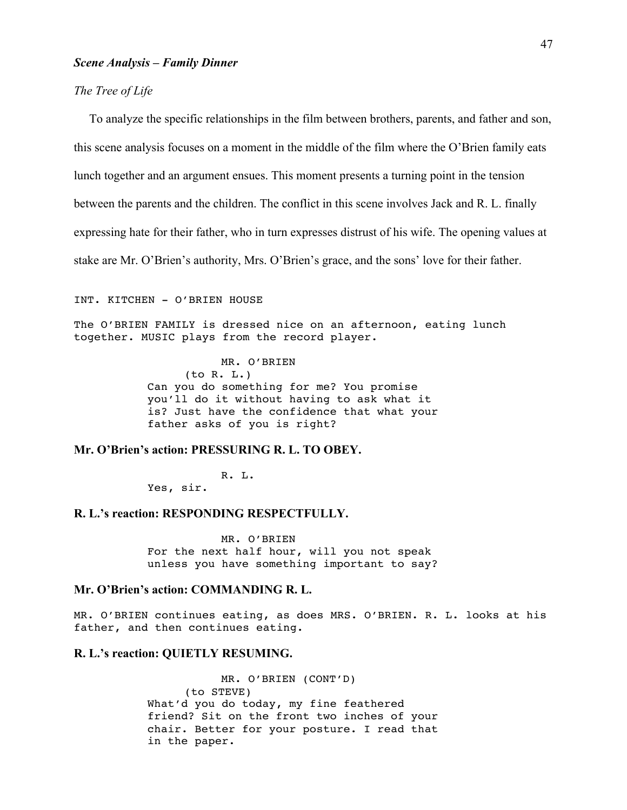### *Scene Analysis – Family Dinner*

### *The Tree of Life*

 To analyze the specific relationships in the film between brothers, parents, and father and son, this scene analysis focuses on a moment in the middle of the film where the O'Brien family eats lunch together and an argument ensues. This moment presents a turning point in the tension between the parents and the children. The conflict in this scene involves Jack and R. L. finally expressing hate for their father, who in turn expresses distrust of his wife. The opening values at stake are Mr. O'Brien's authority, Mrs. O'Brien's grace, and the sons' love for their father.

INT. KITCHEN - O'BRIEN HOUSE

The O'BRIEN FAMILY is dressed nice on an afternoon, eating lunch together. MUSIC plays from the record player.

> MR. O'BRIEN (to R. L.) Can you do something for me? You promise you'll do it without having to ask what it is? Just have the confidence that what your father asks of you is right?

# **Mr. O'Brien's action: PRESSURING R. L. TO OBEY.**

R. L.

Yes, sir.

# **R. L.'s reaction: RESPONDING RESPECTFULLY.**

MR. O'BRIEN For the next half hour, will you not speak unless you have something important to say?

# **Mr. O'Brien's action: COMMANDING R. L.**

MR. O'BRIEN continues eating, as does MRS. O'BRIEN. R. L. looks at his father, and then continues eating.

### **R. L.'s reaction: QUIETLY RESUMING.**

MR. O'BRIEN (CONT'D) (to STEVE) What'd you do today, my fine feathered friend? Sit on the front two inches of your chair. Better for your posture. I read that in the paper.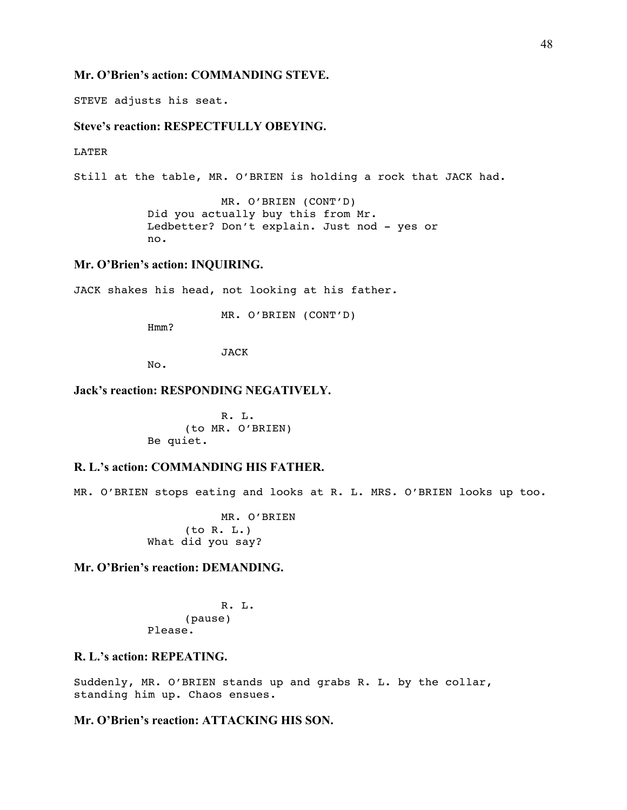# **Mr. O'Brien's action: COMMANDING STEVE.**

STEVE adjusts his seat.

#### **Steve's reaction: RESPECTFULLY OBEYING.**

LATER

Still at the table, MR. O'BRIEN is holding a rock that JACK had.

MR. O'BRIEN (CONT'D) Did you actually buy this from Mr. Ledbetter? Don't explain. Just nod - yes or no.

### **Mr. O'Brien's action: INQUIRING.**

JACK shakes his head, not looking at his father.

MR. O'BRIEN (CONT'D)

Hmm?

JACK

No.

# **Jack's reaction: RESPONDING NEGATIVELY.**

R. L. (to MR. O'BRIEN) Be quiet.

# **R. L.'s action: COMMANDING HIS FATHER.**

MR. O'BRIEN stops eating and looks at R. L. MRS. O'BRIEN looks up too.

MR. O'BRIEN (to R. L.) What did you say?

#### **Mr. O'Brien's reaction: DEMANDING.**

R. L. (pause) Please.

# **R. L.'s action: REPEATING.**

Suddenly, MR. O'BRIEN stands up and grabs R. L. by the collar, standing him up. Chaos ensues.

# **Mr. O'Brien's reaction: ATTACKING HIS SON.**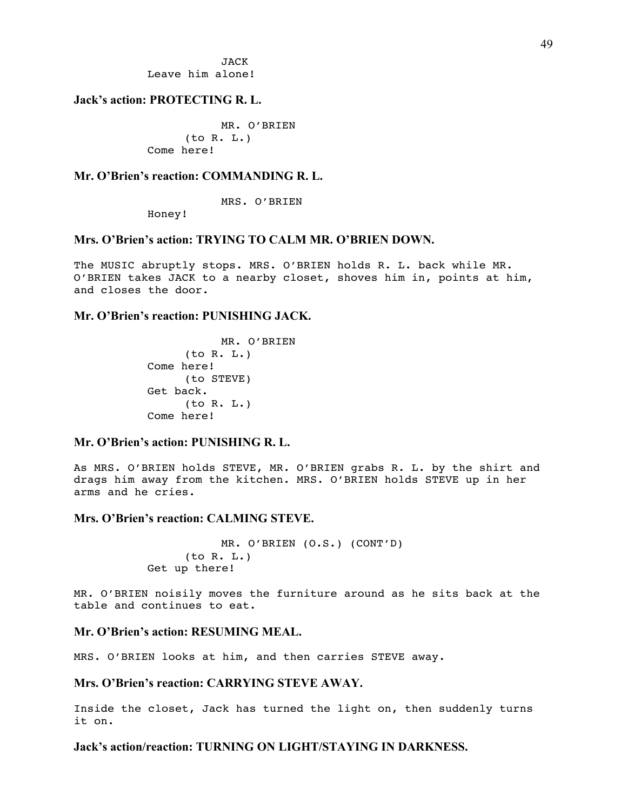JACK Leave him alone!

# **Jack's action: PROTECTING R. L.**

MR. O'BRIEN (to R. L.) Come here!

### **Mr. O'Brien's reaction: COMMANDING R. L.**

MRS. O'BRIEN

Honey!

#### **Mrs. O'Brien's action: TRYING TO CALM MR. O'BRIEN DOWN.**

The MUSIC abruptly stops. MRS. O'BRIEN holds R. L. back while MR. O'BRIEN takes JACK to a nearby closet, shoves him in, points at him, and closes the door.

## **Mr. O'Brien's reaction: PUNISHING JACK.**

```
MR. O'BRIEN
     (to R. L.)
Come here!
     (to STEVE)
Get back.
     (to R. L.)
Come here!
```
# **Mr. O'Brien's action: PUNISHING R. L.**

As MRS. O'BRIEN holds STEVE, MR. O'BRIEN grabs R. L. by the shirt and drags him away from the kitchen. MRS. O'BRIEN holds STEVE up in her arms and he cries.

#### **Mrs. O'Brien's reaction: CALMING STEVE.**

MR. O'BRIEN (O.S.) (CONT'D) (to R. L.) Get up there!

MR. O'BRIEN noisily moves the furniture around as he sits back at the table and continues to eat.

# **Mr. O'Brien's action: RESUMING MEAL.**

MRS. O'BRIEN looks at him, and then carries STEVE away.

### **Mrs. O'Brien's reaction: CARRYING STEVE AWAY.**

Inside the closet, Jack has turned the light on, then suddenly turns it on.

**Jack's action/reaction: TURNING ON LIGHT/STAYING IN DARKNESS.**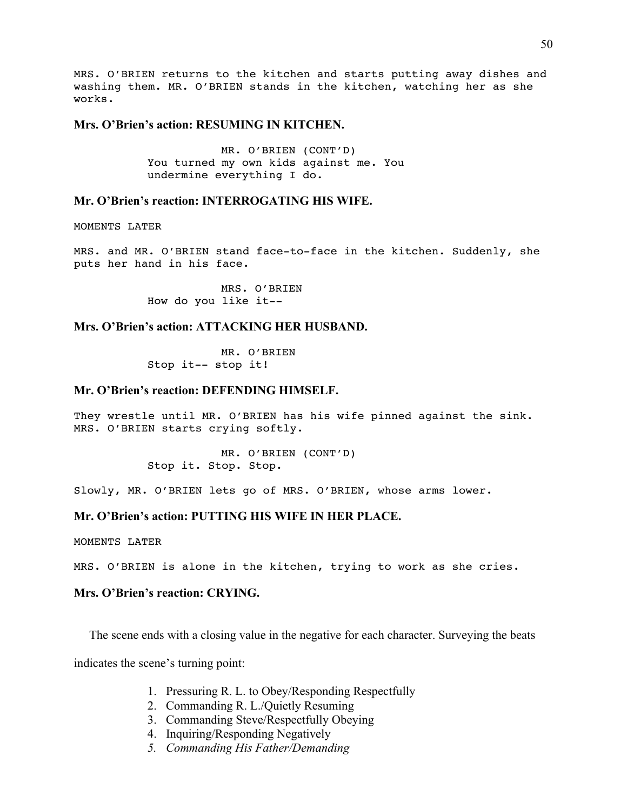MRS. O'BRIEN returns to the kitchen and starts putting away dishes and washing them. MR. O'BRIEN stands in the kitchen, watching her as she works.

### **Mrs. O'Brien's action: RESUMING IN KITCHEN.**

MR. O'BRIEN (CONT'D) You turned my own kids against me. You undermine everything I do.

## **Mr. O'Brien's reaction: INTERROGATING HIS WIFE.**

MOMENTS LATER

MRS. and MR. O'BRIEN stand face-to-face in the kitchen. Suddenly, she puts her hand in his face.

> MRS. O'BRIEN How do you like it--

### **Mrs. O'Brien's action: ATTACKING HER HUSBAND.**

MR. O'BRIEN Stop it-- stop it!

#### **Mr. O'Brien's reaction: DEFENDING HIMSELF.**

They wrestle until MR. O'BRIEN has his wife pinned against the sink. MRS. O'BRIEN starts crying softly.

> MR. O'BRIEN (CONT'D) Stop it. Stop. Stop.

Slowly, MR. O'BRIEN lets go of MRS. O'BRIEN, whose arms lower.

### **Mr. O'Brien's action: PUTTING HIS WIFE IN HER PLACE.**

MOMENTS LATER

MRS. O'BRIEN is alone in the kitchen, trying to work as she cries.

### **Mrs. O'Brien's reaction: CRYING.**

The scene ends with a closing value in the negative for each character. Surveying the beats

indicates the scene's turning point:

- 1. Pressuring R. L. to Obey/Responding Respectfully
- 2. Commanding R. L./Quietly Resuming
- 3. Commanding Steve/Respectfully Obeying
- 4. Inquiring/Responding Negatively
- *5. Commanding His Father/Demanding*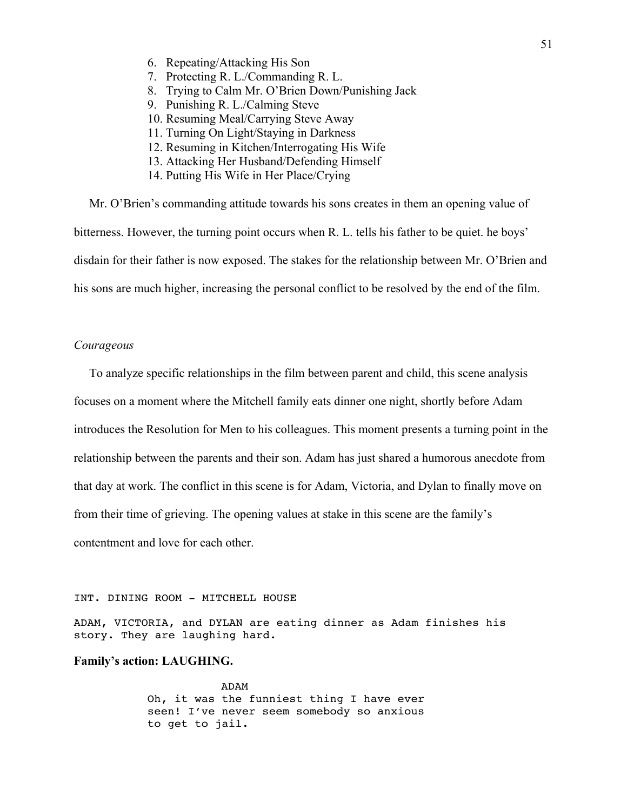- 6. Repeating/Attacking His Son
- 7. Protecting R. L./Commanding R. L.
- 8. Trying to Calm Mr. O'Brien Down/Punishing Jack
- 9. Punishing R. L./Calming Steve
- 10. Resuming Meal/Carrying Steve Away
- 11. Turning On Light/Staying in Darkness
- 12. Resuming in Kitchen/Interrogating His Wife
- 13. Attacking Her Husband/Defending Himself
- 14. Putting His Wife in Her Place/Crying

 Mr. O'Brien's commanding attitude towards his sons creates in them an opening value of bitterness. However, the turning point occurs when R. L. tells his father to be quiet. he boys' disdain for their father is now exposed. The stakes for the relationship between Mr. O'Brien and his sons are much higher, increasing the personal conflict to be resolved by the end of the film.

## *Courageous*

 To analyze specific relationships in the film between parent and child, this scene analysis focuses on a moment where the Mitchell family eats dinner one night, shortly before Adam introduces the Resolution for Men to his colleagues. This moment presents a turning point in the relationship between the parents and their son. Adam has just shared a humorous anecdote from that day at work. The conflict in this scene is for Adam, Victoria, and Dylan to finally move on from their time of grieving. The opening values at stake in this scene are the family's contentment and love for each other.

INT. DINING ROOM - MITCHELL HOUSE

ADAM, VICTORIA, and DYLAN are eating dinner as Adam finishes his story. They are laughing hard.

# **Family's action: LAUGHING.**

ADAM Oh, it was the funniest thing I have ever seen! I've never seem somebody so anxious to get to jail.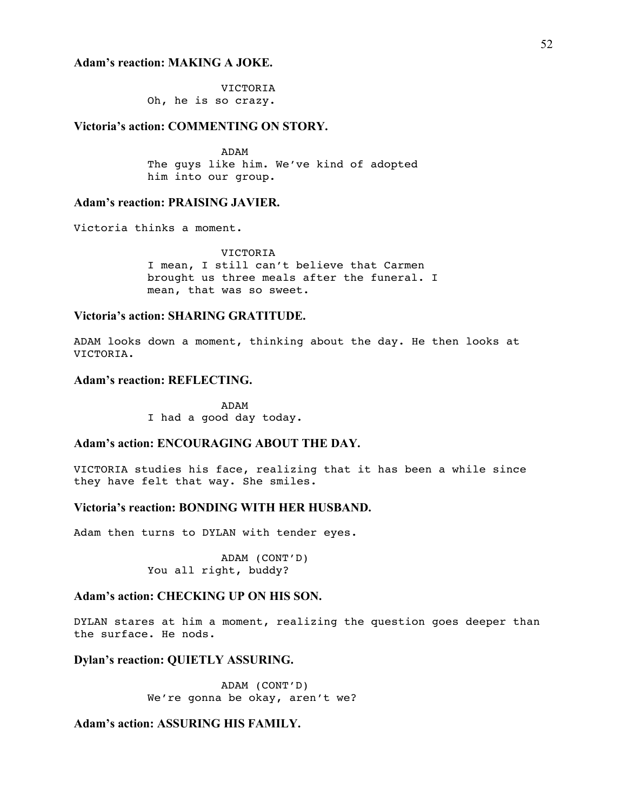#### **Adam's reaction: MAKING A JOKE.**

VICTORIA Oh, he is so crazy.

#### **Victoria's action: COMMENTING ON STORY.**

ADAM The guys like him. We've kind of adopted him into our group.

# **Adam's reaction: PRAISING JAVIER.**

Victoria thinks a moment.

VICTORIA I mean, I still can't believe that Carmen brought us three meals after the funeral. I mean, that was so sweet.

### **Victoria's action: SHARING GRATITUDE.**

ADAM looks down a moment, thinking about the day. He then looks at VICTORIA.

#### **Adam's reaction: REFLECTING.**

ADAM I had a good day today.

### **Adam's action: ENCOURAGING ABOUT THE DAY.**

VICTORIA studies his face, realizing that it has been a while since they have felt that way. She smiles.

# **Victoria's reaction: BONDING WITH HER HUSBAND.**

Adam then turns to DYLAN with tender eyes.

ADAM (CONT'D) You all right, buddy?

### **Adam's action: CHECKING UP ON HIS SON.**

DYLAN stares at him a moment, realizing the question goes deeper than the surface. He nods.

### **Dylan's reaction: QUIETLY ASSURING.**

ADAM (CONT'D) We're gonna be okay, aren't we?

### **Adam's action: ASSURING HIS FAMILY.**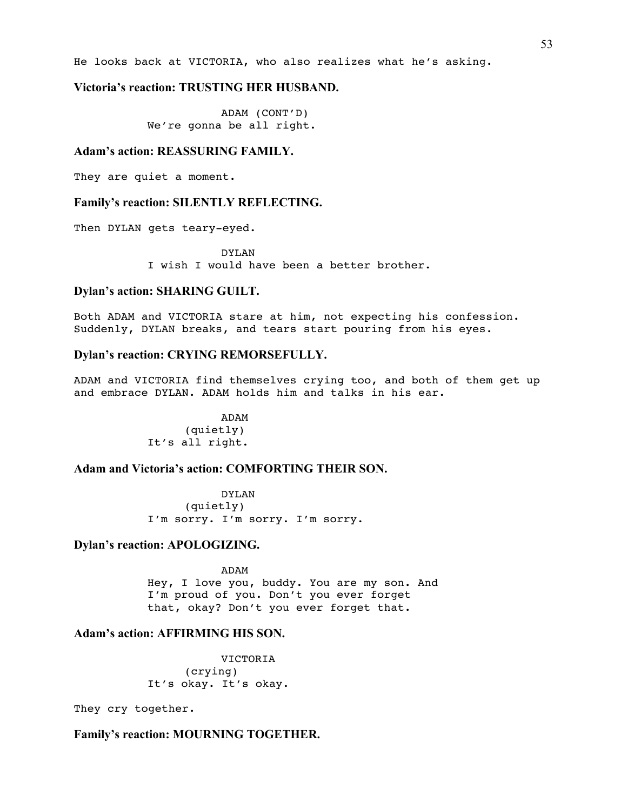He looks back at VICTORIA, who also realizes what he's asking.

### **Victoria's reaction: TRUSTING HER HUSBAND.**

ADAM (CONT'D) We're gonna be all right.

### **Adam's action: REASSURING FAMILY.**

They are quiet a moment.

## **Family's reaction: SILENTLY REFLECTING.**

Then DYLAN gets teary-eyed.

DYLAN I wish I would have been a better brother.

#### **Dylan's action: SHARING GUILT.**

Both ADAM and VICTORIA stare at him, not expecting his confession. Suddenly, DYLAN breaks, and tears start pouring from his eyes.

#### **Dylan's reaction: CRYING REMORSEFULLY.**

ADAM and VICTORIA find themselves crying too, and both of them get up and embrace DYLAN. ADAM holds him and talks in his ear.

> ADAM (quietly) It's all right.

### **Adam and Victoria's action: COMFORTING THEIR SON.**

DYLAN (quietly) I'm sorry. I'm sorry. I'm sorry.

#### **Dylan's reaction: APOLOGIZING.**

ADAM Hey, I love you, buddy. You are my son. And I'm proud of you. Don't you ever forget that, okay? Don't you ever forget that.

# **Adam's action: AFFIRMING HIS SON.**

VICTORIA (crying) It's okay. It's okay.

They cry together.

#### **Family's reaction: MOURNING TOGETHER.**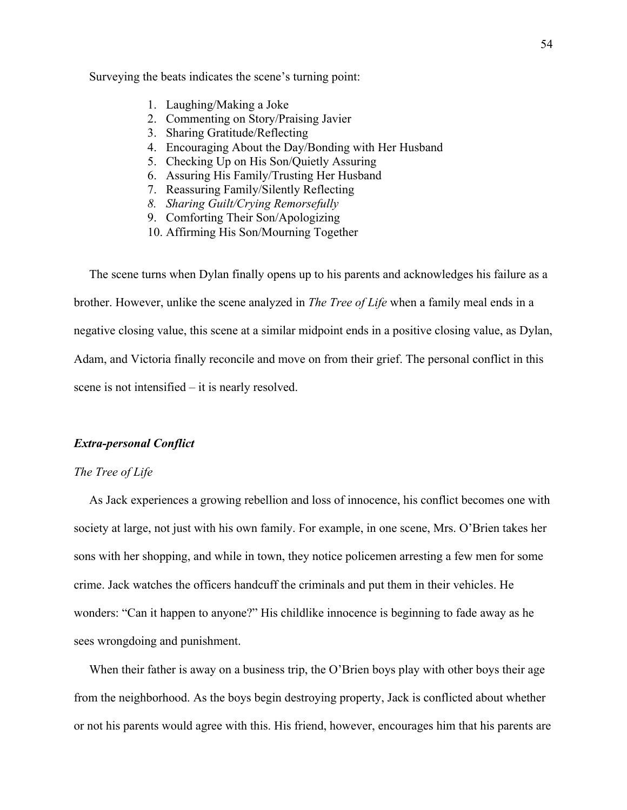Surveying the beats indicates the scene's turning point:

- 1. Laughing/Making a Joke
- 2. Commenting on Story/Praising Javier
- 3. Sharing Gratitude/Reflecting
- 4. Encouraging About the Day/Bonding with Her Husband
- 5. Checking Up on His Son/Quietly Assuring
- 6. Assuring His Family/Trusting Her Husband
- 7. Reassuring Family/Silently Reflecting
- *8. Sharing Guilt/Crying Remorsefully*
- 9. Comforting Their Son/Apologizing
- 10. Affirming His Son/Mourning Together

 The scene turns when Dylan finally opens up to his parents and acknowledges his failure as a brother. However, unlike the scene analyzed in *The Tree of Life* when a family meal ends in a negative closing value, this scene at a similar midpoint ends in a positive closing value, as Dylan, Adam, and Victoria finally reconcile and move on from their grief. The personal conflict in this scene is not intensified – it is nearly resolved.

# *Extra-personal Conflict*

# *The Tree of Life*

 As Jack experiences a growing rebellion and loss of innocence, his conflict becomes one with society at large, not just with his own family. For example, in one scene, Mrs. O'Brien takes her sons with her shopping, and while in town, they notice policemen arresting a few men for some crime. Jack watches the officers handcuff the criminals and put them in their vehicles. He wonders: "Can it happen to anyone?" His childlike innocence is beginning to fade away as he sees wrongdoing and punishment.

When their father is away on a business trip, the O'Brien boys play with other boys their age from the neighborhood. As the boys begin destroying property, Jack is conflicted about whether or not his parents would agree with this. His friend, however, encourages him that his parents are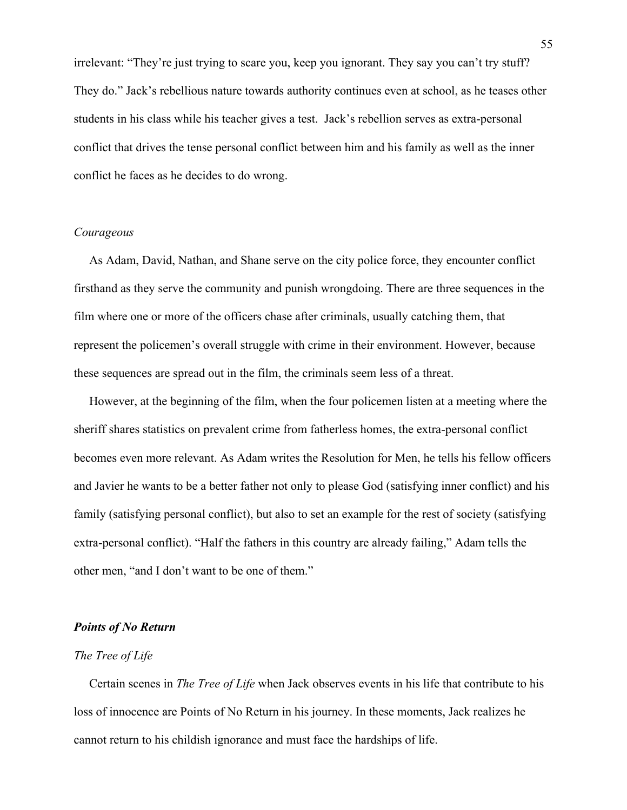irrelevant: "They're just trying to scare you, keep you ignorant. They say you can't try stuff? They do." Jack's rebellious nature towards authority continues even at school, as he teases other students in his class while his teacher gives a test. Jack's rebellion serves as extra-personal conflict that drives the tense personal conflict between him and his family as well as the inner conflict he faces as he decides to do wrong.

# *Courageous*

 As Adam, David, Nathan, and Shane serve on the city police force, they encounter conflict firsthand as they serve the community and punish wrongdoing. There are three sequences in the film where one or more of the officers chase after criminals, usually catching them, that represent the policemen's overall struggle with crime in their environment. However, because these sequences are spread out in the film, the criminals seem less of a threat.

 However, at the beginning of the film, when the four policemen listen at a meeting where the sheriff shares statistics on prevalent crime from fatherless homes, the extra-personal conflict becomes even more relevant. As Adam writes the Resolution for Men, he tells his fellow officers and Javier he wants to be a better father not only to please God (satisfying inner conflict) and his family (satisfying personal conflict), but also to set an example for the rest of society (satisfying extra-personal conflict). "Half the fathers in this country are already failing," Adam tells the other men, "and I don't want to be one of them."

# *Points of No Return*

# *The Tree of Life*

 Certain scenes in *The Tree of Life* when Jack observes events in his life that contribute to his loss of innocence are Points of No Return in his journey. In these moments, Jack realizes he cannot return to his childish ignorance and must face the hardships of life.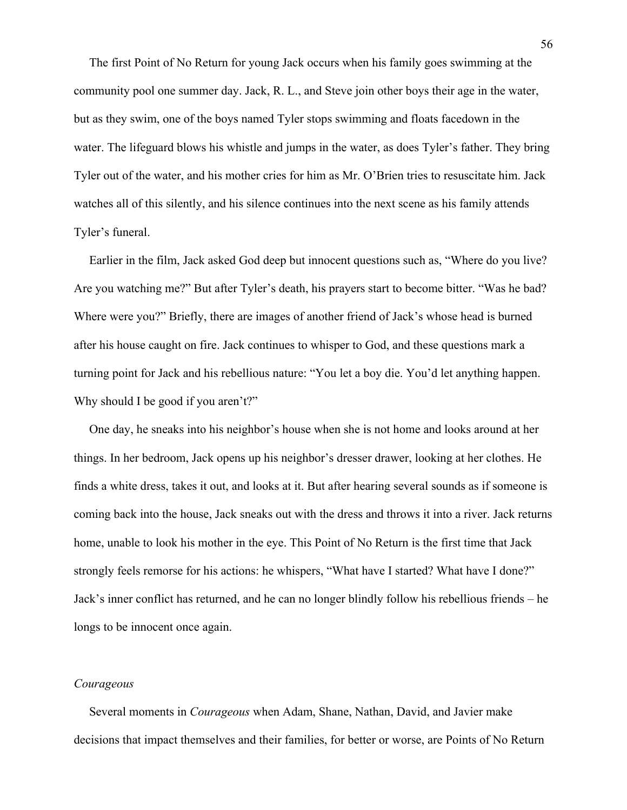The first Point of No Return for young Jack occurs when his family goes swimming at the community pool one summer day. Jack, R. L., and Steve join other boys their age in the water, but as they swim, one of the boys named Tyler stops swimming and floats facedown in the water. The lifeguard blows his whistle and jumps in the water, as does Tyler's father. They bring Tyler out of the water, and his mother cries for him as Mr. O'Brien tries to resuscitate him. Jack watches all of this silently, and his silence continues into the next scene as his family attends Tyler's funeral.

 Earlier in the film, Jack asked God deep but innocent questions such as, "Where do you live? Are you watching me?" But after Tyler's death, his prayers start to become bitter. "Was he bad? Where were you?" Briefly, there are images of another friend of Jack's whose head is burned after his house caught on fire. Jack continues to whisper to God, and these questions mark a turning point for Jack and his rebellious nature: "You let a boy die. You'd let anything happen. Why should I be good if you aren't?"

 One day, he sneaks into his neighbor's house when she is not home and looks around at her things. In her bedroom, Jack opens up his neighbor's dresser drawer, looking at her clothes. He finds a white dress, takes it out, and looks at it. But after hearing several sounds as if someone is coming back into the house, Jack sneaks out with the dress and throws it into a river. Jack returns home, unable to look his mother in the eye. This Point of No Return is the first time that Jack strongly feels remorse for his actions: he whispers, "What have I started? What have I done?" Jack's inner conflict has returned, and he can no longer blindly follow his rebellious friends – he longs to be innocent once again.

### *Courageous*

 Several moments in *Courageous* when Adam, Shane, Nathan, David, and Javier make decisions that impact themselves and their families, for better or worse, are Points of No Return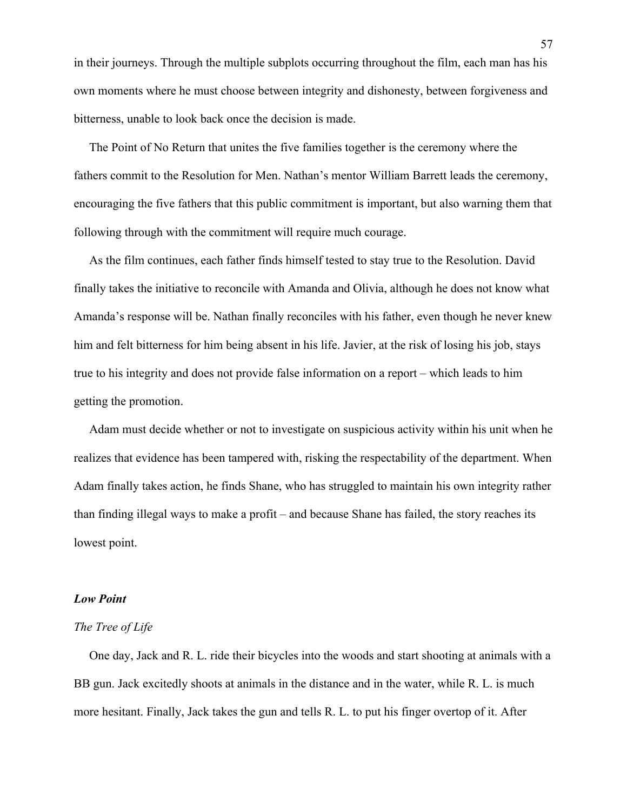in their journeys. Through the multiple subplots occurring throughout the film, each man has his own moments where he must choose between integrity and dishonesty, between forgiveness and bitterness, unable to look back once the decision is made.

 The Point of No Return that unites the five families together is the ceremony where the fathers commit to the Resolution for Men. Nathan's mentor William Barrett leads the ceremony, encouraging the five fathers that this public commitment is important, but also warning them that following through with the commitment will require much courage.

 As the film continues, each father finds himself tested to stay true to the Resolution. David finally takes the initiative to reconcile with Amanda and Olivia, although he does not know what Amanda's response will be. Nathan finally reconciles with his father, even though he never knew him and felt bitterness for him being absent in his life. Javier, at the risk of losing his job, stays true to his integrity and does not provide false information on a report – which leads to him getting the promotion.

 Adam must decide whether or not to investigate on suspicious activity within his unit when he realizes that evidence has been tampered with, risking the respectability of the department. When Adam finally takes action, he finds Shane, who has struggled to maintain his own integrity rather than finding illegal ways to make a profit – and because Shane has failed, the story reaches its lowest point.

# *Low Point*

# *The Tree of Life*

 One day, Jack and R. L. ride their bicycles into the woods and start shooting at animals with a BB gun. Jack excitedly shoots at animals in the distance and in the water, while R. L. is much more hesitant. Finally, Jack takes the gun and tells R. L. to put his finger overtop of it. After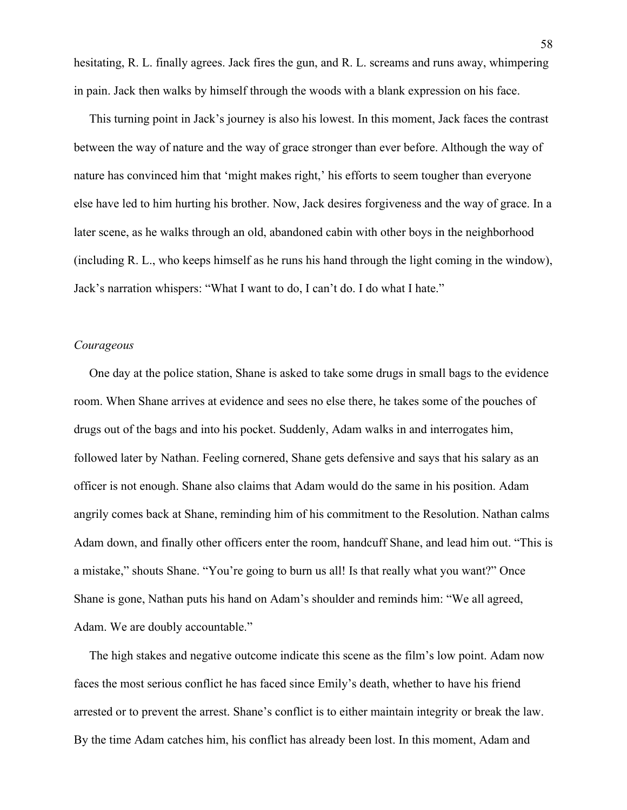hesitating, R. L. finally agrees. Jack fires the gun, and R. L. screams and runs away, whimpering in pain. Jack then walks by himself through the woods with a blank expression on his face.

 This turning point in Jack's journey is also his lowest. In this moment, Jack faces the contrast between the way of nature and the way of grace stronger than ever before. Although the way of nature has convinced him that 'might makes right,' his efforts to seem tougher than everyone else have led to him hurting his brother. Now, Jack desires forgiveness and the way of grace. In a later scene, as he walks through an old, abandoned cabin with other boys in the neighborhood (including R. L., who keeps himself as he runs his hand through the light coming in the window), Jack's narration whispers: "What I want to do, I can't do. I do what I hate."

# *Courageous*

 One day at the police station, Shane is asked to take some drugs in small bags to the evidence room. When Shane arrives at evidence and sees no else there, he takes some of the pouches of drugs out of the bags and into his pocket. Suddenly, Adam walks in and interrogates him, followed later by Nathan. Feeling cornered, Shane gets defensive and says that his salary as an officer is not enough. Shane also claims that Adam would do the same in his position. Adam angrily comes back at Shane, reminding him of his commitment to the Resolution. Nathan calms Adam down, and finally other officers enter the room, handcuff Shane, and lead him out. "This is a mistake," shouts Shane. "You're going to burn us all! Is that really what you want?" Once Shane is gone, Nathan puts his hand on Adam's shoulder and reminds him: "We all agreed, Adam. We are doubly accountable."

 The high stakes and negative outcome indicate this scene as the film's low point. Adam now faces the most serious conflict he has faced since Emily's death, whether to have his friend arrested or to prevent the arrest. Shane's conflict is to either maintain integrity or break the law. By the time Adam catches him, his conflict has already been lost. In this moment, Adam and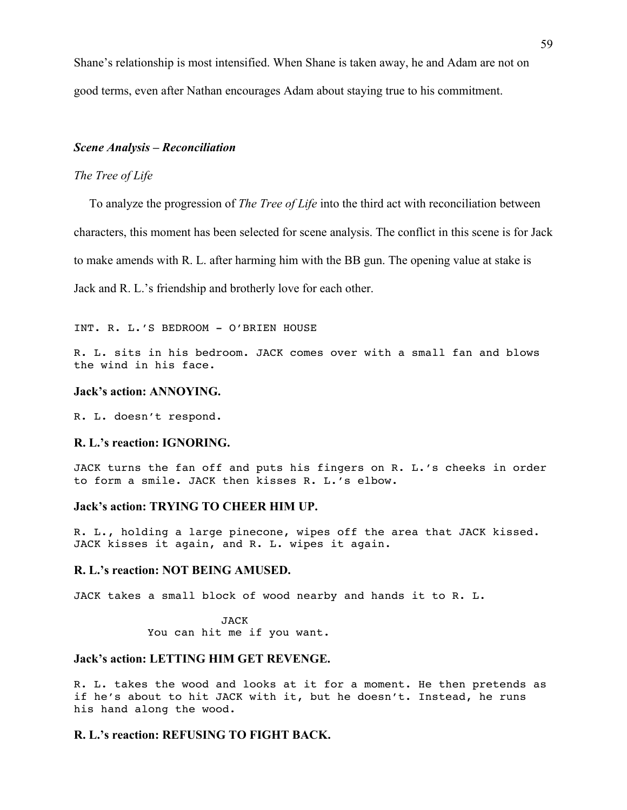Shane's relationship is most intensified. When Shane is taken away, he and Adam are not on good terms, even after Nathan encourages Adam about staying true to his commitment.

### *Scene Analysis – Reconciliation*

#### *The Tree of Life*

To analyze the progression of *The Tree of Life* into the third act with reconciliation between

characters, this moment has been selected for scene analysis. The conflict in this scene is for Jack

to make amends with R. L. after harming him with the BB gun. The opening value at stake is

Jack and R. L.'s friendship and brotherly love for each other.

INT. R. L.'S BEDROOM - O'BRIEN HOUSE

R. L. sits in his bedroom. JACK comes over with a small fan and blows the wind in his face.

# **Jack's action: ANNOYING.**

R. L. doesn't respond.

#### **R. L.'s reaction: IGNORING.**

JACK turns the fan off and puts his fingers on R. L.'s cheeks in order to form a smile. JACK then kisses R. L.'s elbow.

# **Jack's action: TRYING TO CHEER HIM UP.**

R. L., holding a large pinecone, wipes off the area that JACK kissed. JACK kisses it again, and R. L. wipes it again.

### **R. L.'s reaction: NOT BEING AMUSED.**

JACK takes a small block of wood nearby and hands it to R. L.

**JACK** You can hit me if you want.

# **Jack's action: LETTING HIM GET REVENGE.**

R. L. takes the wood and looks at it for a moment. He then pretends as if he's about to hit JACK with it, but he doesn't. Instead, he runs his hand along the wood.

# **R. L.'s reaction: REFUSING TO FIGHT BACK.**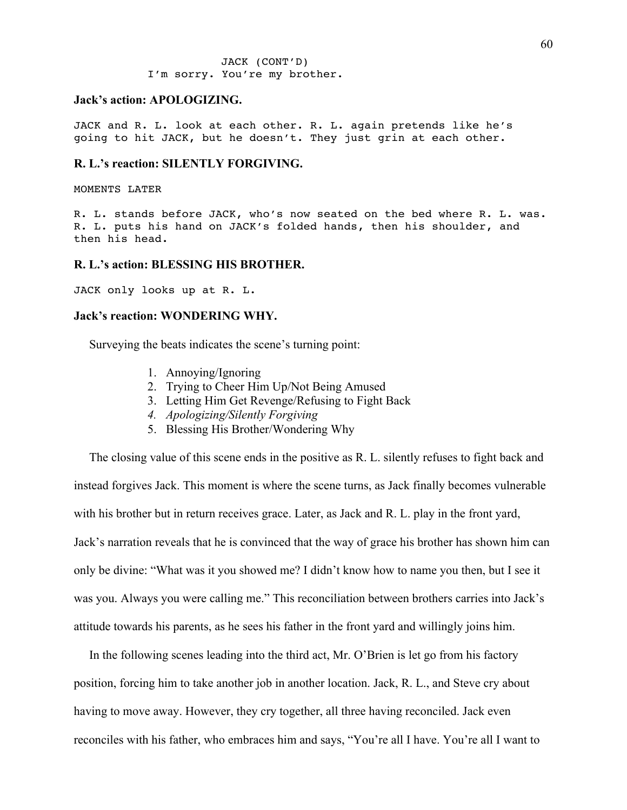JACK (CONT'D) I'm sorry. You're my brother.

### **Jack's action: APOLOGIZING.**

JACK and R. L. look at each other. R. L. again pretends like he's going to hit JACK, but he doesn't. They just grin at each other.

# **R. L.'s reaction: SILENTLY FORGIVING.**

MOMENTS LATER

R. L. stands before JACK, who's now seated on the bed where R. L. was. R. L. puts his hand on JACK's folded hands, then his shoulder, and then his head.

# **R. L.'s action: BLESSING HIS BROTHER.**

JACK only looks up at R. L.

### **Jack's reaction: WONDERING WHY.**

Surveying the beats indicates the scene's turning point:

- 1. Annoying/Ignoring
- 2. Trying to Cheer Him Up/Not Being Amused
- 3. Letting Him Get Revenge/Refusing to Fight Back
- *4. Apologizing/Silently Forgiving*
- 5. Blessing His Brother/Wondering Why

 The closing value of this scene ends in the positive as R. L. silently refuses to fight back and instead forgives Jack. This moment is where the scene turns, as Jack finally becomes vulnerable with his brother but in return receives grace. Later, as Jack and R. L. play in the front yard, Jack's narration reveals that he is convinced that the way of grace his brother has shown him can only be divine: "What was it you showed me? I didn't know how to name you then, but I see it was you. Always you were calling me." This reconciliation between brothers carries into Jack's attitude towards his parents, as he sees his father in the front yard and willingly joins him.

 In the following scenes leading into the third act, Mr. O'Brien is let go from his factory position, forcing him to take another job in another location. Jack, R. L., and Steve cry about having to move away. However, they cry together, all three having reconciled. Jack even reconciles with his father, who embraces him and says, "You're all I have. You're all I want to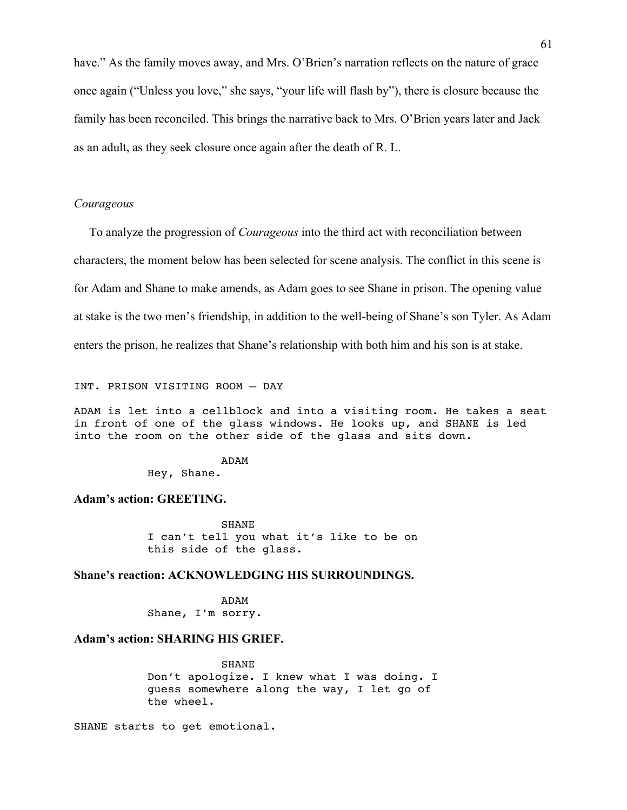have." As the family moves away, and Mrs. O'Brien's narration reflects on the nature of grace once again ("Unless you love," she says, "your life will flash by"), there is closure because the family has been reconciled. This brings the narrative back to Mrs. O'Brien years later and Jack as an adult, as they seek closure once again after the death of R. L.

### *Courageous*

 To analyze the progression of *Courageous* into the third act with reconciliation between characters, the moment below has been selected for scene analysis. The conflict in this scene is for Adam and Shane to make amends, as Adam goes to see Shane in prison. The opening value at stake is the two men's friendship, in addition to the well-being of Shane's son Tyler. As Adam enters the prison, he realizes that Shane's relationship with both him and his son is at stake.

INT. PRISON VISITING ROOM – DAY

ADAM is let into a cellblock and into a visiting room. He takes a seat in front of one of the glass windows. He looks up, and SHANE is led into the room on the other side of the glass and sits down.

> ADAM Hey, Shane.

#### **Adam's action: GREETING.**

SHANE I can't tell you what it's like to be on this side of the glass.

### **Shane's reaction: ACKNOWLEDGING HIS SURROUNDINGS.**

ADAM Shane, I'm sorry.

## **Adam's action: SHARING HIS GRIEF.**

SHANE Don't apologize. I knew what I was doing. I guess somewhere along the way, I let go of the wheel.

SHANE starts to get emotional.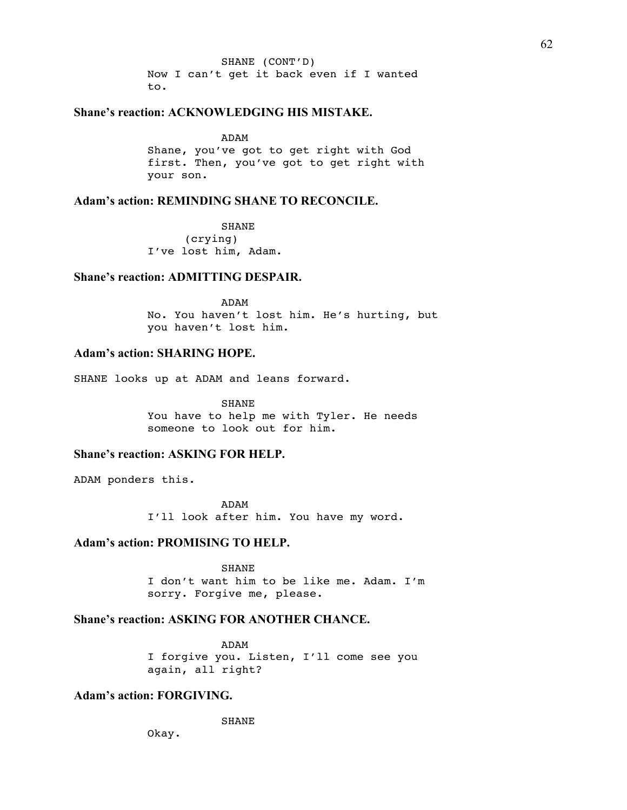SHANE (CONT'D) Now I can't get it back even if I wanted to.

# **Shane's reaction: ACKNOWLEDGING HIS MISTAKE.**

ADAM

Shane, you've got to get right with God first. Then, you've got to get right with your son.

### **Adam's action: REMINDING SHANE TO RECONCILE.**

SHANE (crying) I've lost him, Adam.

# **Shane's reaction: ADMITTING DESPAIR.**

ADAM No. You haven't lost him. He's hurting, but you haven't lost him.

### **Adam's action: SHARING HOPE.**

SHANE looks up at ADAM and leans forward.

SHANE You have to help me with Tyler. He needs someone to look out for him.

### **Shane's reaction: ASKING FOR HELP.**

ADAM ponders this.

ADAM I'll look after him. You have my word.

#### **Adam's action: PROMISING TO HELP.**

SHANE I don't want him to be like me. Adam. I'm sorry. Forgive me, please.

# **Shane's reaction: ASKING FOR ANOTHER CHANCE.**

ADAM I forgive you. Listen, I'll come see you again, all right?

#### **Adam's action: FORGIVING.**

SHANE

Okay.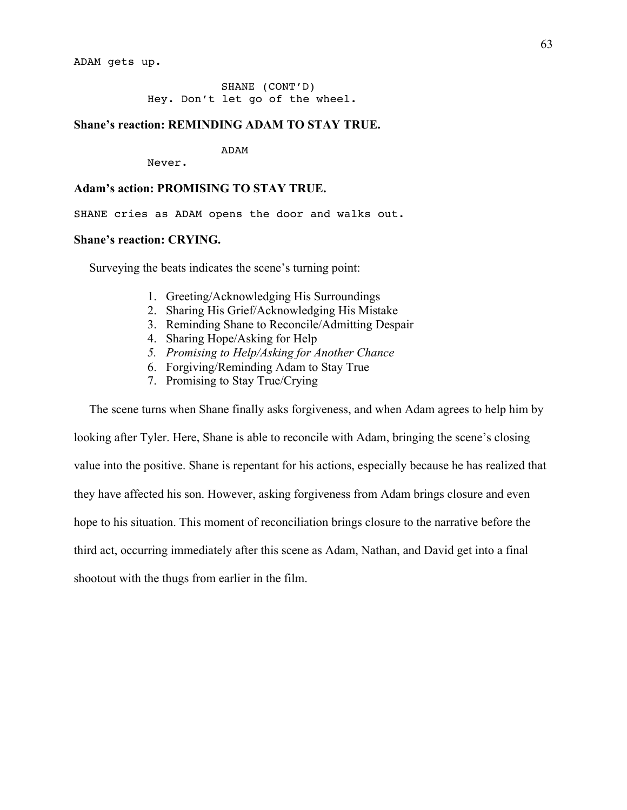ADAM gets up.

SHANE (CONT'D) Hey. Don't let go of the wheel.

### **Shane's reaction: REMINDING ADAM TO STAY TRUE.**

ADAM Never.

# **Adam's action: PROMISING TO STAY TRUE.**

SHANE cries as ADAM opens the door and walks out.

# **Shane's reaction: CRYING.**

Surveying the beats indicates the scene's turning point:

- 1. Greeting/Acknowledging His Surroundings
- 2. Sharing His Grief/Acknowledging His Mistake
- 3. Reminding Shane to Reconcile/Admitting Despair
- 4. Sharing Hope/Asking for Help
- *5. Promising to Help/Asking for Another Chance*
- 6. Forgiving/Reminding Adam to Stay True
- 7. Promising to Stay True/Crying

The scene turns when Shane finally asks forgiveness, and when Adam agrees to help him by

looking after Tyler. Here, Shane is able to reconcile with Adam, bringing the scene's closing value into the positive. Shane is repentant for his actions, especially because he has realized that they have affected his son. However, asking forgiveness from Adam brings closure and even hope to his situation. This moment of reconciliation brings closure to the narrative before the third act, occurring immediately after this scene as Adam, Nathan, and David get into a final shootout with the thugs from earlier in the film.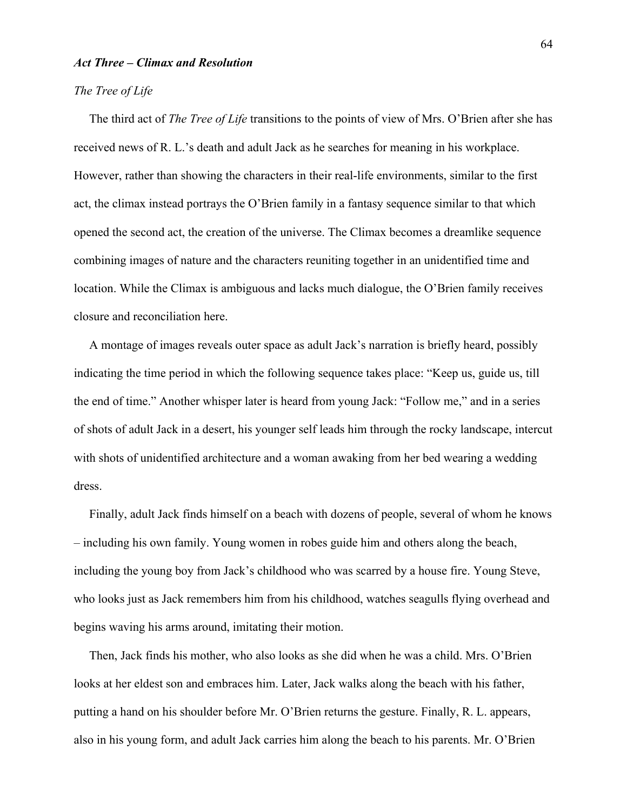## *Act Three – Climax and Resolution*

# *The Tree of Life*

 The third act of *The Tree of Life* transitions to the points of view of Mrs. O'Brien after she has received news of R. L.'s death and adult Jack as he searches for meaning in his workplace. However, rather than showing the characters in their real-life environments, similar to the first act, the climax instead portrays the O'Brien family in a fantasy sequence similar to that which opened the second act, the creation of the universe. The Climax becomes a dreamlike sequence combining images of nature and the characters reuniting together in an unidentified time and location. While the Climax is ambiguous and lacks much dialogue, the O'Brien family receives closure and reconciliation here.

 A montage of images reveals outer space as adult Jack's narration is briefly heard, possibly indicating the time period in which the following sequence takes place: "Keep us, guide us, till the end of time." Another whisper later is heard from young Jack: "Follow me," and in a series of shots of adult Jack in a desert, his younger self leads him through the rocky landscape, intercut with shots of unidentified architecture and a woman awaking from her bed wearing a wedding dress.

 Finally, adult Jack finds himself on a beach with dozens of people, several of whom he knows – including his own family. Young women in robes guide him and others along the beach, including the young boy from Jack's childhood who was scarred by a house fire. Young Steve, who looks just as Jack remembers him from his childhood, watches seagulls flying overhead and begins waving his arms around, imitating their motion.

 Then, Jack finds his mother, who also looks as she did when he was a child. Mrs. O'Brien looks at her eldest son and embraces him. Later, Jack walks along the beach with his father, putting a hand on his shoulder before Mr. O'Brien returns the gesture. Finally, R. L. appears, also in his young form, and adult Jack carries him along the beach to his parents. Mr. O'Brien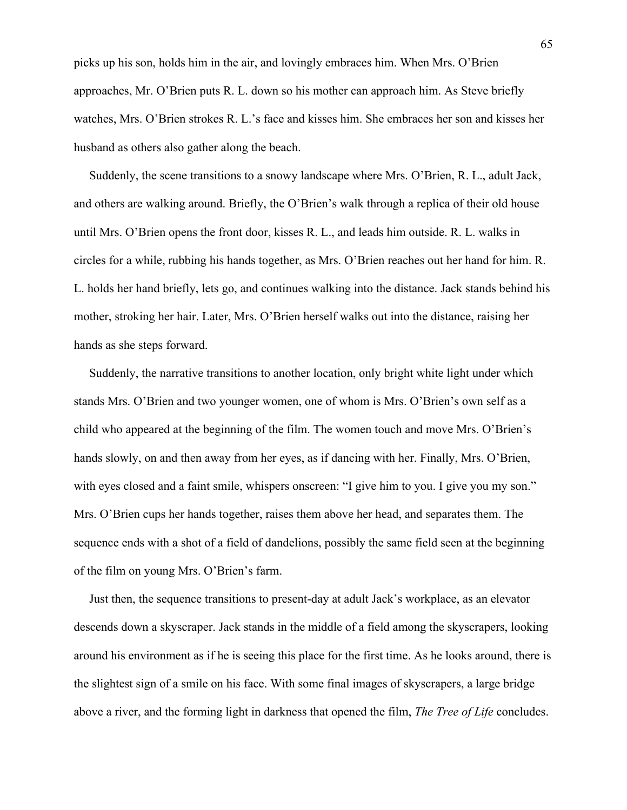picks up his son, holds him in the air, and lovingly embraces him. When Mrs. O'Brien approaches, Mr. O'Brien puts R. L. down so his mother can approach him. As Steve briefly watches, Mrs. O'Brien strokes R. L.'s face and kisses him. She embraces her son and kisses her husband as others also gather along the beach.

 Suddenly, the scene transitions to a snowy landscape where Mrs. O'Brien, R. L., adult Jack, and others are walking around. Briefly, the O'Brien's walk through a replica of their old house until Mrs. O'Brien opens the front door, kisses R. L., and leads him outside. R. L. walks in circles for a while, rubbing his hands together, as Mrs. O'Brien reaches out her hand for him. R. L. holds her hand briefly, lets go, and continues walking into the distance. Jack stands behind his mother, stroking her hair. Later, Mrs. O'Brien herself walks out into the distance, raising her hands as she steps forward.

 Suddenly, the narrative transitions to another location, only bright white light under which stands Mrs. O'Brien and two younger women, one of whom is Mrs. O'Brien's own self as a child who appeared at the beginning of the film. The women touch and move Mrs. O'Brien's hands slowly, on and then away from her eyes, as if dancing with her. Finally, Mrs. O'Brien, with eyes closed and a faint smile, whispers onscreen: "I give him to you. I give you my son." Mrs. O'Brien cups her hands together, raises them above her head, and separates them. The sequence ends with a shot of a field of dandelions, possibly the same field seen at the beginning of the film on young Mrs. O'Brien's farm.

 Just then, the sequence transitions to present-day at adult Jack's workplace, as an elevator descends down a skyscraper. Jack stands in the middle of a field among the skyscrapers, looking around his environment as if he is seeing this place for the first time. As he looks around, there is the slightest sign of a smile on his face. With some final images of skyscrapers, a large bridge above a river, and the forming light in darkness that opened the film, *The Tree of Life* concludes.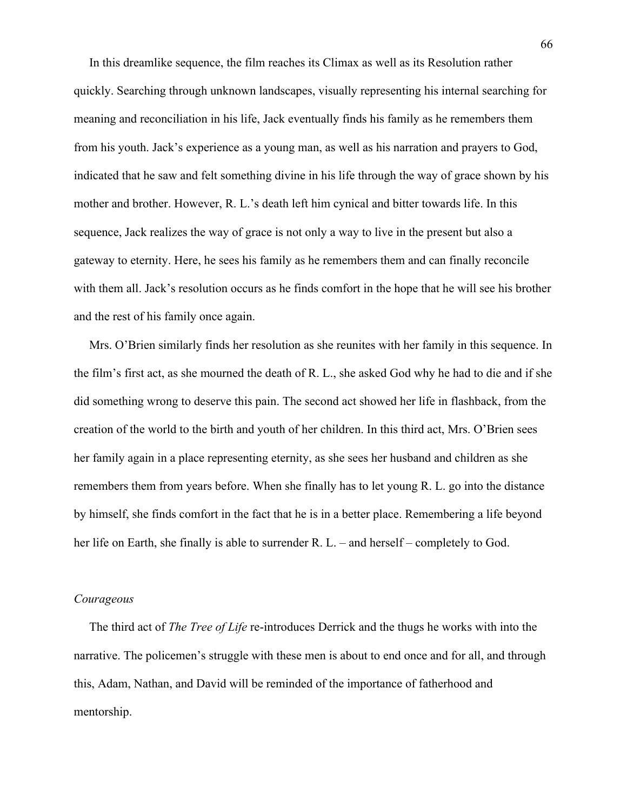In this dreamlike sequence, the film reaches its Climax as well as its Resolution rather quickly. Searching through unknown landscapes, visually representing his internal searching for meaning and reconciliation in his life, Jack eventually finds his family as he remembers them from his youth. Jack's experience as a young man, as well as his narration and prayers to God, indicated that he saw and felt something divine in his life through the way of grace shown by his mother and brother. However, R. L.'s death left him cynical and bitter towards life. In this sequence, Jack realizes the way of grace is not only a way to live in the present but also a gateway to eternity. Here, he sees his family as he remembers them and can finally reconcile with them all. Jack's resolution occurs as he finds comfort in the hope that he will see his brother and the rest of his family once again.

 Mrs. O'Brien similarly finds her resolution as she reunites with her family in this sequence. In the film's first act, as she mourned the death of R. L., she asked God why he had to die and if she did something wrong to deserve this pain. The second act showed her life in flashback, from the creation of the world to the birth and youth of her children. In this third act, Mrs. O'Brien sees her family again in a place representing eternity, as she sees her husband and children as she remembers them from years before. When she finally has to let young R. L. go into the distance by himself, she finds comfort in the fact that he is in a better place. Remembering a life beyond her life on Earth, she finally is able to surrender R. L. – and herself – completely to God.

#### *Courageous*

 The third act of *The Tree of Life* re-introduces Derrick and the thugs he works with into the narrative. The policemen's struggle with these men is about to end once and for all, and through this, Adam, Nathan, and David will be reminded of the importance of fatherhood and mentorship.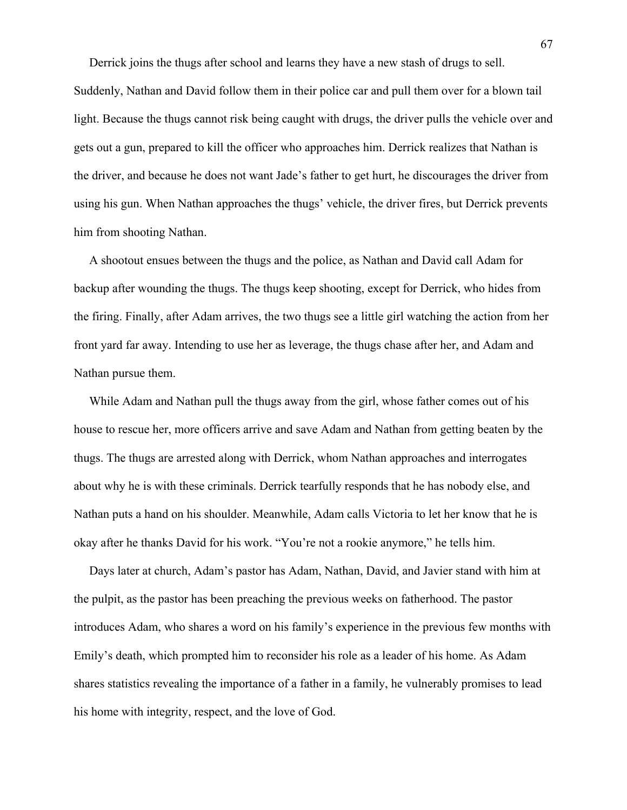Derrick joins the thugs after school and learns they have a new stash of drugs to sell. Suddenly, Nathan and David follow them in their police car and pull them over for a blown tail light. Because the thugs cannot risk being caught with drugs, the driver pulls the vehicle over and gets out a gun, prepared to kill the officer who approaches him. Derrick realizes that Nathan is the driver, and because he does not want Jade's father to get hurt, he discourages the driver from using his gun. When Nathan approaches the thugs' vehicle, the driver fires, but Derrick prevents him from shooting Nathan.

 A shootout ensues between the thugs and the police, as Nathan and David call Adam for backup after wounding the thugs. The thugs keep shooting, except for Derrick, who hides from the firing. Finally, after Adam arrives, the two thugs see a little girl watching the action from her front yard far away. Intending to use her as leverage, the thugs chase after her, and Adam and Nathan pursue them.

 While Adam and Nathan pull the thugs away from the girl, whose father comes out of his house to rescue her, more officers arrive and save Adam and Nathan from getting beaten by the thugs. The thugs are arrested along with Derrick, whom Nathan approaches and interrogates about why he is with these criminals. Derrick tearfully responds that he has nobody else, and Nathan puts a hand on his shoulder. Meanwhile, Adam calls Victoria to let her know that he is okay after he thanks David for his work. "You're not a rookie anymore," he tells him.

 Days later at church, Adam's pastor has Adam, Nathan, David, and Javier stand with him at the pulpit, as the pastor has been preaching the previous weeks on fatherhood. The pastor introduces Adam, who shares a word on his family's experience in the previous few months with Emily's death, which prompted him to reconsider his role as a leader of his home. As Adam shares statistics revealing the importance of a father in a family, he vulnerably promises to lead his home with integrity, respect, and the love of God.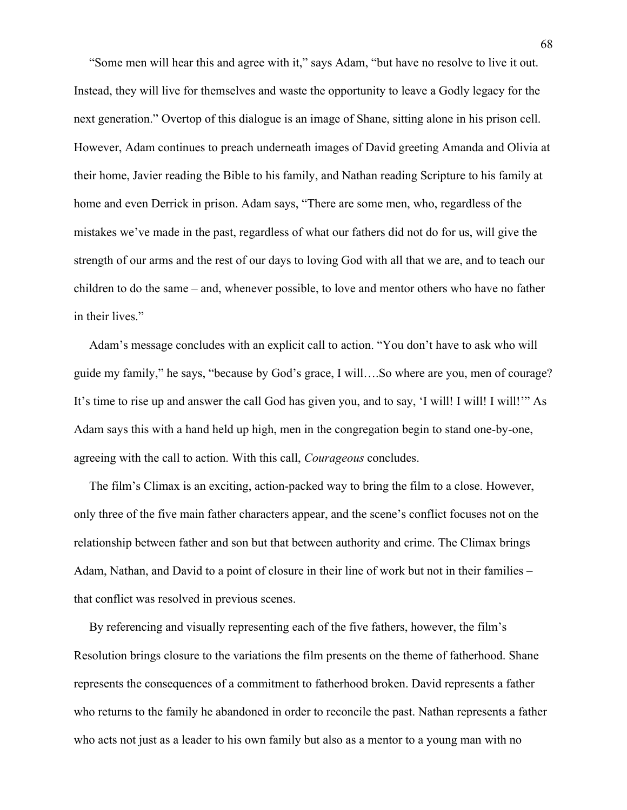"Some men will hear this and agree with it," says Adam, "but have no resolve to live it out. Instead, they will live for themselves and waste the opportunity to leave a Godly legacy for the next generation." Overtop of this dialogue is an image of Shane, sitting alone in his prison cell. However, Adam continues to preach underneath images of David greeting Amanda and Olivia at their home, Javier reading the Bible to his family, and Nathan reading Scripture to his family at home and even Derrick in prison. Adam says, "There are some men, who, regardless of the mistakes we've made in the past, regardless of what our fathers did not do for us, will give the strength of our arms and the rest of our days to loving God with all that we are, and to teach our children to do the same – and, whenever possible, to love and mentor others who have no father in their lives."

 Adam's message concludes with an explicit call to action. "You don't have to ask who will guide my family," he says, "because by God's grace, I will….So where are you, men of courage? It's time to rise up and answer the call God has given you, and to say, 'I will! I will! I will!'" As Adam says this with a hand held up high, men in the congregation begin to stand one-by-one, agreeing with the call to action. With this call, *Courageous* concludes.

 The film's Climax is an exciting, action-packed way to bring the film to a close. However, only three of the five main father characters appear, and the scene's conflict focuses not on the relationship between father and son but that between authority and crime. The Climax brings Adam, Nathan, and David to a point of closure in their line of work but not in their families – that conflict was resolved in previous scenes.

 By referencing and visually representing each of the five fathers, however, the film's Resolution brings closure to the variations the film presents on the theme of fatherhood. Shane represents the consequences of a commitment to fatherhood broken. David represents a father who returns to the family he abandoned in order to reconcile the past. Nathan represents a father who acts not just as a leader to his own family but also as a mentor to a young man with no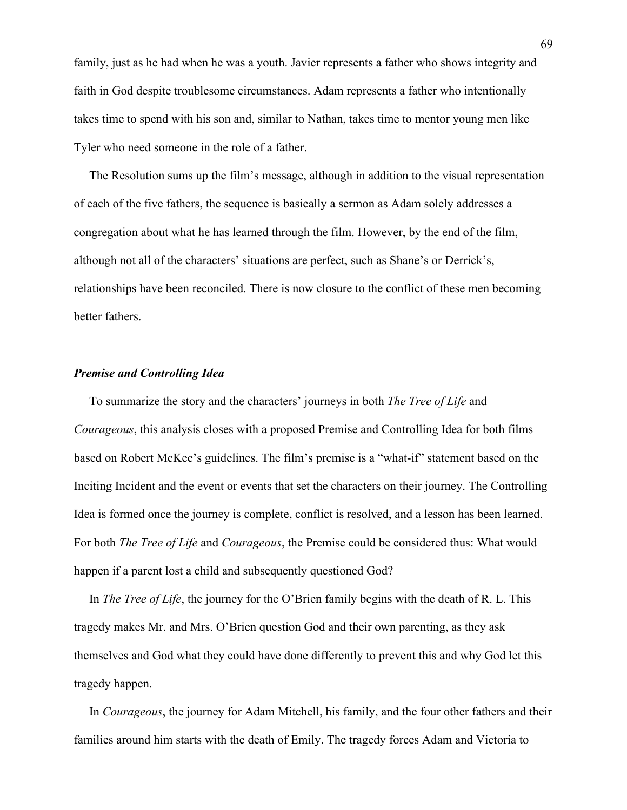family, just as he had when he was a youth. Javier represents a father who shows integrity and faith in God despite troublesome circumstances. Adam represents a father who intentionally takes time to spend with his son and, similar to Nathan, takes time to mentor young men like Tyler who need someone in the role of a father.

 The Resolution sums up the film's message, although in addition to the visual representation of each of the five fathers, the sequence is basically a sermon as Adam solely addresses a congregation about what he has learned through the film. However, by the end of the film, although not all of the characters' situations are perfect, such as Shane's or Derrick's, relationships have been reconciled. There is now closure to the conflict of these men becoming better fathers.

#### *Premise and Controlling Idea*

 To summarize the story and the characters' journeys in both *The Tree of Life* and *Courageous*, this analysis closes with a proposed Premise and Controlling Idea for both films based on Robert McKee's guidelines. The film's premise is a "what-if" statement based on the Inciting Incident and the event or events that set the characters on their journey. The Controlling Idea is formed once the journey is complete, conflict is resolved, and a lesson has been learned. For both *The Tree of Life* and *Courageous*, the Premise could be considered thus: What would happen if a parent lost a child and subsequently questioned God?

 In *The Tree of Life*, the journey for the O'Brien family begins with the death of R. L. This tragedy makes Mr. and Mrs. O'Brien question God and their own parenting, as they ask themselves and God what they could have done differently to prevent this and why God let this tragedy happen.

 In *Courageous*, the journey for Adam Mitchell, his family, and the four other fathers and their families around him starts with the death of Emily. The tragedy forces Adam and Victoria to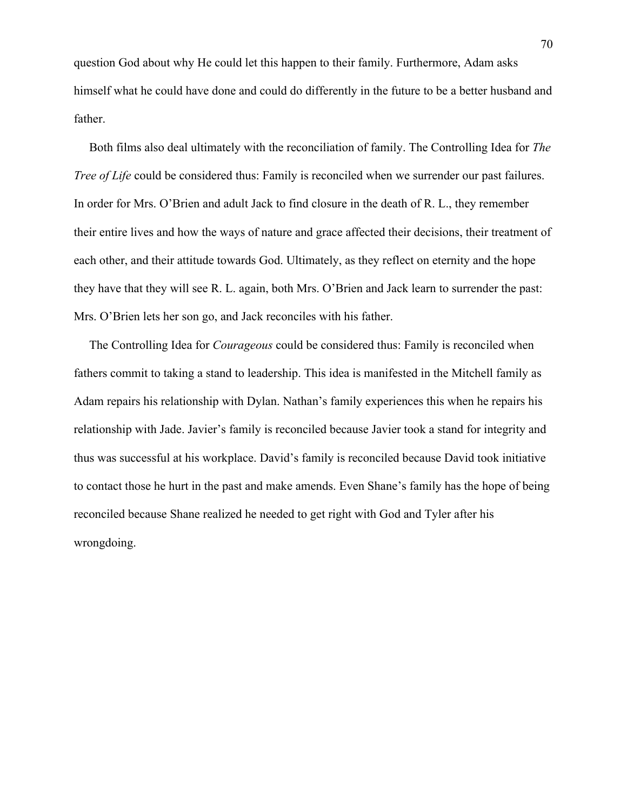question God about why He could let this happen to their family. Furthermore, Adam asks himself what he could have done and could do differently in the future to be a better husband and father.

 Both films also deal ultimately with the reconciliation of family. The Controlling Idea for *The Tree of Life* could be considered thus: Family is reconciled when we surrender our past failures. In order for Mrs. O'Brien and adult Jack to find closure in the death of R. L., they remember their entire lives and how the ways of nature and grace affected their decisions, their treatment of each other, and their attitude towards God. Ultimately, as they reflect on eternity and the hope they have that they will see R. L. again, both Mrs. O'Brien and Jack learn to surrender the past: Mrs. O'Brien lets her son go, and Jack reconciles with his father.

 The Controlling Idea for *Courageous* could be considered thus: Family is reconciled when fathers commit to taking a stand to leadership. This idea is manifested in the Mitchell family as Adam repairs his relationship with Dylan. Nathan's family experiences this when he repairs his relationship with Jade. Javier's family is reconciled because Javier took a stand for integrity and thus was successful at his workplace. David's family is reconciled because David took initiative to contact those he hurt in the past and make amends. Even Shane's family has the hope of being reconciled because Shane realized he needed to get right with God and Tyler after his wrongdoing.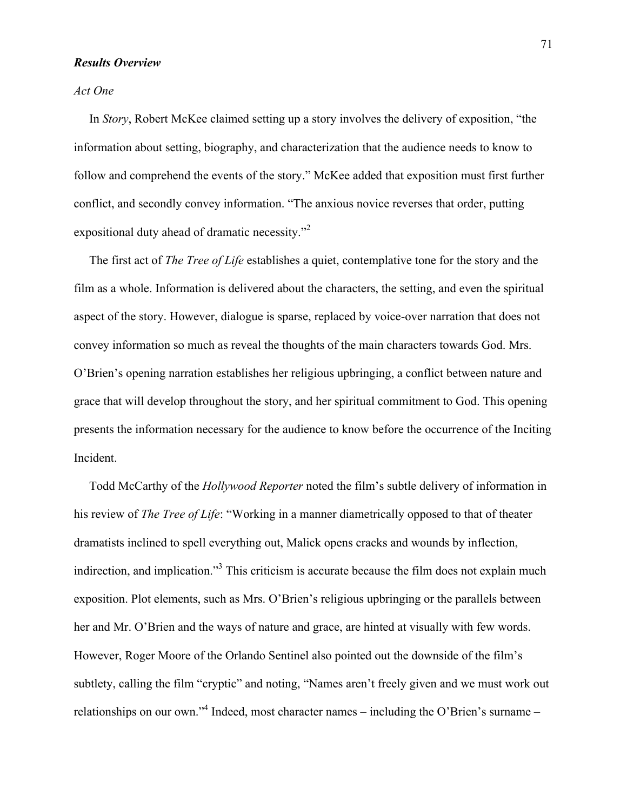#### *Results Overview*

### *Act One*

 In *Story*, Robert McKee claimed setting up a story involves the delivery of exposition, "the information about setting, biography, and characterization that the audience needs to know to follow and comprehend the events of the story." McKee added that exposition must first further conflict, and secondly convey information. "The anxious novice reverses that order, putting expositional duty ahead of dramatic necessity."<sup>2</sup>

 The first act of *The Tree of Life* establishes a quiet, contemplative tone for the story and the film as a whole. Information is delivered about the characters, the setting, and even the spiritual aspect of the story. However, dialogue is sparse, replaced by voice-over narration that does not convey information so much as reveal the thoughts of the main characters towards God. Mrs. O'Brien's opening narration establishes her religious upbringing, a conflict between nature and grace that will develop throughout the story, and her spiritual commitment to God. This opening presents the information necessary for the audience to know before the occurrence of the Inciting Incident.

 Todd McCarthy of the *Hollywood Reporter* noted the film's subtle delivery of information in his review of *The Tree of Life*: "Working in a manner diametrically opposed to that of theater dramatists inclined to spell everything out, Malick opens cracks and wounds by inflection, indirection, and implication."<sup>3</sup> This criticism is accurate because the film does not explain much exposition. Plot elements, such as Mrs. O'Brien's religious upbringing or the parallels between her and Mr. O'Brien and the ways of nature and grace, are hinted at visually with few words. However, Roger Moore of the Orlando Sentinel also pointed out the downside of the film's subtlety, calling the film "cryptic" and noting, "Names aren't freely given and we must work out relationships on our own."<sup>4</sup> Indeed, most character names – including the O'Brien's surname –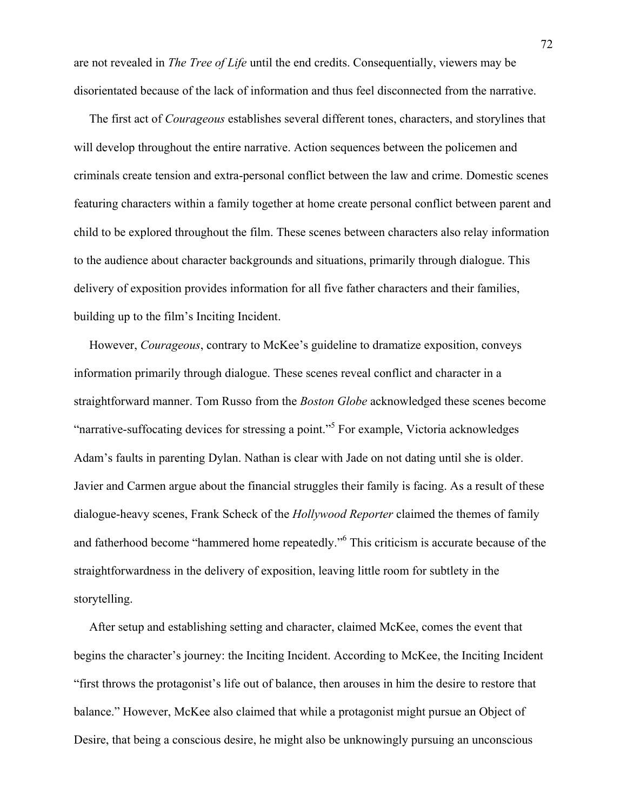are not revealed in *The Tree of Life* until the end credits. Consequentially, viewers may be disorientated because of the lack of information and thus feel disconnected from the narrative.

 The first act of *Courageous* establishes several different tones, characters, and storylines that will develop throughout the entire narrative. Action sequences between the policemen and criminals create tension and extra-personal conflict between the law and crime. Domestic scenes featuring characters within a family together at home create personal conflict between parent and child to be explored throughout the film. These scenes between characters also relay information to the audience about character backgrounds and situations, primarily through dialogue. This delivery of exposition provides information for all five father characters and their families, building up to the film's Inciting Incident.

 However, *Courageous*, contrary to McKee's guideline to dramatize exposition, conveys information primarily through dialogue. These scenes reveal conflict and character in a straightforward manner. Tom Russo from the *Boston Globe* acknowledged these scenes become "narrative-suffocating devices for stressing a point."<sup>5</sup> For example, Victoria acknowledges Adam's faults in parenting Dylan. Nathan is clear with Jade on not dating until she is older. Javier and Carmen argue about the financial struggles their family is facing. As a result of these dialogue-heavy scenes, Frank Scheck of the *Hollywood Reporter* claimed the themes of family and fatherhood become "hammered home repeatedly."<sup>6</sup> This criticism is accurate because of the straightforwardness in the delivery of exposition, leaving little room for subtlety in the storytelling.

 After setup and establishing setting and character, claimed McKee, comes the event that begins the character's journey: the Inciting Incident. According to McKee, the Inciting Incident "first throws the protagonist's life out of balance, then arouses in him the desire to restore that balance." However, McKee also claimed that while a protagonist might pursue an Object of Desire, that being a conscious desire, he might also be unknowingly pursuing an unconscious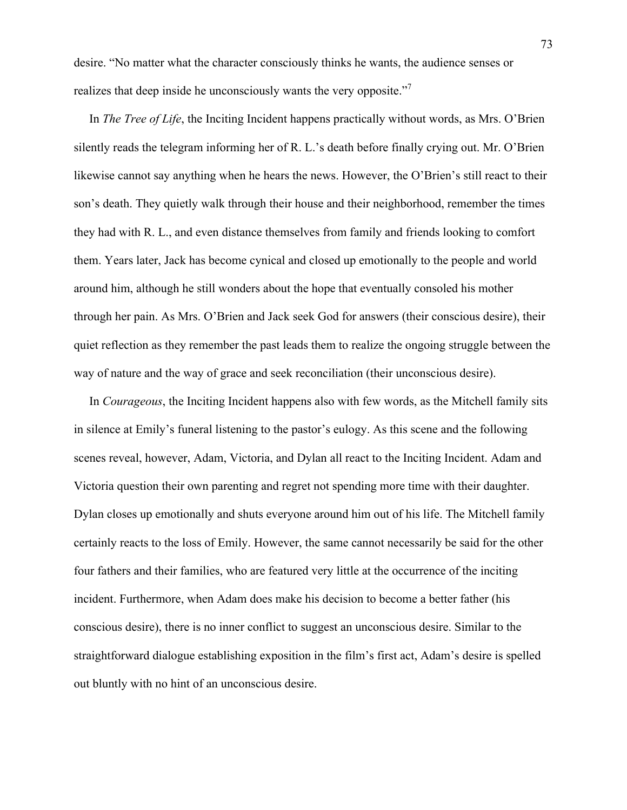desire. "No matter what the character consciously thinks he wants, the audience senses or realizes that deep inside he unconsciously wants the very opposite."<sup>7</sup>

 In *The Tree of Life*, the Inciting Incident happens practically without words, as Mrs. O'Brien silently reads the telegram informing her of R. L.'s death before finally crying out. Mr. O'Brien likewise cannot say anything when he hears the news. However, the O'Brien's still react to their son's death. They quietly walk through their house and their neighborhood, remember the times they had with R. L., and even distance themselves from family and friends looking to comfort them. Years later, Jack has become cynical and closed up emotionally to the people and world around him, although he still wonders about the hope that eventually consoled his mother through her pain. As Mrs. O'Brien and Jack seek God for answers (their conscious desire), their quiet reflection as they remember the past leads them to realize the ongoing struggle between the way of nature and the way of grace and seek reconciliation (their unconscious desire).

 In *Courageous*, the Inciting Incident happens also with few words, as the Mitchell family sits in silence at Emily's funeral listening to the pastor's eulogy. As this scene and the following scenes reveal, however, Adam, Victoria, and Dylan all react to the Inciting Incident. Adam and Victoria question their own parenting and regret not spending more time with their daughter. Dylan closes up emotionally and shuts everyone around him out of his life. The Mitchell family certainly reacts to the loss of Emily. However, the same cannot necessarily be said for the other four fathers and their families, who are featured very little at the occurrence of the inciting incident. Furthermore, when Adam does make his decision to become a better father (his conscious desire), there is no inner conflict to suggest an unconscious desire. Similar to the straightforward dialogue establishing exposition in the film's first act, Adam's desire is spelled out bluntly with no hint of an unconscious desire.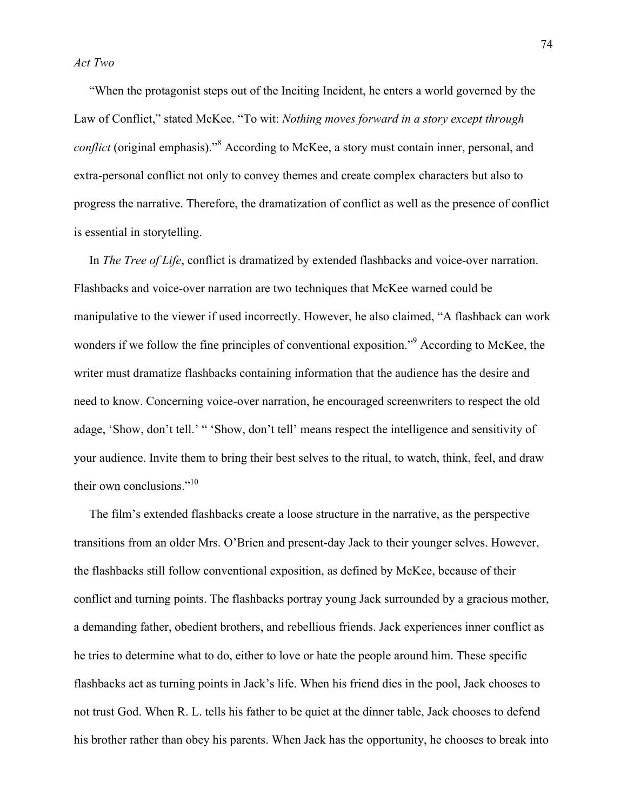"When the protagonist steps out of the Inciting Incident, he enters a world governed by the Law of Conflict," stated McKee. "To wit: *Nothing moves forward in a story except through*  conflict (original emphasis)."<sup>8</sup> According to McKee, a story must contain inner, personal, and extra-personal conflict not only to convey themes and create complex characters but also to progress the narrative. Therefore, the dramatization of conflict as well as the presence of conflict is essential in storytelling.

 In *The Tree of Life*, conflict is dramatized by extended flashbacks and voice-over narration. Flashbacks and voice-over narration are two techniques that McKee warned could be manipulative to the viewer if used incorrectly. However, he also claimed, "A flashback can work wonders if we follow the fine principles of conventional exposition."<sup>9</sup> According to McKee, the writer must dramatize flashbacks containing information that the audience has the desire and need to know. Concerning voice-over narration, he encouraged screenwriters to respect the old adage, 'Show, don't tell.' " 'Show, don't tell' means respect the intelligence and sensitivity of your audience. Invite them to bring their best selves to the ritual, to watch, think, feel, and draw their own conclusions."<sup>10</sup>

 The film's extended flashbacks create a loose structure in the narrative, as the perspective transitions from an older Mrs. O'Brien and present-day Jack to their younger selves. However, the flashbacks still follow conventional exposition, as defined by McKee, because of their conflict and turning points. The flashbacks portray young Jack surrounded by a gracious mother, a demanding father, obedient brothers, and rebellious friends. Jack experiences inner conflict as he tries to determine what to do, either to love or hate the people around him. These specific flashbacks act as turning points in Jack's life. When his friend dies in the pool, Jack chooses to not trust God. When R. L. tells his father to be quiet at the dinner table, Jack chooses to defend his brother rather than obey his parents. When Jack has the opportunity, he chooses to break into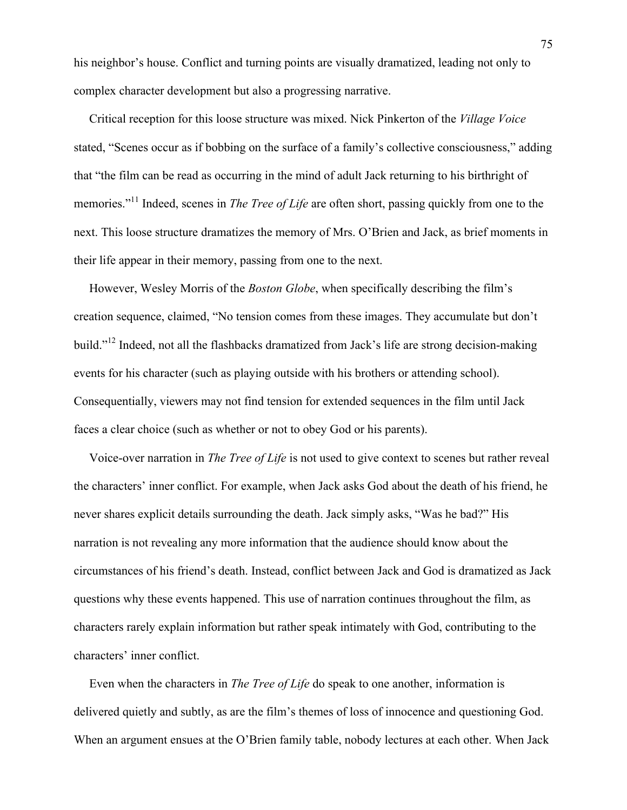his neighbor's house. Conflict and turning points are visually dramatized, leading not only to complex character development but also a progressing narrative.

 Critical reception for this loose structure was mixed. Nick Pinkerton of the *Village Voice* stated, "Scenes occur as if bobbing on the surface of a family's collective consciousness," adding that "the film can be read as occurring in the mind of adult Jack returning to his birthright of memories.<sup>"11</sup> Indeed, scenes in *The Tree of Life* are often short, passing quickly from one to the next. This loose structure dramatizes the memory of Mrs. O'Brien and Jack, as brief moments in their life appear in their memory, passing from one to the next.

 However, Wesley Morris of the *Boston Globe*, when specifically describing the film's creation sequence, claimed, "No tension comes from these images. They accumulate but don't build."<sup>12</sup> Indeed, not all the flashbacks dramatized from Jack's life are strong decision-making events for his character (such as playing outside with his brothers or attending school). Consequentially, viewers may not find tension for extended sequences in the film until Jack faces a clear choice (such as whether or not to obey God or his parents).

 Voice-over narration in *The Tree of Life* is not used to give context to scenes but rather reveal the characters' inner conflict. For example, when Jack asks God about the death of his friend, he never shares explicit details surrounding the death. Jack simply asks, "Was he bad?" His narration is not revealing any more information that the audience should know about the circumstances of his friend's death. Instead, conflict between Jack and God is dramatized as Jack questions why these events happened. This use of narration continues throughout the film, as characters rarely explain information but rather speak intimately with God, contributing to the characters' inner conflict.

 Even when the characters in *The Tree of Life* do speak to one another, information is delivered quietly and subtly, as are the film's themes of loss of innocence and questioning God. When an argument ensues at the O'Brien family table, nobody lectures at each other. When Jack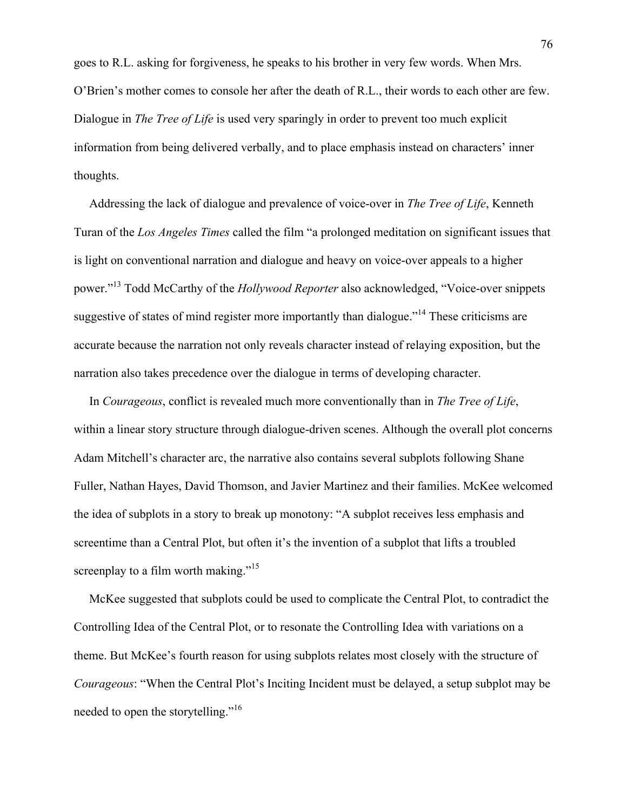goes to R.L. asking for forgiveness, he speaks to his brother in very few words. When Mrs. O'Brien's mother comes to console her after the death of R.L., their words to each other are few. Dialogue in *The Tree of Life* is used very sparingly in order to prevent too much explicit information from being delivered verbally, and to place emphasis instead on characters' inner thoughts.

 Addressing the lack of dialogue and prevalence of voice-over in *The Tree of Life*, Kenneth Turan of the *Los Angeles Times* called the film "a prolonged meditation on significant issues that is light on conventional narration and dialogue and heavy on voice-over appeals to a higher power."13 Todd McCarthy of the *Hollywood Reporter* also acknowledged, "Voice-over snippets suggestive of states of mind register more importantly than dialogue."<sup>14</sup> These criticisms are accurate because the narration not only reveals character instead of relaying exposition, but the narration also takes precedence over the dialogue in terms of developing character.

 In *Courageous*, conflict is revealed much more conventionally than in *The Tree of Life*, within a linear story structure through dialogue-driven scenes. Although the overall plot concerns Adam Mitchell's character arc, the narrative also contains several subplots following Shane Fuller, Nathan Hayes, David Thomson, and Javier Martinez and their families. McKee welcomed the idea of subplots in a story to break up monotony: "A subplot receives less emphasis and screentime than a Central Plot, but often it's the invention of a subplot that lifts a troubled screenplay to a film worth making."<sup>15</sup>

 McKee suggested that subplots could be used to complicate the Central Plot, to contradict the Controlling Idea of the Central Plot, or to resonate the Controlling Idea with variations on a theme. But McKee's fourth reason for using subplots relates most closely with the structure of *Courageous*: "When the Central Plot's Inciting Incident must be delayed, a setup subplot may be needed to open the storytelling."<sup>16</sup>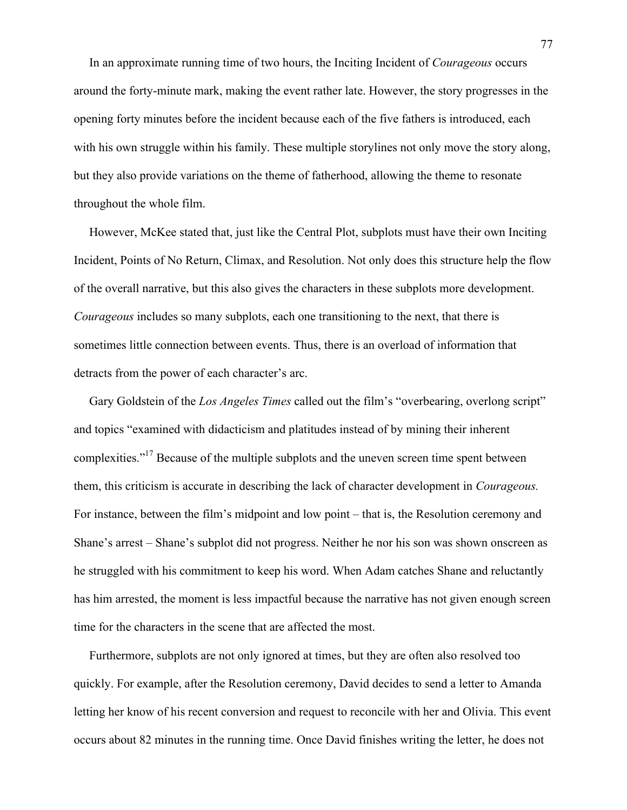In an approximate running time of two hours, the Inciting Incident of *Courageous* occurs around the forty-minute mark, making the event rather late. However, the story progresses in the opening forty minutes before the incident because each of the five fathers is introduced, each with his own struggle within his family. These multiple storylines not only move the story along, but they also provide variations on the theme of fatherhood, allowing the theme to resonate throughout the whole film.

 However, McKee stated that, just like the Central Plot, subplots must have their own Inciting Incident, Points of No Return, Climax, and Resolution. Not only does this structure help the flow of the overall narrative, but this also gives the characters in these subplots more development. *Courageous* includes so many subplots, each one transitioning to the next, that there is sometimes little connection between events. Thus, there is an overload of information that detracts from the power of each character's arc.

 Gary Goldstein of the *Los Angeles Times* called out the film's "overbearing, overlong script" and topics "examined with didacticism and platitudes instead of by mining their inherent complexities."17 Because of the multiple subplots and the uneven screen time spent between them, this criticism is accurate in describing the lack of character development in *Courageous.* For instance, between the film's midpoint and low point – that is, the Resolution ceremony and Shane's arrest – Shane's subplot did not progress. Neither he nor his son was shown onscreen as he struggled with his commitment to keep his word. When Adam catches Shane and reluctantly has him arrested, the moment is less impactful because the narrative has not given enough screen time for the characters in the scene that are affected the most.

 Furthermore, subplots are not only ignored at times, but they are often also resolved too quickly. For example, after the Resolution ceremony, David decides to send a letter to Amanda letting her know of his recent conversion and request to reconcile with her and Olivia. This event occurs about 82 minutes in the running time. Once David finishes writing the letter, he does not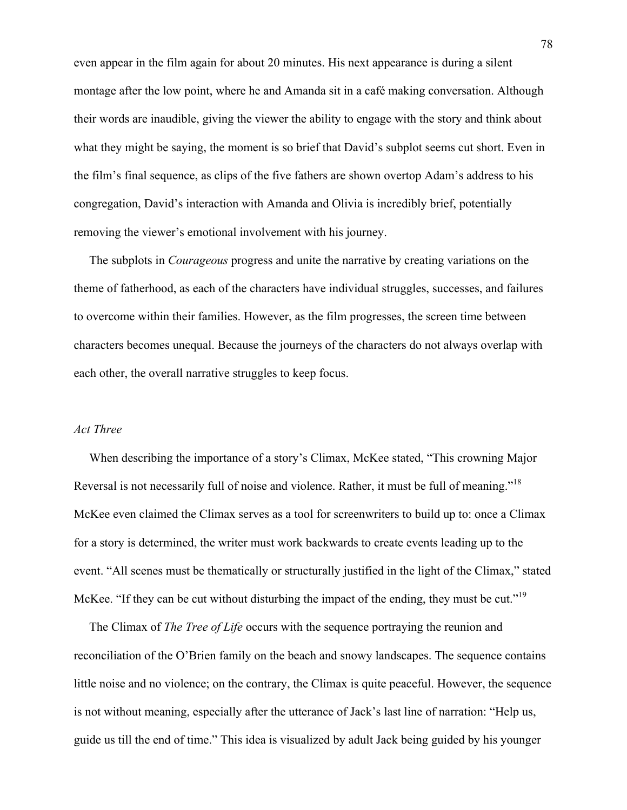even appear in the film again for about 20 minutes. His next appearance is during a silent montage after the low point, where he and Amanda sit in a café making conversation. Although their words are inaudible, giving the viewer the ability to engage with the story and think about what they might be saying, the moment is so brief that David's subplot seems cut short. Even in the film's final sequence, as clips of the five fathers are shown overtop Adam's address to his congregation, David's interaction with Amanda and Olivia is incredibly brief, potentially removing the viewer's emotional involvement with his journey.

 The subplots in *Courageous* progress and unite the narrative by creating variations on the theme of fatherhood, as each of the characters have individual struggles, successes, and failures to overcome within their families. However, as the film progresses, the screen time between characters becomes unequal. Because the journeys of the characters do not always overlap with each other, the overall narrative struggles to keep focus.

## *Act Three*

 When describing the importance of a story's Climax, McKee stated, "This crowning Major Reversal is not necessarily full of noise and violence. Rather, it must be full of meaning."<sup>18</sup> McKee even claimed the Climax serves as a tool for screenwriters to build up to: once a Climax for a story is determined, the writer must work backwards to create events leading up to the event. "All scenes must be thematically or structurally justified in the light of the Climax," stated McKee. "If they can be cut without disturbing the impact of the ending, they must be cut."<sup>19</sup>

 The Climax of *The Tree of Life* occurs with the sequence portraying the reunion and reconciliation of the O'Brien family on the beach and snowy landscapes. The sequence contains little noise and no violence; on the contrary, the Climax is quite peaceful. However, the sequence is not without meaning, especially after the utterance of Jack's last line of narration: "Help us, guide us till the end of time." This idea is visualized by adult Jack being guided by his younger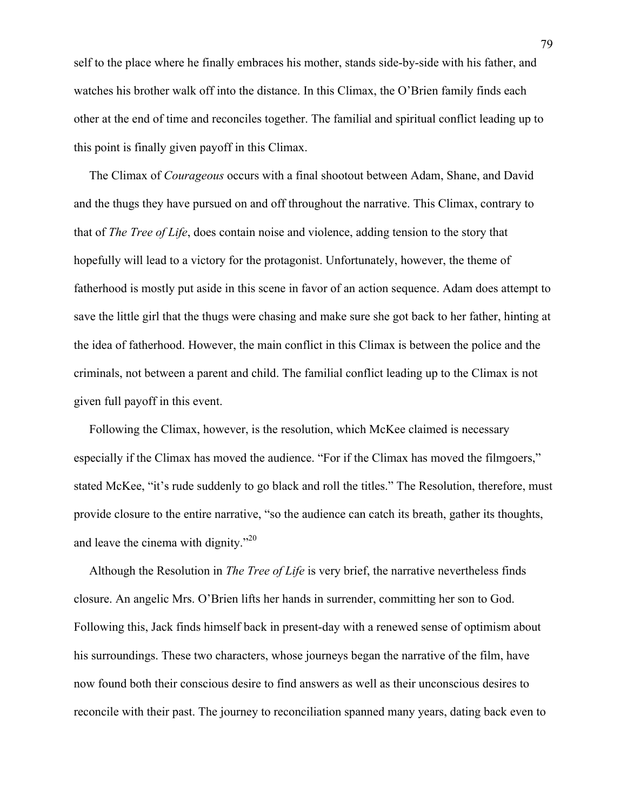self to the place where he finally embraces his mother, stands side-by-side with his father, and watches his brother walk off into the distance. In this Climax, the O'Brien family finds each other at the end of time and reconciles together. The familial and spiritual conflict leading up to this point is finally given payoff in this Climax.

 The Climax of *Courageous* occurs with a final shootout between Adam, Shane, and David and the thugs they have pursued on and off throughout the narrative. This Climax, contrary to that of *The Tree of Life*, does contain noise and violence, adding tension to the story that hopefully will lead to a victory for the protagonist. Unfortunately, however, the theme of fatherhood is mostly put aside in this scene in favor of an action sequence. Adam does attempt to save the little girl that the thugs were chasing and make sure she got back to her father, hinting at the idea of fatherhood. However, the main conflict in this Climax is between the police and the criminals, not between a parent and child. The familial conflict leading up to the Climax is not given full payoff in this event.

 Following the Climax, however, is the resolution, which McKee claimed is necessary especially if the Climax has moved the audience. "For if the Climax has moved the filmgoers," stated McKee, "it's rude suddenly to go black and roll the titles." The Resolution, therefore, must provide closure to the entire narrative, "so the audience can catch its breath, gather its thoughts, and leave the cinema with dignity."<sup>20</sup>

 Although the Resolution in *The Tree of Life* is very brief, the narrative nevertheless finds closure. An angelic Mrs. O'Brien lifts her hands in surrender, committing her son to God. Following this, Jack finds himself back in present-day with a renewed sense of optimism about his surroundings. These two characters, whose journeys began the narrative of the film, have now found both their conscious desire to find answers as well as their unconscious desires to reconcile with their past. The journey to reconciliation spanned many years, dating back even to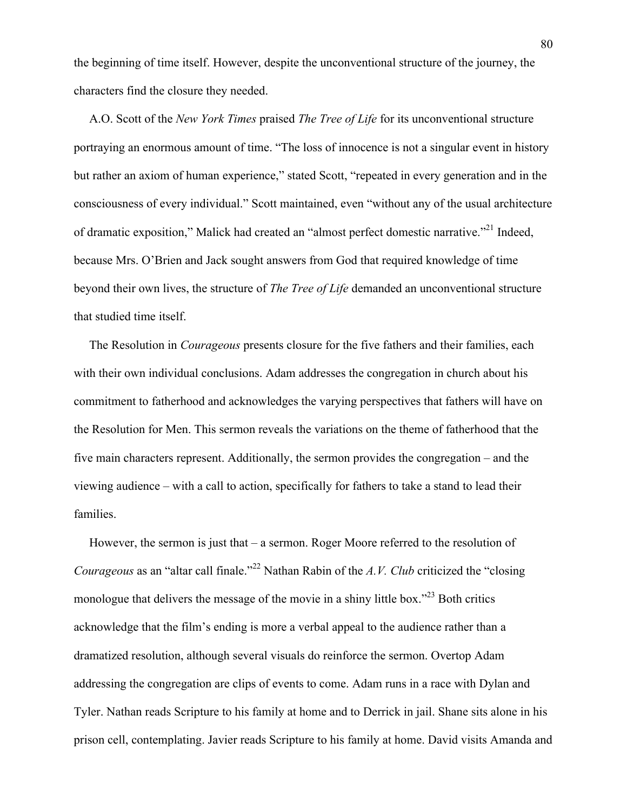the beginning of time itself. However, despite the unconventional structure of the journey, the characters find the closure they needed.

 A.O. Scott of the *New York Times* praised *The Tree of Life* for its unconventional structure portraying an enormous amount of time. "The loss of innocence is not a singular event in history but rather an axiom of human experience," stated Scott, "repeated in every generation and in the consciousness of every individual." Scott maintained, even "without any of the usual architecture of dramatic exposition," Malick had created an "almost perfect domestic narrative."21 Indeed, because Mrs. O'Brien and Jack sought answers from God that required knowledge of time beyond their own lives, the structure of *The Tree of Life* demanded an unconventional structure that studied time itself.

 The Resolution in *Courageous* presents closure for the five fathers and their families, each with their own individual conclusions. Adam addresses the congregation in church about his commitment to fatherhood and acknowledges the varying perspectives that fathers will have on the Resolution for Men. This sermon reveals the variations on the theme of fatherhood that the five main characters represent. Additionally, the sermon provides the congregation – and the viewing audience – with a call to action, specifically for fathers to take a stand to lead their families.

 However, the sermon is just that – a sermon. Roger Moore referred to the resolution of *Courageous* as an "altar call finale."<sup>22</sup> Nathan Rabin of the *A.V. Club* criticized the "closing" monologue that delivers the message of the movie in a shiny little box."<sup>23</sup> Both critics acknowledge that the film's ending is more a verbal appeal to the audience rather than a dramatized resolution, although several visuals do reinforce the sermon. Overtop Adam addressing the congregation are clips of events to come. Adam runs in a race with Dylan and Tyler. Nathan reads Scripture to his family at home and to Derrick in jail. Shane sits alone in his prison cell, contemplating. Javier reads Scripture to his family at home. David visits Amanda and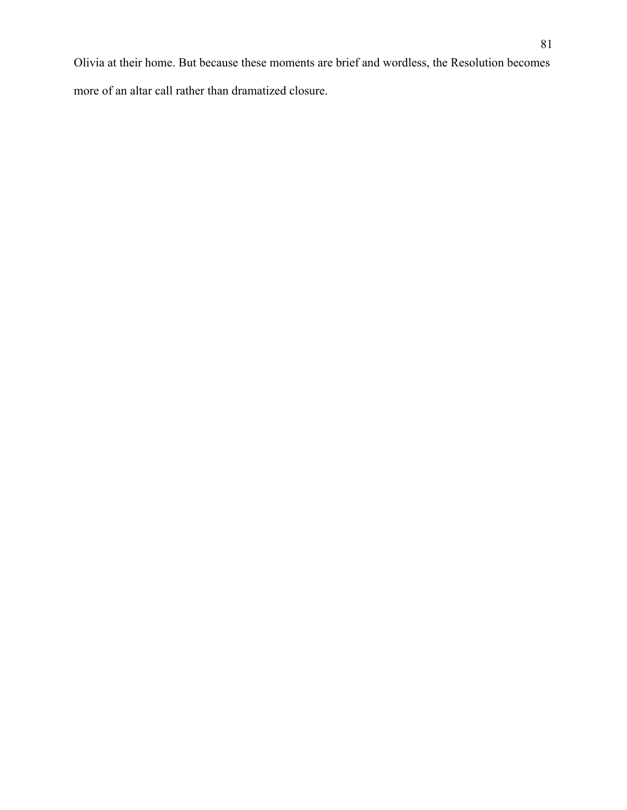Olivia at their home. But because these moments are brief and wordless, the Resolution becomes more of an altar call rather than dramatized closure.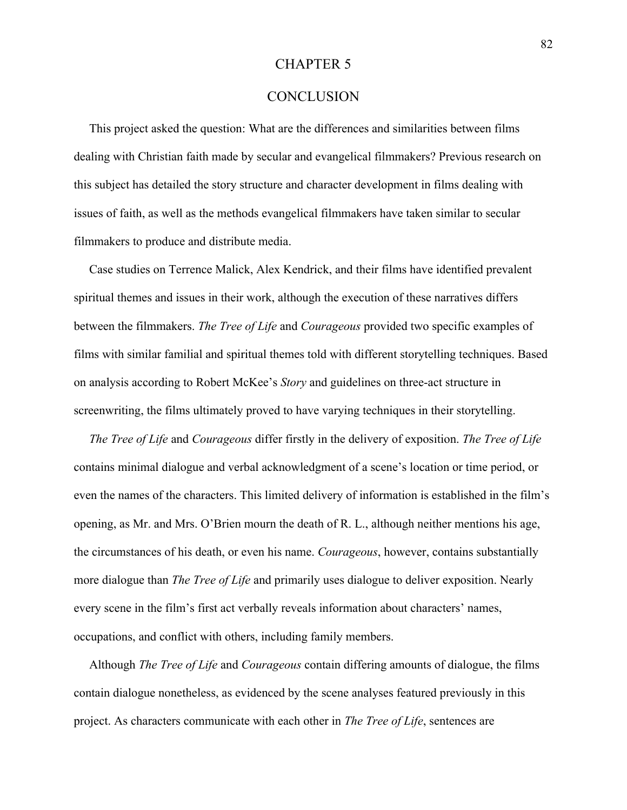## CHAPTER 5

# **CONCLUSION**

 This project asked the question: What are the differences and similarities between films dealing with Christian faith made by secular and evangelical filmmakers? Previous research on this subject has detailed the story structure and character development in films dealing with issues of faith, as well as the methods evangelical filmmakers have taken similar to secular filmmakers to produce and distribute media.

 Case studies on Terrence Malick, Alex Kendrick, and their films have identified prevalent spiritual themes and issues in their work, although the execution of these narratives differs between the filmmakers. *The Tree of Life* and *Courageous* provided two specific examples of films with similar familial and spiritual themes told with different storytelling techniques. Based on analysis according to Robert McKee's *Story* and guidelines on three-act structure in screenwriting, the films ultimately proved to have varying techniques in their storytelling.

 *The Tree of Life* and *Courageous* differ firstly in the delivery of exposition. *The Tree of Life* contains minimal dialogue and verbal acknowledgment of a scene's location or time period, or even the names of the characters. This limited delivery of information is established in the film's opening, as Mr. and Mrs. O'Brien mourn the death of R. L., although neither mentions his age, the circumstances of his death, or even his name. *Courageous*, however, contains substantially more dialogue than *The Tree of Life* and primarily uses dialogue to deliver exposition. Nearly every scene in the film's first act verbally reveals information about characters' names, occupations, and conflict with others, including family members.

 Although *The Tree of Life* and *Courageous* contain differing amounts of dialogue, the films contain dialogue nonetheless, as evidenced by the scene analyses featured previously in this project. As characters communicate with each other in *The Tree of Life*, sentences are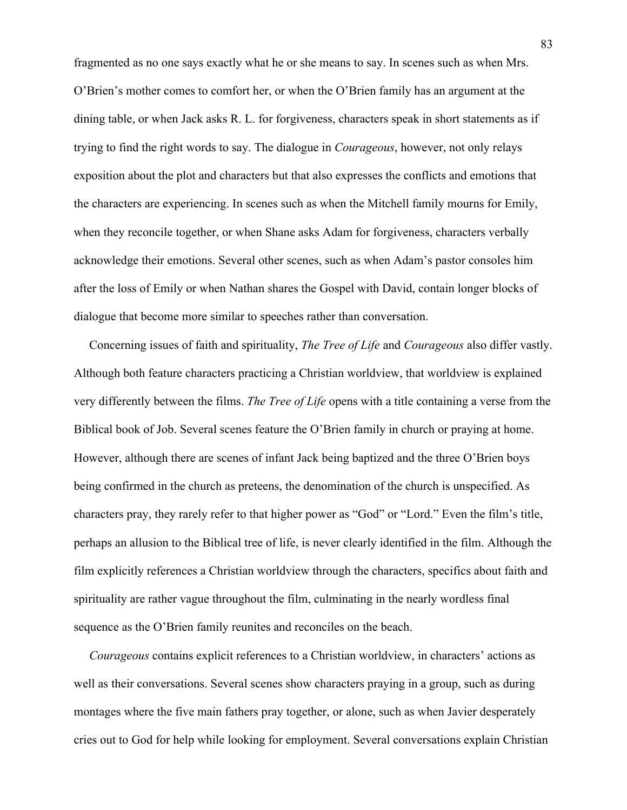fragmented as no one says exactly what he or she means to say. In scenes such as when Mrs. O'Brien's mother comes to comfort her, or when the O'Brien family has an argument at the dining table, or when Jack asks R. L. for forgiveness, characters speak in short statements as if trying to find the right words to say. The dialogue in *Courageous*, however, not only relays exposition about the plot and characters but that also expresses the conflicts and emotions that the characters are experiencing. In scenes such as when the Mitchell family mourns for Emily, when they reconcile together, or when Shane asks Adam for forgiveness, characters verbally acknowledge their emotions. Several other scenes, such as when Adam's pastor consoles him after the loss of Emily or when Nathan shares the Gospel with David, contain longer blocks of dialogue that become more similar to speeches rather than conversation.

 Concerning issues of faith and spirituality, *The Tree of Life* and *Courageous* also differ vastly. Although both feature characters practicing a Christian worldview, that worldview is explained very differently between the films. *The Tree of Life* opens with a title containing a verse from the Biblical book of Job. Several scenes feature the O'Brien family in church or praying at home. However, although there are scenes of infant Jack being baptized and the three O'Brien boys being confirmed in the church as preteens, the denomination of the church is unspecified. As characters pray, they rarely refer to that higher power as "God" or "Lord." Even the film's title, perhaps an allusion to the Biblical tree of life, is never clearly identified in the film. Although the film explicitly references a Christian worldview through the characters, specifics about faith and spirituality are rather vague throughout the film, culminating in the nearly wordless final sequence as the O'Brien family reunites and reconciles on the beach.

 *Courageous* contains explicit references to a Christian worldview, in characters' actions as well as their conversations. Several scenes show characters praying in a group, such as during montages where the five main fathers pray together, or alone, such as when Javier desperately cries out to God for help while looking for employment. Several conversations explain Christian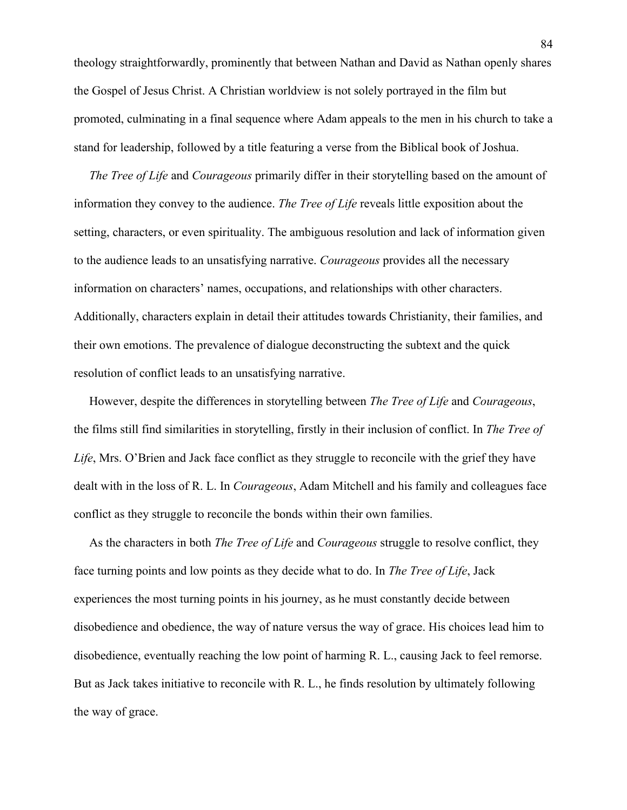theology straightforwardly, prominently that between Nathan and David as Nathan openly shares the Gospel of Jesus Christ. A Christian worldview is not solely portrayed in the film but promoted, culminating in a final sequence where Adam appeals to the men in his church to take a stand for leadership, followed by a title featuring a verse from the Biblical book of Joshua.

 *The Tree of Life* and *Courageous* primarily differ in their storytelling based on the amount of information they convey to the audience. *The Tree of Life* reveals little exposition about the setting, characters, or even spirituality. The ambiguous resolution and lack of information given to the audience leads to an unsatisfying narrative. *Courageous* provides all the necessary information on characters' names, occupations, and relationships with other characters. Additionally, characters explain in detail their attitudes towards Christianity, their families, and their own emotions. The prevalence of dialogue deconstructing the subtext and the quick resolution of conflict leads to an unsatisfying narrative.

 However, despite the differences in storytelling between *The Tree of Life* and *Courageous*, the films still find similarities in storytelling, firstly in their inclusion of conflict. In *The Tree of Life*, Mrs. O'Brien and Jack face conflict as they struggle to reconcile with the grief they have dealt with in the loss of R. L. In *Courageous*, Adam Mitchell and his family and colleagues face conflict as they struggle to reconcile the bonds within their own families.

 As the characters in both *The Tree of Life* and *Courageous* struggle to resolve conflict, they face turning points and low points as they decide what to do. In *The Tree of Life*, Jack experiences the most turning points in his journey, as he must constantly decide between disobedience and obedience, the way of nature versus the way of grace. His choices lead him to disobedience, eventually reaching the low point of harming R. L., causing Jack to feel remorse. But as Jack takes initiative to reconcile with R. L., he finds resolution by ultimately following the way of grace.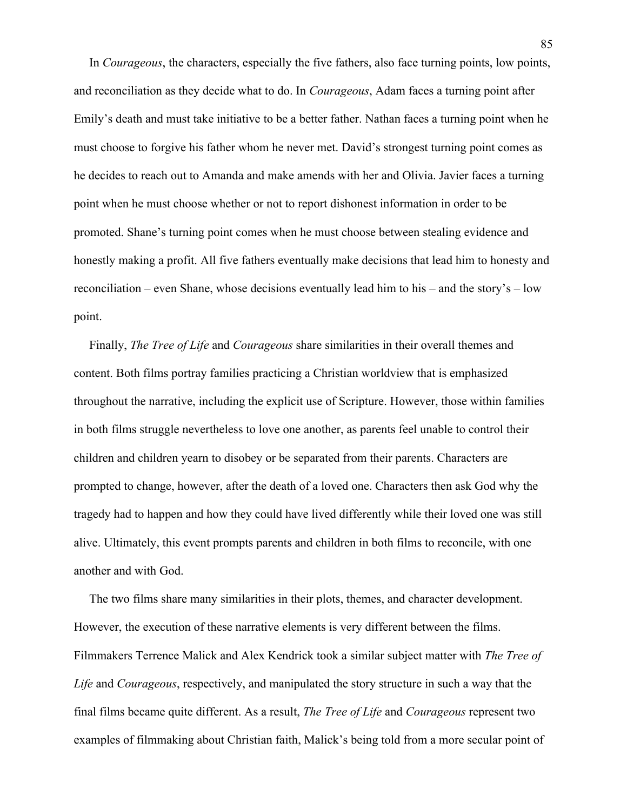In *Courageous*, the characters, especially the five fathers, also face turning points, low points, and reconciliation as they decide what to do. In *Courageous*, Adam faces a turning point after Emily's death and must take initiative to be a better father. Nathan faces a turning point when he must choose to forgive his father whom he never met. David's strongest turning point comes as he decides to reach out to Amanda and make amends with her and Olivia. Javier faces a turning point when he must choose whether or not to report dishonest information in order to be promoted. Shane's turning point comes when he must choose between stealing evidence and honestly making a profit. All five fathers eventually make decisions that lead him to honesty and reconciliation – even Shane, whose decisions eventually lead him to his – and the story's – low point.

 Finally, *The Tree of Life* and *Courageous* share similarities in their overall themes and content. Both films portray families practicing a Christian worldview that is emphasized throughout the narrative, including the explicit use of Scripture. However, those within families in both films struggle nevertheless to love one another, as parents feel unable to control their children and children yearn to disobey or be separated from their parents. Characters are prompted to change, however, after the death of a loved one. Characters then ask God why the tragedy had to happen and how they could have lived differently while their loved one was still alive. Ultimately, this event prompts parents and children in both films to reconcile, with one another and with God.

 The two films share many similarities in their plots, themes, and character development. However, the execution of these narrative elements is very different between the films. Filmmakers Terrence Malick and Alex Kendrick took a similar subject matter with *The Tree of Life* and *Courageous*, respectively, and manipulated the story structure in such a way that the final films became quite different. As a result, *The Tree of Life* and *Courageous* represent two examples of filmmaking about Christian faith, Malick's being told from a more secular point of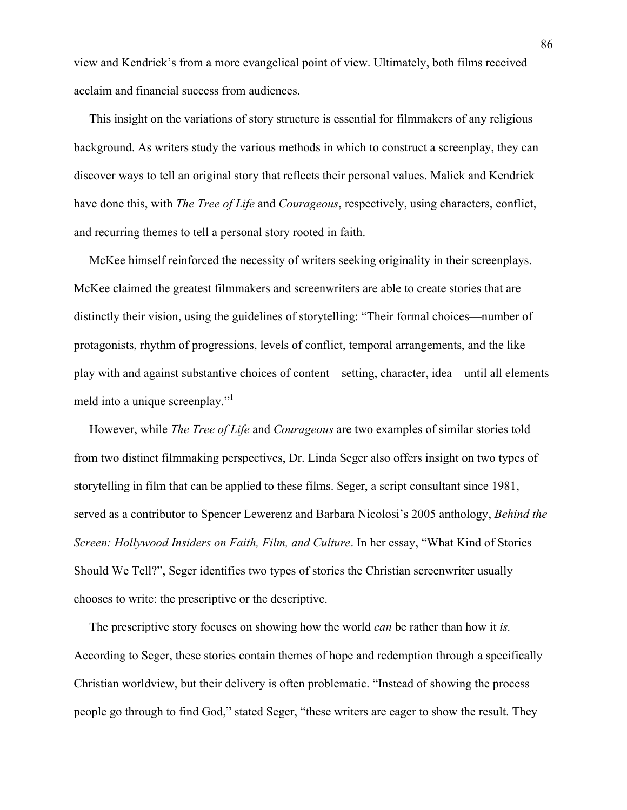view and Kendrick's from a more evangelical point of view. Ultimately, both films received acclaim and financial success from audiences.

 This insight on the variations of story structure is essential for filmmakers of any religious background. As writers study the various methods in which to construct a screenplay, they can discover ways to tell an original story that reflects their personal values. Malick and Kendrick have done this, with *The Tree of Life* and *Courageous*, respectively, using characters, conflict, and recurring themes to tell a personal story rooted in faith.

 McKee himself reinforced the necessity of writers seeking originality in their screenplays. McKee claimed the greatest filmmakers and screenwriters are able to create stories that are distinctly their vision, using the guidelines of storytelling: "Their formal choices—number of protagonists, rhythm of progressions, levels of conflict, temporal arrangements, and the like play with and against substantive choices of content—setting, character, idea—until all elements meld into a unique screenplay."

 However, while *The Tree of Life* and *Courageous* are two examples of similar stories told from two distinct filmmaking perspectives, Dr. Linda Seger also offers insight on two types of storytelling in film that can be applied to these films. Seger, a script consultant since 1981, served as a contributor to Spencer Lewerenz and Barbara Nicolosi's 2005 anthology, *Behind the Screen: Hollywood Insiders on Faith, Film, and Culture*. In her essay, "What Kind of Stories Should We Tell?", Seger identifies two types of stories the Christian screenwriter usually chooses to write: the prescriptive or the descriptive.

 The prescriptive story focuses on showing how the world *can* be rather than how it *is.* According to Seger, these stories contain themes of hope and redemption through a specifically Christian worldview, but their delivery is often problematic. "Instead of showing the process people go through to find God," stated Seger, "these writers are eager to show the result. They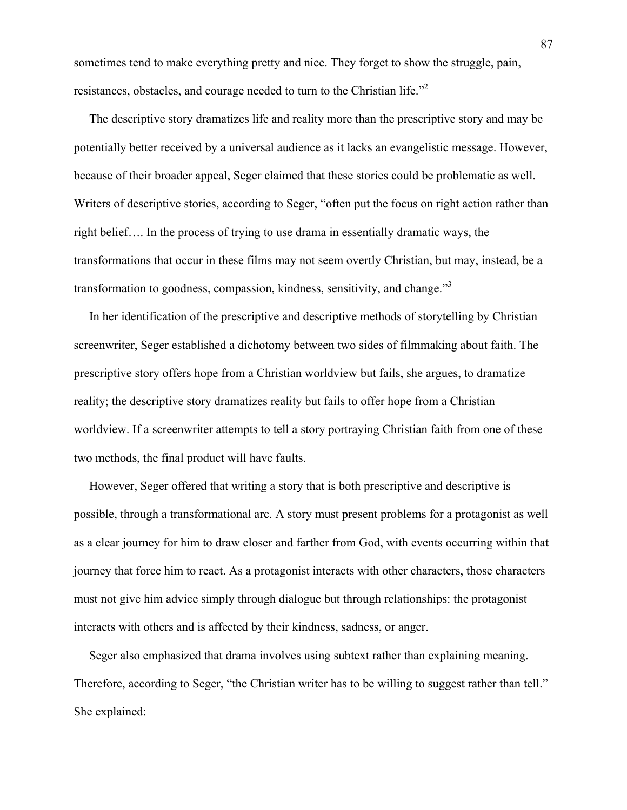sometimes tend to make everything pretty and nice. They forget to show the struggle, pain, resistances, obstacles, and courage needed to turn to the Christian life."<sup>2</sup>

 The descriptive story dramatizes life and reality more than the prescriptive story and may be potentially better received by a universal audience as it lacks an evangelistic message. However, because of their broader appeal, Seger claimed that these stories could be problematic as well. Writers of descriptive stories, according to Seger, "often put the focus on right action rather than right belief…. In the process of trying to use drama in essentially dramatic ways, the transformations that occur in these films may not seem overtly Christian, but may, instead, be a transformation to goodness, compassion, kindness, sensitivity, and change.<sup>"3</sup>

 In her identification of the prescriptive and descriptive methods of storytelling by Christian screenwriter, Seger established a dichotomy between two sides of filmmaking about faith. The prescriptive story offers hope from a Christian worldview but fails, she argues, to dramatize reality; the descriptive story dramatizes reality but fails to offer hope from a Christian worldview. If a screenwriter attempts to tell a story portraying Christian faith from one of these two methods, the final product will have faults.

 However, Seger offered that writing a story that is both prescriptive and descriptive is possible, through a transformational arc. A story must present problems for a protagonist as well as a clear journey for him to draw closer and farther from God, with events occurring within that journey that force him to react. As a protagonist interacts with other characters, those characters must not give him advice simply through dialogue but through relationships: the protagonist interacts with others and is affected by their kindness, sadness, or anger.

 Seger also emphasized that drama involves using subtext rather than explaining meaning. Therefore, according to Seger, "the Christian writer has to be willing to suggest rather than tell." She explained: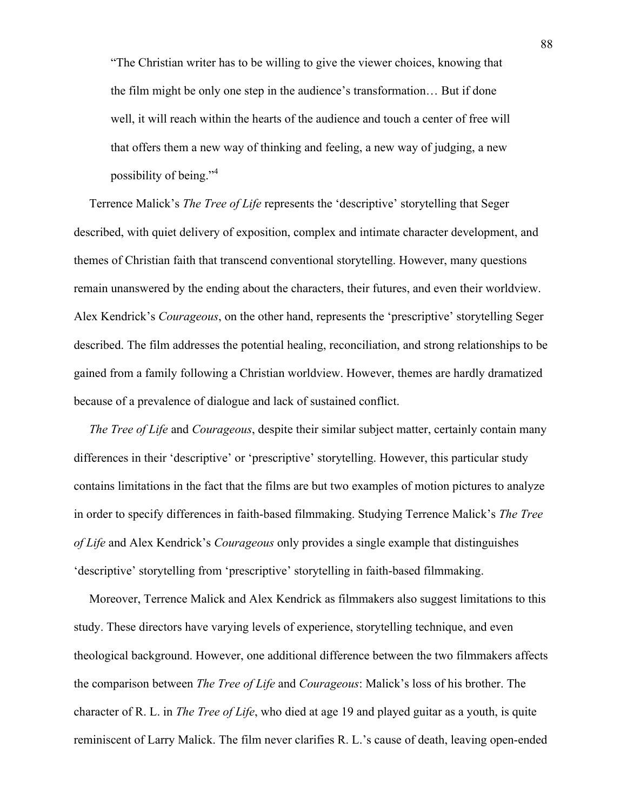"The Christian writer has to be willing to give the viewer choices, knowing that the film might be only one step in the audience's transformation… But if done well, it will reach within the hearts of the audience and touch a center of free will that offers them a new way of thinking and feeling, a new way of judging, a new possibility of being."<sup>4</sup>

 Terrence Malick's *The Tree of Life* represents the 'descriptive' storytelling that Seger described, with quiet delivery of exposition, complex and intimate character development, and themes of Christian faith that transcend conventional storytelling. However, many questions remain unanswered by the ending about the characters, their futures, and even their worldview. Alex Kendrick's *Courageous*, on the other hand, represents the 'prescriptive' storytelling Seger described. The film addresses the potential healing, reconciliation, and strong relationships to be gained from a family following a Christian worldview. However, themes are hardly dramatized because of a prevalence of dialogue and lack of sustained conflict.

 *The Tree of Life* and *Courageous*, despite their similar subject matter, certainly contain many differences in their 'descriptive' or 'prescriptive' storytelling. However, this particular study contains limitations in the fact that the films are but two examples of motion pictures to analyze in order to specify differences in faith-based filmmaking. Studying Terrence Malick's *The Tree of Life* and Alex Kendrick's *Courageous* only provides a single example that distinguishes 'descriptive' storytelling from 'prescriptive' storytelling in faith-based filmmaking.

 Moreover, Terrence Malick and Alex Kendrick as filmmakers also suggest limitations to this study. These directors have varying levels of experience, storytelling technique, and even theological background. However, one additional difference between the two filmmakers affects the comparison between *The Tree of Life* and *Courageous*: Malick's loss of his brother. The character of R. L. in *The Tree of Life*, who died at age 19 and played guitar as a youth, is quite reminiscent of Larry Malick. The film never clarifies R. L.'s cause of death, leaving open-ended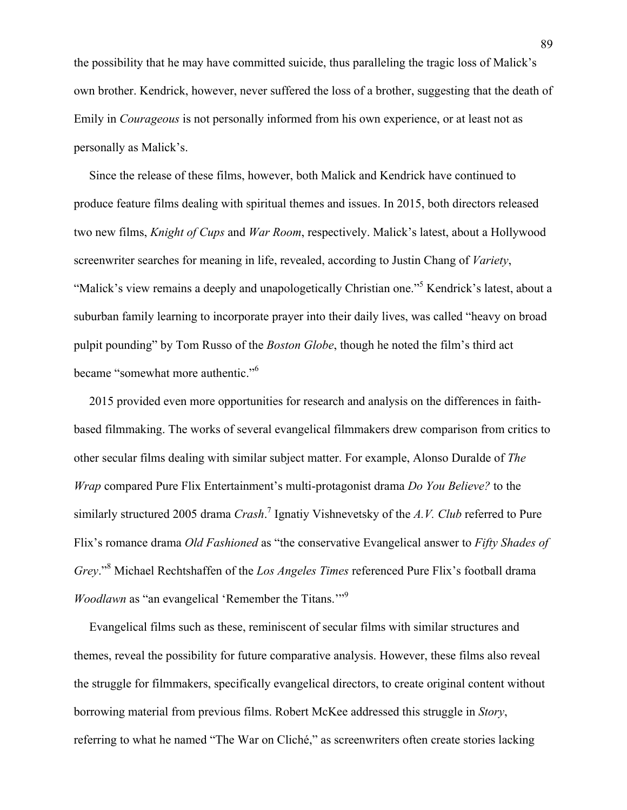the possibility that he may have committed suicide, thus paralleling the tragic loss of Malick's own brother. Kendrick, however, never suffered the loss of a brother, suggesting that the death of Emily in *Courageous* is not personally informed from his own experience, or at least not as personally as Malick's.

 Since the release of these films, however, both Malick and Kendrick have continued to produce feature films dealing with spiritual themes and issues. In 2015, both directors released two new films, *Knight of Cups* and *War Room*, respectively. Malick's latest, about a Hollywood screenwriter searches for meaning in life, revealed, according to Justin Chang of *Variety*, "Malick's view remains a deeply and unapologetically Christian one."<sup>5</sup> Kendrick's latest, about a suburban family learning to incorporate prayer into their daily lives, was called "heavy on broad pulpit pounding" by Tom Russo of the *Boston Globe*, though he noted the film's third act became "somewhat more authentic."<sup>6</sup>

 2015 provided even more opportunities for research and analysis on the differences in faithbased filmmaking. The works of several evangelical filmmakers drew comparison from critics to other secular films dealing with similar subject matter. For example, Alonso Duralde of *The Wrap* compared Pure Flix Entertainment's multi-protagonist drama *Do You Believe?* to the similarly structured 2005 drama *Crash*.<sup>7</sup> Ignatiy Vishnevetsky of the *A.V. Club* referred to Pure Flix's romance drama *Old Fashioned* as "the conservative Evangelical answer to *Fifty Shades of Grey*."8 Michael Rechtshaffen of the *Los Angeles Times* referenced Pure Flix's football drama *Woodlawn* as "an evangelical 'Remember the Titans."<sup>9</sup>

 Evangelical films such as these, reminiscent of secular films with similar structures and themes, reveal the possibility for future comparative analysis. However, these films also reveal the struggle for filmmakers, specifically evangelical directors, to create original content without borrowing material from previous films. Robert McKee addressed this struggle in *Story*, referring to what he named "The War on Cliché," as screenwriters often create stories lacking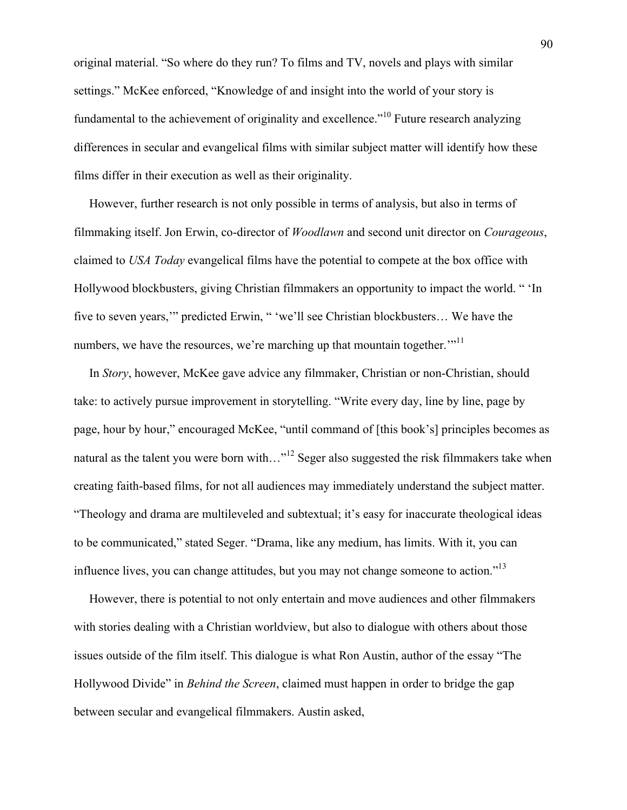original material. "So where do they run? To films and TV, novels and plays with similar settings." McKee enforced, "Knowledge of and insight into the world of your story is fundamental to the achievement of originality and excellence.<sup>"10</sup> Future research analyzing differences in secular and evangelical films with similar subject matter will identify how these films differ in their execution as well as their originality.

 However, further research is not only possible in terms of analysis, but also in terms of filmmaking itself. Jon Erwin, co-director of *Woodlawn* and second unit director on *Courageous*, claimed to *USA Today* evangelical films have the potential to compete at the box office with Hollywood blockbusters, giving Christian filmmakers an opportunity to impact the world. " 'In five to seven years,'" predicted Erwin, " 'we'll see Christian blockbusters… We have the numbers, we have the resources, we're marching up that mountain together. $"$ <sup>11</sup>

 In *Story*, however, McKee gave advice any filmmaker, Christian or non-Christian, should take: to actively pursue improvement in storytelling. "Write every day, line by line, page by page, hour by hour," encouraged McKee, "until command of [this book's] principles becomes as natural as the talent you were born with..."<sup>12</sup> Seger also suggested the risk filmmakers take when creating faith-based films, for not all audiences may immediately understand the subject matter. "Theology and drama are multileveled and subtextual; it's easy for inaccurate theological ideas to be communicated," stated Seger. "Drama, like any medium, has limits. With it, you can influence lives, you can change attitudes, but you may not change someone to action."<sup>13</sup>

 However, there is potential to not only entertain and move audiences and other filmmakers with stories dealing with a Christian worldview, but also to dialogue with others about those issues outside of the film itself. This dialogue is what Ron Austin, author of the essay "The Hollywood Divide" in *Behind the Screen*, claimed must happen in order to bridge the gap between secular and evangelical filmmakers. Austin asked,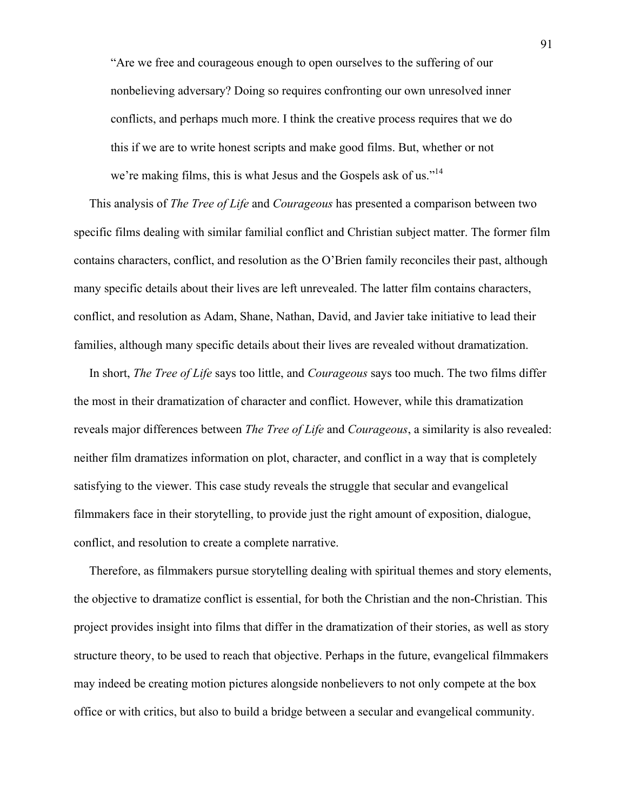"Are we free and courageous enough to open ourselves to the suffering of our nonbelieving adversary? Doing so requires confronting our own unresolved inner conflicts, and perhaps much more. I think the creative process requires that we do this if we are to write honest scripts and make good films. But, whether or not we're making films, this is what Jesus and the Gospels ask of us."<sup>14</sup>

 This analysis of *The Tree of Life* and *Courageous* has presented a comparison between two specific films dealing with similar familial conflict and Christian subject matter. The former film contains characters, conflict, and resolution as the O'Brien family reconciles their past, although many specific details about their lives are left unrevealed. The latter film contains characters, conflict, and resolution as Adam, Shane, Nathan, David, and Javier take initiative to lead their families, although many specific details about their lives are revealed without dramatization.

 In short, *The Tree of Life* says too little, and *Courageous* says too much. The two films differ the most in their dramatization of character and conflict. However, while this dramatization reveals major differences between *The Tree of Life* and *Courageous*, a similarity is also revealed: neither film dramatizes information on plot, character, and conflict in a way that is completely satisfying to the viewer. This case study reveals the struggle that secular and evangelical filmmakers face in their storytelling, to provide just the right amount of exposition, dialogue, conflict, and resolution to create a complete narrative.

 Therefore, as filmmakers pursue storytelling dealing with spiritual themes and story elements, the objective to dramatize conflict is essential, for both the Christian and the non-Christian. This project provides insight into films that differ in the dramatization of their stories, as well as story structure theory, to be used to reach that objective. Perhaps in the future, evangelical filmmakers may indeed be creating motion pictures alongside nonbelievers to not only compete at the box office or with critics, but also to build a bridge between a secular and evangelical community.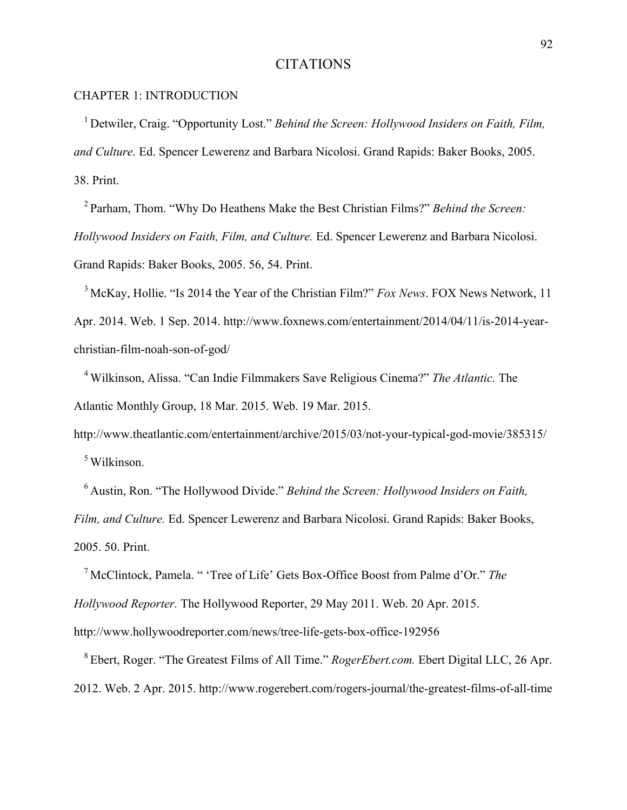# **CITATIONS**

### CHAPTER 1: INTRODUCTION

<sup>1</sup> Detwiler, Craig. "Opportunity Lost." *Behind the Screen: Hollywood Insiders on Faith, Film, and Culture.* Ed. Spencer Lewerenz and Barbara Nicolosi. Grand Rapids: Baker Books, 2005. 38. Print.

 2 Parham, Thom. "Why Do Heathens Make the Best Christian Films?" *Behind the Screen: Hollywood Insiders on Faith, Film, and Culture.* Ed. Spencer Lewerenz and Barbara Nicolosi. Grand Rapids: Baker Books, 2005. 56, 54. Print.

 3 McKay, Hollie. "Is 2014 the Year of the Christian Film?" *Fox News*. FOX News Network, 11 Apr. 2014. Web. 1 Sep. 2014. http://www.foxnews.com/entertainment/2014/04/11/is-2014-yearchristian-film-noah-son-of-god/

 4 Wilkinson, Alissa. "Can Indie Filmmakers Save Religious Cinema?" *The Atlantic.* The Atlantic Monthly Group, 18 Mar. 2015. Web. 19 Mar. 2015.

http://www.theatlantic.com/entertainment/archive/2015/03/not-your-typical-god-movie/385315/

5 Wilkinson.

 6 Austin, Ron. "The Hollywood Divide." *Behind the Screen: Hollywood Insiders on Faith, Film, and Culture.* Ed. Spencer Lewerenz and Barbara Nicolosi. Grand Rapids: Baker Books, 2005. 50. Print.

 7 McClintock, Pamela. " 'Tree of Life' Gets Box-Office Boost from Palme d'Or." *The Hollywood Reporter.* The Hollywood Reporter, 29 May 2011. Web. 20 Apr. 2015. http://www.hollywoodreporter.com/news/tree-life-gets-box-office-192956

 8 Ebert, Roger. "The Greatest Films of All Time." *RogerEbert.com.* Ebert Digital LLC, 26 Apr. 2012. Web. 2 Apr. 2015. http://www.rogerebert.com/rogers-journal/the-greatest-films-of-all-time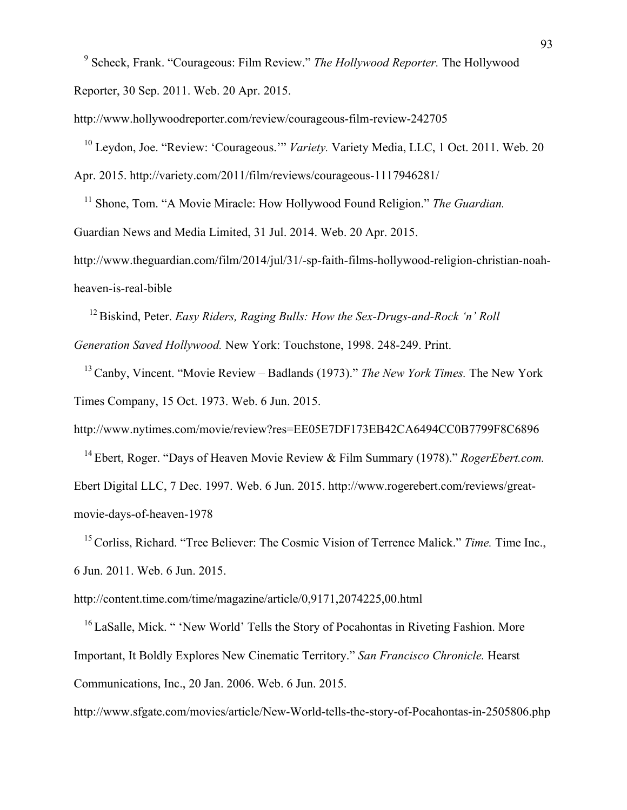9 Scheck, Frank. "Courageous: Film Review." *The Hollywood Reporter.* The Hollywood Reporter, 30 Sep. 2011. Web. 20 Apr. 2015.

http://www.hollywoodreporter.com/review/courageous-film-review-242705

 10 Leydon, Joe. "Review: 'Courageous.'" *Variety.* Variety Media, LLC, 1 Oct. 2011. Web. 20 Apr. 2015. http://variety.com/2011/film/reviews/courageous-1117946281/

11 Shone, Tom. "A Movie Miracle: How Hollywood Found Religion." *The Guardian.*

Guardian News and Media Limited, 31 Jul. 2014. Web. 20 Apr. 2015.

http://www.theguardian.com/film/2014/jul/31/-sp-faith-films-hollywood-religion-christian-noahheaven-is-real-bible

 12 Biskind, Peter. *Easy Riders, Raging Bulls: How the Sex-Drugs-and-Rock 'n' Roll Generation Saved Hollywood.* New York: Touchstone, 1998. 248-249. Print.

<sup>13</sup> Canby, Vincent. "Movie Review – Badlands (1973)." *The New York Times.* The New York Times Company, 15 Oct. 1973. Web. 6 Jun. 2015.

http://www.nytimes.com/movie/review?res=EE05E7DF173EB42CA6494CC0B7799F8C6896

<sup>14</sup> Ebert, Roger. "Days of Heaven Movie Review & Film Summary (1978)." *RogerEbert.com.* Ebert Digital LLC, 7 Dec. 1997. Web. 6 Jun. 2015. http://www.rogerebert.com/reviews/greatmovie-days-of-heaven-1978

<sup>15</sup> Corliss, Richard. "Tree Believer: The Cosmic Vision of Terrence Malick." *Time.* Time Inc., 6 Jun. 2011. Web. 6 Jun. 2015.

http://content.time.com/time/magazine/article/0,9171,2074225,00.html

<sup>16</sup> LaSalle, Mick. " 'New World' Tells the Story of Pocahontas in Riveting Fashion. More Important, It Boldly Explores New Cinematic Territory." *San Francisco Chronicle.* Hearst Communications, Inc., 20 Jan. 2006. Web. 6 Jun. 2015.

http://www.sfgate.com/movies/article/New-World-tells-the-story-of-Pocahontas-in-2505806.php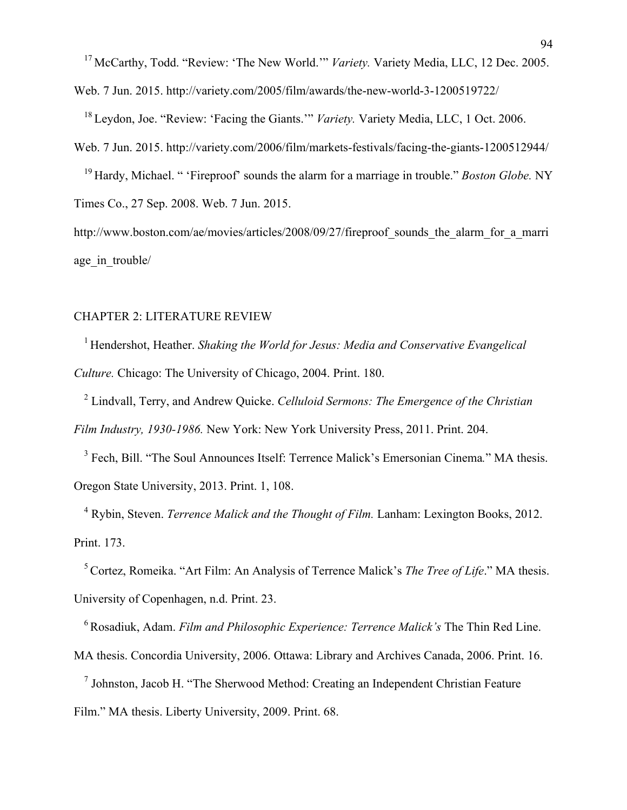<sup>17</sup> McCarthy, Todd. "Review: 'The New World.'" *Variety.* Variety Media, LLC, 12 Dec. 2005.

Web. 7 Jun. 2015. http://variety.com/2005/film/awards/the-new-world-3-1200519722/

<sup>18</sup> Leydon, Joe. "Review: 'Facing the Giants.'" *Variety.* Variety Media, LLC, 1 Oct. 2006.

Web. 7 Jun. 2015. http://variety.com/2006/film/markets-festivals/facing-the-giants-1200512944/

<sup>19</sup> Hardy, Michael. " 'Fireproof' sounds the alarm for a marriage in trouble." *Boston Globe.* NY Times Co., 27 Sep. 2008. Web. 7 Jun. 2015.

http://www.boston.com/ae/movies/articles/2008/09/27/fireproof sounds the alarm for a marri age in trouble/

## CHAPTER 2: LITERATURE REVIEW

 1 Hendershot, Heather. *Shaking the World for Jesus: Media and Conservative Evangelical Culture.* Chicago: The University of Chicago, 2004. Print. 180.

 2 Lindvall, Terry, and Andrew Quicke. *Celluloid Sermons: The Emergence of the Christian Film Industry, 1930-1986.* New York: New York University Press, 2011. Print. 204.

 3 Fech, Bill. "The Soul Announces Itself: Terrence Malick's Emersonian Cinema*.*" MA thesis. Oregon State University, 2013. Print. 1, 108.

 4 Rybin, Steven. *Terrence Malick and the Thought of Film.* Lanham: Lexington Books, 2012. Print. 173.

 5 Cortez, Romeika. "Art Film: An Analysis of Terrence Malick's *The Tree of Life*." MA thesis. University of Copenhagen, n.d. Print. 23.

6 Rosadiuk, Adam. *Film and Philosophic Experience: Terrence Malick's* The Thin Red Line.

MA thesis. Concordia University, 2006. Ottawa: Library and Archives Canada, 2006. Print. 16.

 7 Johnston, Jacob H. "The Sherwood Method: Creating an Independent Christian Feature Film." MA thesis. Liberty University, 2009. Print. 68.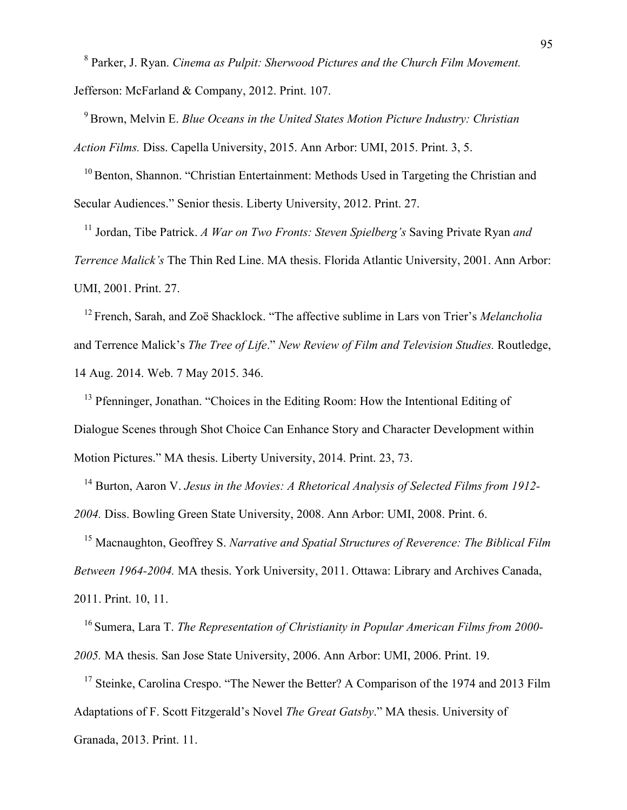8 Parker, J. Ryan. *Cinema as Pulpit: Sherwood Pictures and the Church Film Movement.* Jefferson: McFarland & Company, 2012. Print. 107.

 9 Brown, Melvin E. *Blue Oceans in the United States Motion Picture Industry: Christian Action Films.* Diss. Capella University, 2015. Ann Arbor: UMI, 2015. Print. 3, 5.

 $10$  Benton, Shannon. "Christian Entertainment: Methods Used in Targeting the Christian and Secular Audiences." Senior thesis. Liberty University, 2012. Print. 27.

 11 Jordan, Tibe Patrick. *A War on Two Fronts: Steven Spielberg's* Saving Private Ryan *and Terrence Malick's* The Thin Red Line. MA thesis. Florida Atlantic University, 2001. Ann Arbor: UMI, 2001. Print. 27.

 12 French, Sarah, and Zoë Shacklock. "The affective sublime in Lars von Trier's *Melancholia* and Terrence Malick's *The Tree of Life*." *New Review of Film and Television Studies.* Routledge, 14 Aug. 2014. Web. 7 May 2015. 346.

<sup>13</sup> Pfenninger, Jonathan. "Choices in the Editing Room: How the Intentional Editing of Dialogue Scenes through Shot Choice Can Enhance Story and Character Development within Motion Pictures." MA thesis. Liberty University, 2014. Print. 23, 73.

 14 Burton, Aaron V. *Jesus in the Movies: A Rhetorical Analysis of Selected Films from 1912- 2004.* Diss. Bowling Green State University, 2008. Ann Arbor: UMI, 2008. Print. 6.

 15 Macnaughton, Geoffrey S. *Narrative and Spatial Structures of Reverence: The Biblical Film Between 1964-2004.* MA thesis. York University, 2011. Ottawa: Library and Archives Canada, 2011. Print. 10, 11.

16 Sumera, Lara T. *The Representation of Christianity in Popular American Films from 2000-*

*2005.* MA thesis. San Jose State University, 2006. Ann Arbor: UMI, 2006. Print. 19.

<sup>17</sup> Steinke, Carolina Crespo. "The Newer the Better? A Comparison of the 1974 and 2013 Film Adaptations of F. Scott Fitzgerald's Novel *The Great Gatsby*." MA thesis. University of Granada, 2013. Print. 11.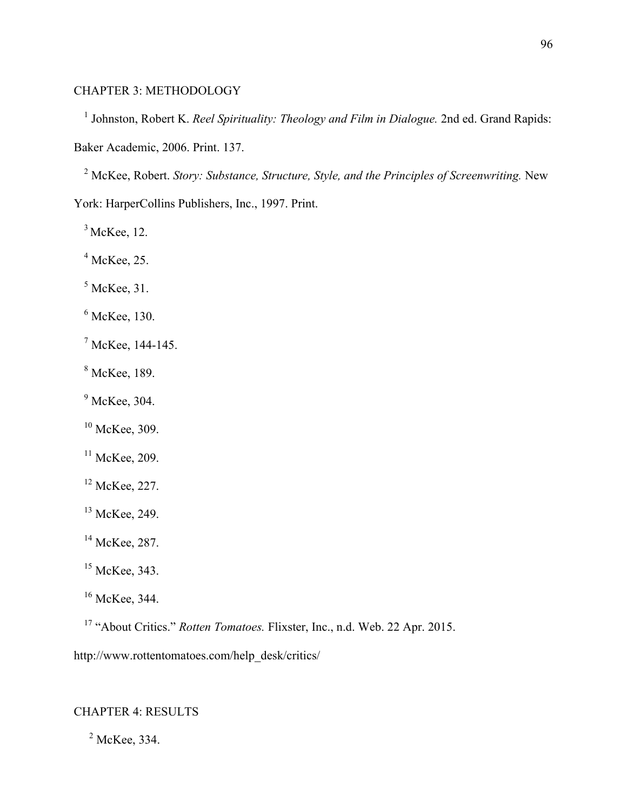# CHAPTER 3: METHODOLOGY

1 Johnston, Robert K. *Reel Spirituality: Theology and Film in Dialogue.* 2nd ed. Grand Rapids:

Baker Academic, 2006. Print. 137.

 2 McKee, Robert. *Story: Substance, Structure, Style, and the Principles of Screenwriting.* New York: HarperCollins Publishers, Inc., 1997. Print.

 $3$  McKee, 12.

 $4$  McKee, 25.

 $<sup>5</sup>$  McKee, 31.</sup>

 $6$  McKee, 130.

7 McKee, 144-145.

8 McKee, 189.

 $9$  McKee, 304.

 $10$  McKee, 309.

 $11$  McKee, 209.

12 McKee, 227.

<sup>13</sup> McKee, 249.

<sup>14</sup> McKee, 287.

<sup>15</sup> McKee, 343.

16 McKee, 344.

<sup>17</sup> "About Critics." *Rotten Tomatoes*. Flixster, Inc., n.d. Web. 22 Apr. 2015.

http://www.rottentomatoes.com/help\_desk/critics/

# CHAPTER 4: RESULTS

<sup>2</sup> McKee, 334.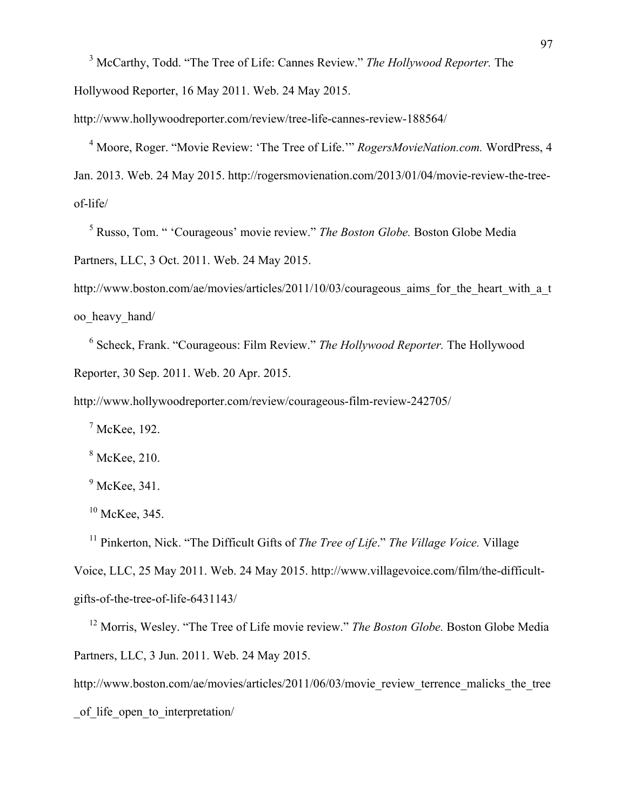<sup>3</sup> McCarthy, Todd. "The Tree of Life: Cannes Review." *The Hollywood Reporter*. The Hollywood Reporter, 16 May 2011. Web. 24 May 2015.

http://www.hollywoodreporter.com/review/tree-life-cannes-review-188564/

<sup>4</sup> Moore, Roger. "Movie Review: 'The Tree of Life.'" *RogersMovieNation.com*. WordPress, 4 Jan. 2013. Web. 24 May 2015. http://rogersmovienation.com/2013/01/04/movie-review-the-treeof-life/

<sup>5</sup> Russo, Tom. " 'Courageous' movie review." *The Boston Globe*. Boston Globe Media Partners, LLC, 3 Oct. 2011. Web. 24 May 2015.

http://www.boston.com/ae/movies/articles/2011/10/03/courageous\_aims\_for\_the\_heart\_with\_a\_t oo\_heavy\_hand/

 <sup>6</sup> Scheck, Frank. "Courageous: Film Review." *The Hollywood Reporter.* The Hollywood Reporter, 30 Sep. 2011. Web. 20 Apr. 2015.

http://www.hollywoodreporter.com/review/courageous-film-review-242705/

<sup>7</sup> McKee, 192.

<sup>8</sup> McKee, 210.

 $<sup>9</sup>$  McKee, 341.</sup>

<sup>10</sup> McKee, 345.

11 Pinkerton, Nick. "The Difficult Gifts of *The Tree of Life*." *The Village Voice.* Village

Voice, LLC, 25 May 2011. Web. 24 May 2015. http://www.villagevoice.com/film/the-difficultgifts-of-the-tree-of-life-6431143/

 12 Morris, Wesley. "The Tree of Life movie review." *The Boston Globe.* Boston Globe Media Partners, LLC, 3 Jun. 2011. Web. 24 May 2015.

http://www.boston.com/ae/movies/articles/2011/06/03/movie review terrence malicks the tree \_of\_life\_open\_to\_interpretation/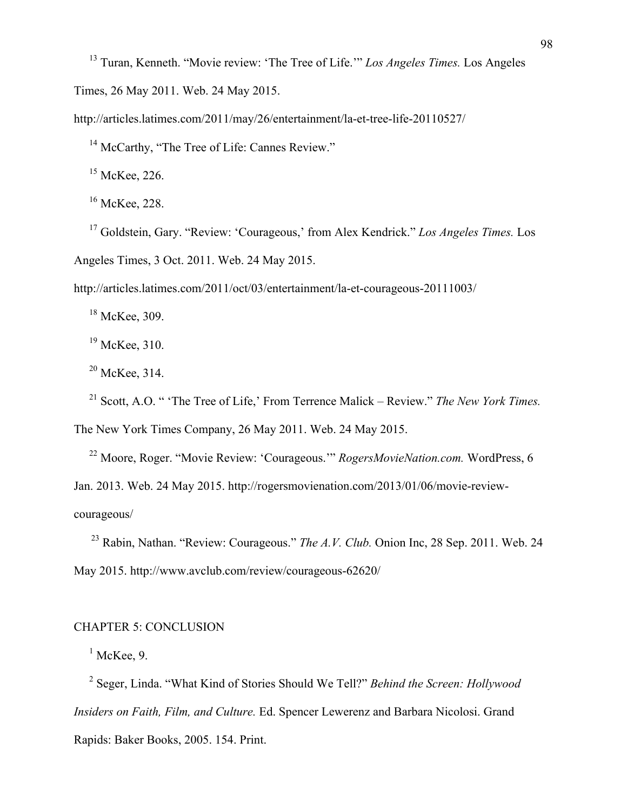13 Turan, Kenneth. "Movie review: 'The Tree of Life.'" *Los Angeles Times.* Los Angeles

Times, 26 May 2011. Web. 24 May 2015.

http://articles.latimes.com/2011/may/26/entertainment/la-et-tree-life-20110527/

<sup>14</sup> McCarthy, "The Tree of Life: Cannes Review."

<sup>15</sup> McKee, 226.

<sup>16</sup> McKee, 228.

 17 Goldstein, Gary. "Review: 'Courageous,' from Alex Kendrick." *Los Angeles Times.* Los Angeles Times, 3 Oct. 2011. Web. 24 May 2015.

http://articles.latimes.com/2011/oct/03/entertainment/la-et-courageous-20111003/

<sup>18</sup> McKee, 309.

 $19$  McKee, 310.

 $20$  McKee, 314.

21 Scott, A.O. " 'The Tree of Life,' From Terrence Malick – Review." *The New York Times.*

The New York Times Company, 26 May 2011. Web. 24 May 2015.

 22 Moore, Roger. "Movie Review: 'Courageous.'" *RogersMovieNation.com.* WordPress, 6 Jan. 2013. Web. 24 May 2015. http://rogersmovienation.com/2013/01/06/movie-reviewcourageous/

 23 Rabin, Nathan. "Review: Courageous." *The A.V. Club.* Onion Inc, 28 Sep. 2011. Web. 24 May 2015. http://www.avclub.com/review/courageous-62620/

## CHAPTER 5: CONCLUSION

 $1$  McKee, 9.

<sup>2</sup> Seger, Linda. "What Kind of Stories Should We Tell?" *Behind the Screen: Hollywood Insiders on Faith, Film, and Culture.* Ed. Spencer Lewerenz and Barbara Nicolosi. Grand Rapids: Baker Books, 2005. 154. Print.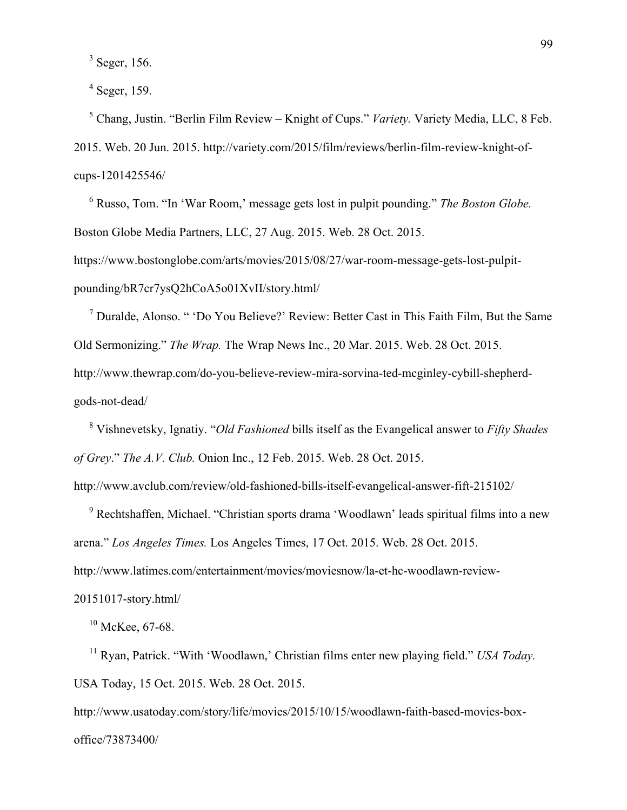<sup>3</sup> Seger, 156.

<sup>4</sup> Seger, 159.

<sup>5</sup> Chang, Justin. "Berlin Film Review – Knight of Cups." *Variety*. Variety Media, LLC, 8 Feb. 2015. Web. 20 Jun. 2015. http://variety.com/2015/film/reviews/berlin-film-review-knight-ofcups-1201425546/

 <sup>6</sup> Russo, Tom. "In 'War Room,' message gets lost in pulpit pounding." *The Boston Globe.* Boston Globe Media Partners, LLC, 27 Aug. 2015. Web. 28 Oct. 2015. https://www.bostonglobe.com/arts/movies/2015/08/27/war-room-message-gets-lost-pulpitpounding/bR7cr7ysQ2hCoA5o01XvII/story.html/

<sup>7</sup> Duralde, Alonso. " 'Do You Believe?' Review: Better Cast in This Faith Film, But the Same Old Sermonizing." *The Wrap.* The Wrap News Inc., 20 Mar. 2015. Web. 28 Oct. 2015. http://www.thewrap.com/do-you-believe-review-mira-sorvina-ted-mcginley-cybill-shepherdgods-not-dead/

 <sup>8</sup> Vishnevetsky, Ignatiy. "*Old Fashioned* bills itself as the Evangelical answer to *Fifty Shades of Grey*." *The A.V. Club.* Onion Inc., 12 Feb. 2015. Web. 28 Oct. 2015.

http://www.avclub.com/review/old-fashioned-bills-itself-evangelical-answer-fift-215102/

<sup>9</sup> Rechtshaffen, Michael. "Christian sports drama 'Woodlawn' leads spiritual films into a new arena." *Los Angeles Times.* Los Angeles Times, 17 Oct. 2015. Web. 28 Oct. 2015. http://www.latimes.com/entertainment/movies/moviesnow/la-et-hc-woodlawn-review-20151017-story.html/

 $10$  McKee, 67-68.

 11 Ryan, Patrick. "With 'Woodlawn,' Christian films enter new playing field." *USA Today.* USA Today, 15 Oct. 2015. Web. 28 Oct. 2015.

http://www.usatoday.com/story/life/movies/2015/10/15/woodlawn-faith-based-movies-boxoffice/73873400/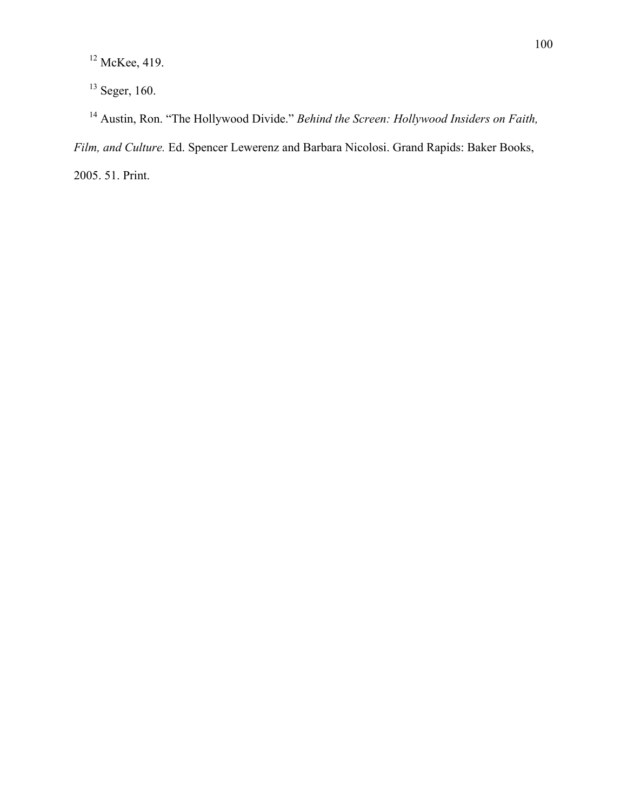<sup>12</sup> McKee, 419.

<sup>13</sup> Seger, 160.

 14 Austin, Ron. "The Hollywood Divide." *Behind the Screen: Hollywood Insiders on Faith, Film, and Culture.* Ed. Spencer Lewerenz and Barbara Nicolosi. Grand Rapids: Baker Books, 2005. 51. Print.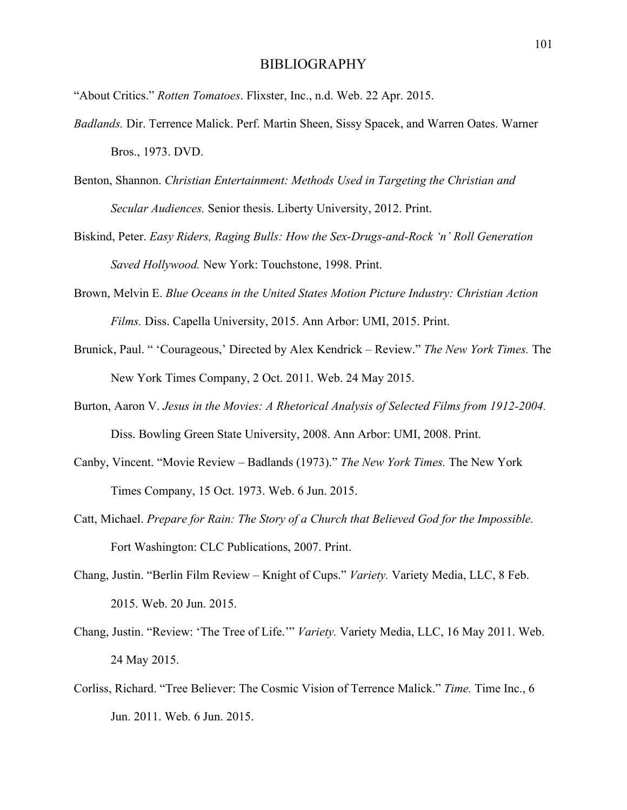### BIBLIOGRAPHY

"About Critics." *Rotten Tomatoes*. Flixster, Inc., n.d. Web. 22 Apr. 2015.

- *Badlands.* Dir. Terrence Malick. Perf. Martin Sheen, Sissy Spacek, and Warren Oates. Warner Bros., 1973. DVD.
- Benton, Shannon. *Christian Entertainment: Methods Used in Targeting the Christian and Secular Audiences.* Senior thesis. Liberty University, 2012. Print.
- Biskind, Peter. *Easy Riders, Raging Bulls: How the Sex-Drugs-and-Rock 'n' Roll Generation Saved Hollywood.* New York: Touchstone, 1998. Print.
- Brown, Melvin E. *Blue Oceans in the United States Motion Picture Industry: Christian Action Films.* Diss. Capella University, 2015. Ann Arbor: UMI, 2015. Print.
- Brunick, Paul. " 'Courageous,' Directed by Alex Kendrick Review." *The New York Times.* The New York Times Company, 2 Oct. 2011. Web. 24 May 2015.
- Burton, Aaron V. *Jesus in the Movies: A Rhetorical Analysis of Selected Films from 1912-2004.* Diss. Bowling Green State University, 2008. Ann Arbor: UMI, 2008. Print.
- Canby, Vincent. "Movie Review Badlands (1973)." *The New York Times.* The New York Times Company, 15 Oct. 1973. Web. 6 Jun. 2015.
- Catt, Michael. *Prepare for Rain: The Story of a Church that Believed God for the Impossible.* Fort Washington: CLC Publications, 2007. Print.
- Chang, Justin. "Berlin Film Review Knight of Cups." *Variety.* Variety Media, LLC, 8 Feb. 2015. Web. 20 Jun. 2015.
- Chang, Justin. "Review: 'The Tree of Life.'" *Variety.* Variety Media, LLC, 16 May 2011. Web. 24 May 2015.
- Corliss, Richard. "Tree Believer: The Cosmic Vision of Terrence Malick." *Time.* Time Inc., 6 Jun. 2011. Web. 6 Jun. 2015.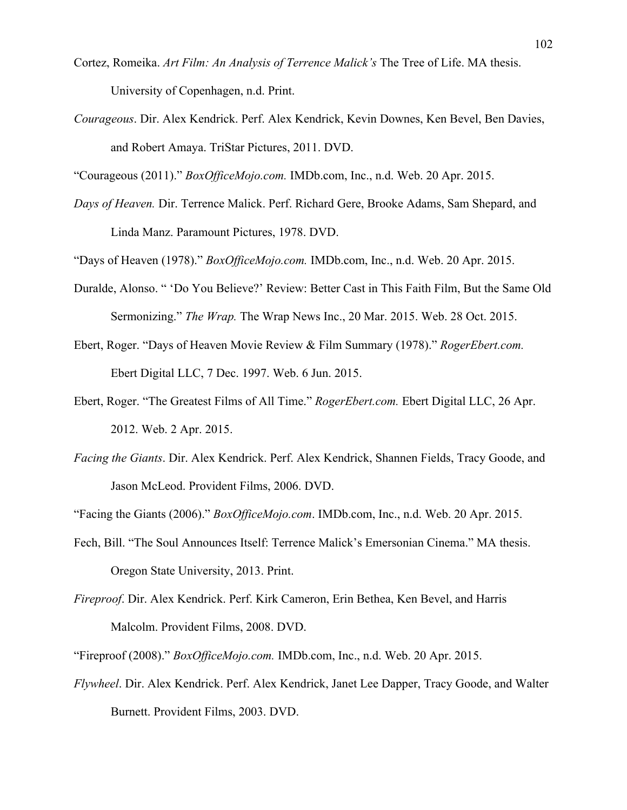- Cortez, Romeika. *Art Film: An Analysis of Terrence Malick's* The Tree of Life. MA thesis. University of Copenhagen, n.d. Print.
- *Courageous*. Dir. Alex Kendrick. Perf. Alex Kendrick, Kevin Downes, Ken Bevel, Ben Davies, and Robert Amaya. TriStar Pictures, 2011. DVD.

"Courageous (2011)." *BoxOfficeMojo.com.* IMDb.com, Inc., n.d. Web. 20 Apr. 2015.

*Days of Heaven.* Dir. Terrence Malick. Perf. Richard Gere, Brooke Adams, Sam Shepard, and Linda Manz. Paramount Pictures, 1978. DVD.

"Days of Heaven (1978)." *BoxOfficeMojo.com.* IMDb.com, Inc., n.d. Web. 20 Apr. 2015.

- Duralde, Alonso. " 'Do You Believe?' Review: Better Cast in This Faith Film, But the Same Old Sermonizing." *The Wrap.* The Wrap News Inc., 20 Mar. 2015. Web. 28 Oct. 2015.
- Ebert, Roger. "Days of Heaven Movie Review & Film Summary (1978)." *RogerEbert.com.* Ebert Digital LLC, 7 Dec. 1997. Web. 6 Jun. 2015.
- Ebert, Roger. "The Greatest Films of All Time." *RogerEbert.com.* Ebert Digital LLC, 26 Apr. 2012. Web. 2 Apr. 2015.
- *Facing the Giants*. Dir. Alex Kendrick. Perf. Alex Kendrick, Shannen Fields, Tracy Goode, and Jason McLeod. Provident Films, 2006. DVD.

"Facing the Giants (2006)." *BoxOfficeMojo.com*. IMDb.com, Inc., n.d. Web. 20 Apr. 2015.

- Fech, Bill. "The Soul Announces Itself: Terrence Malick's Emersonian Cinema." MA thesis. Oregon State University, 2013. Print.
- *Fireproof*. Dir. Alex Kendrick. Perf. Kirk Cameron, Erin Bethea, Ken Bevel, and Harris Malcolm. Provident Films, 2008. DVD.

"Fireproof (2008)." *BoxOfficeMojo.com.* IMDb.com, Inc., n.d. Web. 20 Apr. 2015.

*Flywheel*. Dir. Alex Kendrick. Perf. Alex Kendrick, Janet Lee Dapper, Tracy Goode, and Walter Burnett. Provident Films, 2003. DVD.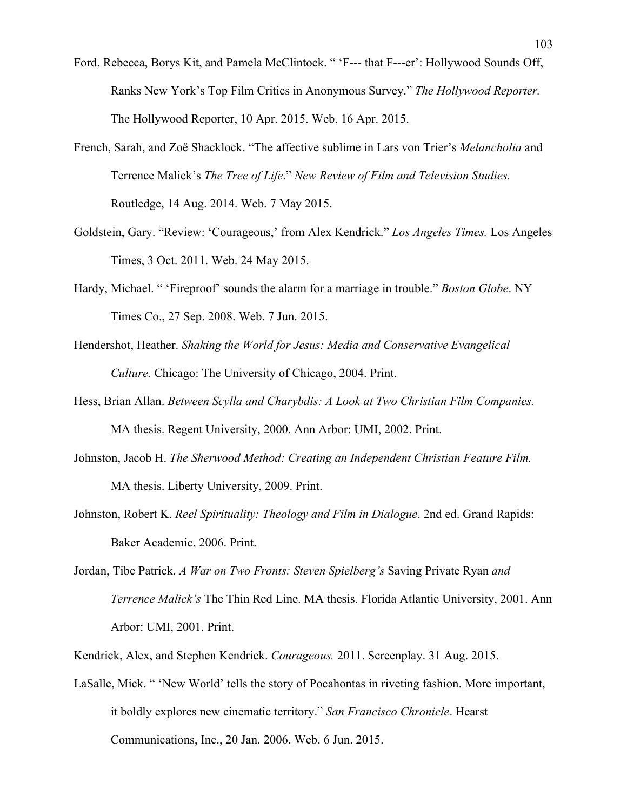- Ford, Rebecca, Borys Kit, and Pamela McClintock. " 'F--- that F---er': Hollywood Sounds Off, Ranks New York's Top Film Critics in Anonymous Survey." *The Hollywood Reporter.* The Hollywood Reporter, 10 Apr. 2015. Web. 16 Apr. 2015.
- French, Sarah, and Zoë Shacklock. "The affective sublime in Lars von Trier's *Melancholia* and Terrence Malick's *The Tree of Life*." *New Review of Film and Television Studies.* Routledge, 14 Aug. 2014. Web. 7 May 2015.
- Goldstein, Gary. "Review: 'Courageous,' from Alex Kendrick." *Los Angeles Times.* Los Angeles Times, 3 Oct. 2011. Web. 24 May 2015.
- Hardy, Michael. " 'Fireproof' sounds the alarm for a marriage in trouble." *Boston Globe*. NY Times Co., 27 Sep. 2008. Web. 7 Jun. 2015.
- Hendershot, Heather. *Shaking the World for Jesus: Media and Conservative Evangelical Culture.* Chicago: The University of Chicago, 2004. Print.
- Hess, Brian Allan. *Between Scylla and Charybdis: A Look at Two Christian Film Companies.* MA thesis. Regent University, 2000. Ann Arbor: UMI, 2002. Print.
- Johnston, Jacob H. *The Sherwood Method: Creating an Independent Christian Feature Film.* MA thesis. Liberty University, 2009. Print.
- Johnston, Robert K. *Reel Spirituality: Theology and Film in Dialogue*. 2nd ed. Grand Rapids: Baker Academic, 2006. Print.
- Jordan, Tibe Patrick. *A War on Two Fronts: Steven Spielberg's* Saving Private Ryan *and Terrence Malick's* The Thin Red Line. MA thesis. Florida Atlantic University, 2001. Ann Arbor: UMI, 2001. Print.

Kendrick, Alex, and Stephen Kendrick. *Courageous.* 2011. Screenplay. 31 Aug. 2015.

LaSalle, Mick. " 'New World' tells the story of Pocahontas in riveting fashion. More important, it boldly explores new cinematic territory." *San Francisco Chronicle*. Hearst Communications, Inc., 20 Jan. 2006. Web. 6 Jun. 2015.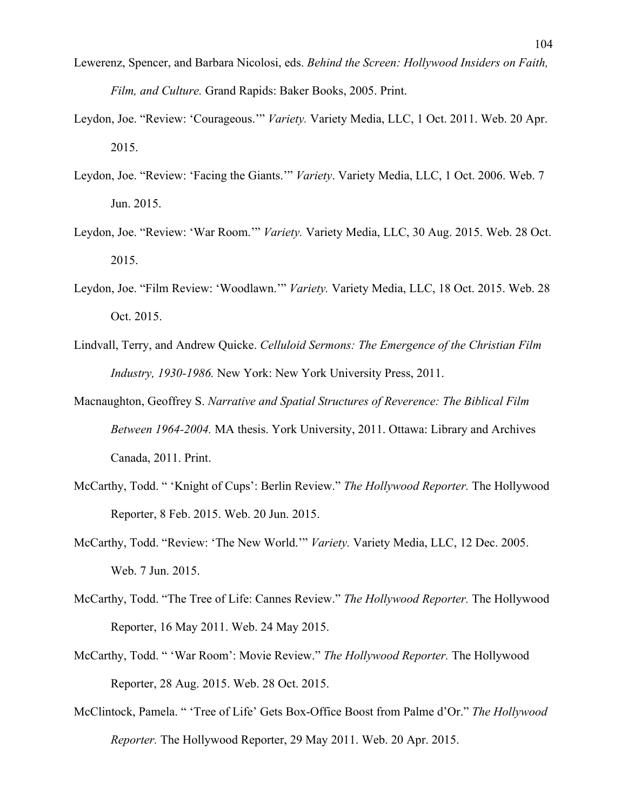- Lewerenz, Spencer, and Barbara Nicolosi, eds. *Behind the Screen: Hollywood Insiders on Faith, Film, and Culture.* Grand Rapids: Baker Books, 2005. Print.
- Leydon, Joe. "Review: 'Courageous.'" *Variety.* Variety Media, LLC, 1 Oct. 2011. Web. 20 Apr. 2015.
- Leydon, Joe. "Review: 'Facing the Giants.'" *Variety*. Variety Media, LLC, 1 Oct. 2006. Web. 7 Jun. 2015.
- Leydon, Joe. "Review: 'War Room.'" *Variety.* Variety Media, LLC, 30 Aug. 2015. Web. 28 Oct. 2015.
- Leydon, Joe. "Film Review: 'Woodlawn.'" *Variety.* Variety Media, LLC, 18 Oct. 2015. Web. 28 Oct. 2015.
- Lindvall, Terry, and Andrew Quicke. *Celluloid Sermons: The Emergence of the Christian Film Industry, 1930-1986.* New York: New York University Press, 2011.
- Macnaughton, Geoffrey S. *Narrative and Spatial Structures of Reverence: The Biblical Film Between 1964-2004.* MA thesis. York University, 2011. Ottawa: Library and Archives Canada, 2011. Print.
- McCarthy, Todd. " 'Knight of Cups': Berlin Review." *The Hollywood Reporter.* The Hollywood Reporter, 8 Feb. 2015. Web. 20 Jun. 2015.
- McCarthy, Todd. "Review: 'The New World.'" *Variety.* Variety Media, LLC, 12 Dec. 2005. Web. 7 Jun. 2015.
- McCarthy, Todd. "The Tree of Life: Cannes Review." *The Hollywood Reporter.* The Hollywood Reporter, 16 May 2011. Web. 24 May 2015.
- McCarthy, Todd. " 'War Room': Movie Review." *The Hollywood Reporter.* The Hollywood Reporter, 28 Aug. 2015. Web. 28 Oct. 2015.
- McClintock, Pamela. " 'Tree of Life' Gets Box-Office Boost from Palme d'Or." *The Hollywood Reporter.* The Hollywood Reporter, 29 May 2011. Web. 20 Apr. 2015.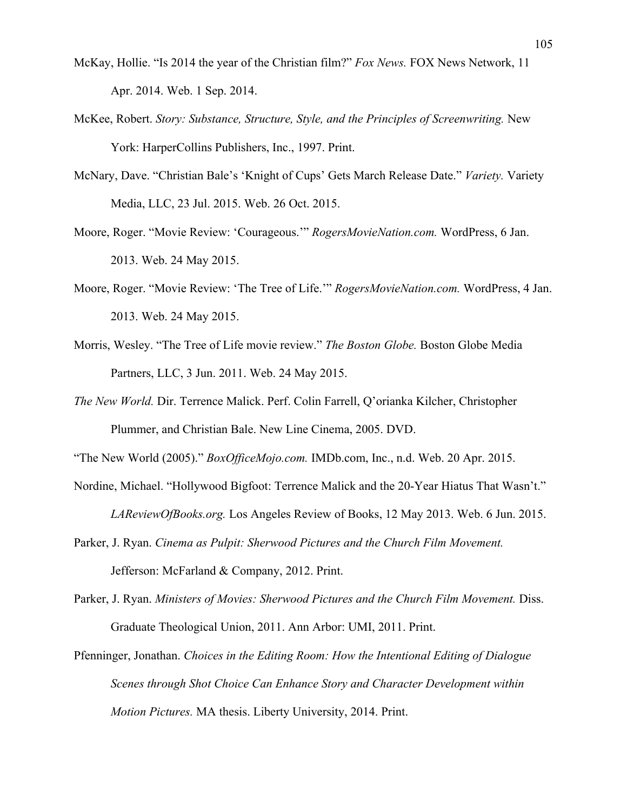- McKay, Hollie. "Is 2014 the year of the Christian film?" *Fox News.* FOX News Network, 11 Apr. 2014. Web. 1 Sep. 2014.
- McKee, Robert. *Story: Substance, Structure, Style, and the Principles of Screenwriting.* New York: HarperCollins Publishers, Inc., 1997. Print.
- McNary, Dave. "Christian Bale's 'Knight of Cups' Gets March Release Date." *Variety.* Variety Media, LLC, 23 Jul. 2015. Web. 26 Oct. 2015.
- Moore, Roger. "Movie Review: 'Courageous.'" *RogersMovieNation.com.* WordPress, 6 Jan. 2013. Web. 24 May 2015.
- Moore, Roger. "Movie Review: 'The Tree of Life.'" *RogersMovieNation.com.* WordPress, 4 Jan. 2013. Web. 24 May 2015.
- Morris, Wesley. "The Tree of Life movie review." *The Boston Globe.* Boston Globe Media Partners, LLC, 3 Jun. 2011. Web. 24 May 2015.
- *The New World.* Dir. Terrence Malick. Perf. Colin Farrell, Q'orianka Kilcher, Christopher Plummer, and Christian Bale. New Line Cinema, 2005. DVD.

"The New World (2005)." *BoxOfficeMojo.com.* IMDb.com, Inc., n.d. Web. 20 Apr. 2015.

- Nordine, Michael. "Hollywood Bigfoot: Terrence Malick and the 20-Year Hiatus That Wasn't." *LAReviewOfBooks.org.* Los Angeles Review of Books, 12 May 2013. Web. 6 Jun. 2015.
- Parker, J. Ryan. *Cinema as Pulpit: Sherwood Pictures and the Church Film Movement.* Jefferson: McFarland & Company, 2012. Print.
- Parker, J. Ryan. *Ministers of Movies: Sherwood Pictures and the Church Film Movement.* Diss. Graduate Theological Union, 2011. Ann Arbor: UMI, 2011. Print.
- Pfenninger, Jonathan. *Choices in the Editing Room: How the Intentional Editing of Dialogue Scenes through Shot Choice Can Enhance Story and Character Development within Motion Pictures.* MA thesis. Liberty University, 2014. Print.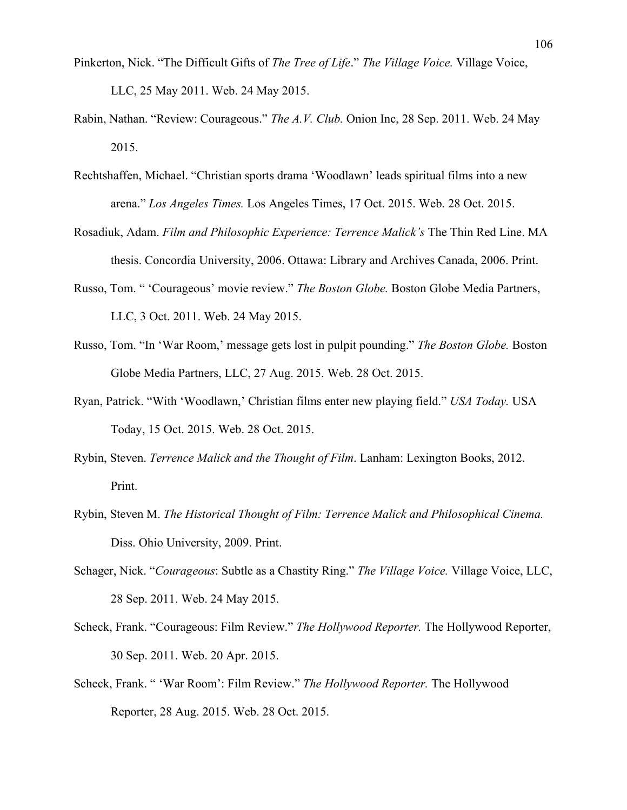- Pinkerton, Nick. "The Difficult Gifts of *The Tree of Life*." *The Village Voice.* Village Voice, LLC, 25 May 2011. Web. 24 May 2015.
- Rabin, Nathan. "Review: Courageous." *The A.V. Club.* Onion Inc, 28 Sep. 2011. Web. 24 May 2015.
- Rechtshaffen, Michael. "Christian sports drama 'Woodlawn' leads spiritual films into a new arena." *Los Angeles Times.* Los Angeles Times, 17 Oct. 2015. Web. 28 Oct. 2015.
- Rosadiuk, Adam. *Film and Philosophic Experience: Terrence Malick's* The Thin Red Line. MA thesis. Concordia University, 2006. Ottawa: Library and Archives Canada, 2006. Print.
- Russo, Tom. " 'Courageous' movie review." *The Boston Globe.* Boston Globe Media Partners, LLC, 3 Oct. 2011. Web. 24 May 2015.
- Russo, Tom. "In 'War Room,' message gets lost in pulpit pounding." *The Boston Globe.* Boston Globe Media Partners, LLC, 27 Aug. 2015. Web. 28 Oct. 2015.
- Ryan, Patrick. "With 'Woodlawn,' Christian films enter new playing field." *USA Today.* USA Today, 15 Oct. 2015. Web. 28 Oct. 2015.
- Rybin, Steven. *Terrence Malick and the Thought of Film*. Lanham: Lexington Books, 2012. Print.
- Rybin, Steven M. *The Historical Thought of Film: Terrence Malick and Philosophical Cinema.* Diss. Ohio University, 2009. Print.
- Schager, Nick. "*Courageous*: Subtle as a Chastity Ring." *The Village Voice.* Village Voice, LLC, 28 Sep. 2011. Web. 24 May 2015.
- Scheck, Frank. "Courageous: Film Review." *The Hollywood Reporter.* The Hollywood Reporter, 30 Sep. 2011. Web. 20 Apr. 2015.
- Scheck, Frank. " 'War Room': Film Review." *The Hollywood Reporter.* The Hollywood Reporter, 28 Aug. 2015. Web. 28 Oct. 2015.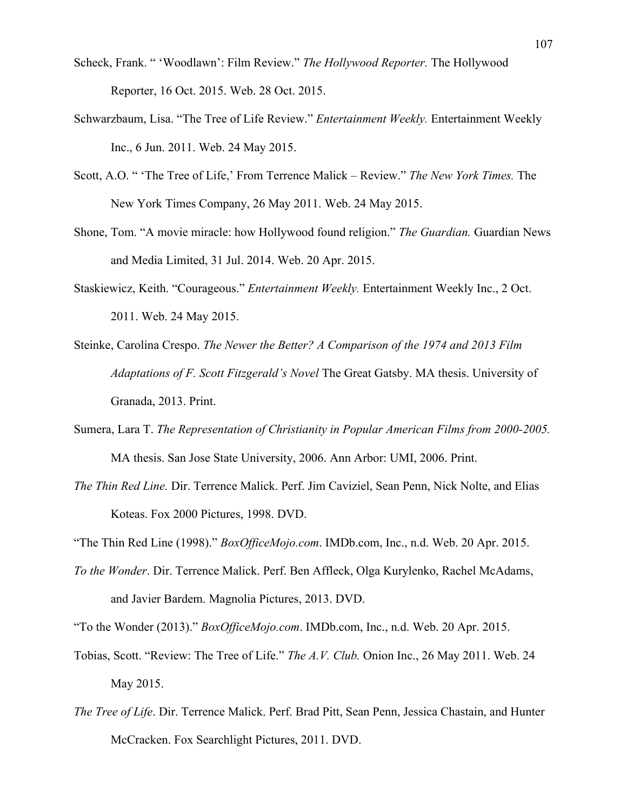- Scheck, Frank. " 'Woodlawn': Film Review." *The Hollywood Reporter.* The Hollywood Reporter, 16 Oct. 2015. Web. 28 Oct. 2015.
- Schwarzbaum, Lisa. "The Tree of Life Review." *Entertainment Weekly.* Entertainment Weekly Inc., 6 Jun. 2011. Web. 24 May 2015.
- Scott, A.O. " 'The Tree of Life,' From Terrence Malick Review." *The New York Times.* The New York Times Company, 26 May 2011. Web. 24 May 2015.
- Shone, Tom. "A movie miracle: how Hollywood found religion." *The Guardian.* Guardian News and Media Limited, 31 Jul. 2014. Web. 20 Apr. 2015.
- Staskiewicz, Keith. "Courageous." *Entertainment Weekly.* Entertainment Weekly Inc., 2 Oct. 2011. Web. 24 May 2015.
- Steinke, Carolina Crespo. *The Newer the Better? A Comparison of the 1974 and 2013 Film Adaptations of F. Scott Fitzgerald's Novel* The Great Gatsby. MA thesis. University of Granada, 2013. Print.
- Sumera, Lara T. *The Representation of Christianity in Popular American Films from 2000-2005.* MA thesis. San Jose State University, 2006. Ann Arbor: UMI, 2006. Print.
- *The Thin Red Line.* Dir. Terrence Malick. Perf. Jim Caviziel, Sean Penn, Nick Nolte, and Elias Koteas. Fox 2000 Pictures, 1998. DVD.
- "The Thin Red Line (1998)." *BoxOfficeMojo.com*. IMDb.com, Inc., n.d. Web. 20 Apr. 2015.
- *To the Wonder*. Dir. Terrence Malick. Perf. Ben Affleck, Olga Kurylenko, Rachel McAdams, and Javier Bardem. Magnolia Pictures, 2013. DVD.
- "To the Wonder (2013)." *BoxOfficeMojo.com*. IMDb.com, Inc., n.d. Web. 20 Apr. 2015.
- Tobias, Scott. "Review: The Tree of Life." *The A.V. Club.* Onion Inc., 26 May 2011. Web. 24 May 2015.
- *The Tree of Life*. Dir. Terrence Malick. Perf. Brad Pitt, Sean Penn, Jessica Chastain, and Hunter McCracken. Fox Searchlight Pictures, 2011. DVD.